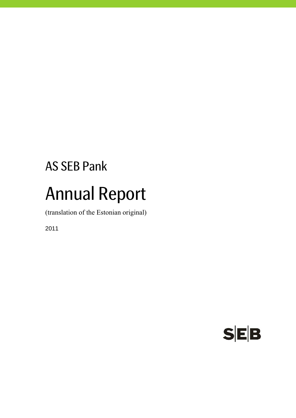# AS SEB Pank Annual Report

(translation of the Estonian original)

2011

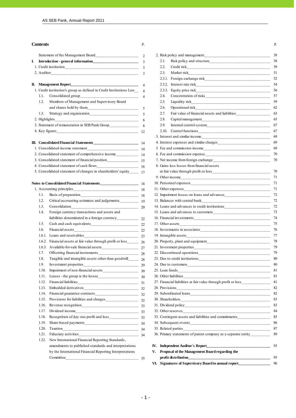#### **Contents** P. P.

j

|    |       |                                                                           | $\overline{2}$ |     |                                                              |
|----|-------|---------------------------------------------------------------------------|----------------|-----|--------------------------------------------------------------|
|    |       |                                                                           | 3              |     | Risk policy and structure<br>2.1.                            |
|    |       |                                                                           | $\overline{3}$ |     | 2.2.                                                         |
|    |       |                                                                           | 3              |     | 2.3.                                                         |
|    |       |                                                                           |                |     |                                                              |
| Ι. |       |                                                                           | $\overline{4}$ |     | 2.3.2.                                                       |
|    |       | 1. Credit institution's group as defined in Credit Institutions Law_      | $\overline{4}$ |     | 2.3.3.                                                       |
|    | 1.1.  |                                                                           | $\overline{4}$ |     | 2.4.                                                         |
|    | 1.2.  | Members of Management and Supervisory Board                               |                |     | 2.5.                                                         |
|    |       |                                                                           | -5             |     | 2.6.                                                         |
|    | 1.3.  |                                                                           | 5              |     | Fair value of financial assets and liabilities_<br>2.7.      |
|    |       | 2. Highlights 2.                                                          | -6             |     | 2.8.<br>Capital management                                   |
|    |       | 3. Statement of remuneration in SEB Pank Group_______________             | 8              |     | 2.9.<br>Internal control system                              |
|    |       |                                                                           |                |     | 2.10. Control functions                                      |
|    |       |                                                                           |                |     | 3. Interest and similar income                               |
|    |       |                                                                           |                |     | 4. Interest expenses and similar charges                     |
|    |       |                                                                           |                |     | 5. Fee and commission income                                 |
|    |       |                                                                           |                |     | 6. Fee and commission expense                                |
|    |       |                                                                           |                |     | 7. Net income from foreign exchange                          |
|    |       |                                                                           |                |     | 8. Gains less losses from financial assets                   |
|    |       | 5. Consolidated statement of changes in shareholders' equity_______ 17    |                |     |                                                              |
|    |       |                                                                           |                |     |                                                              |
|    |       |                                                                           |                |     |                                                              |
|    |       |                                                                           |                |     |                                                              |
|    | 1.1.  |                                                                           |                |     | 12. Impairment losses on loans and advances                  |
|    | 1.2.  |                                                                           |                |     |                                                              |
|    | 1.3.  |                                                                           |                |     | 14. Loans and advances to credit institutions                |
|    | 1.4.  | Foreign currency transactions and assets and                              |                |     |                                                              |
|    |       |                                                                           |                |     | 16. Financial investments                                    |
|    | 1.5.  |                                                                           |                |     |                                                              |
|    | 1.6.  |                                                                           |                |     |                                                              |
|    |       |                                                                           |                |     |                                                              |
|    |       | 1.6.2. Financial assets at fair value through profit or loss__________ 26 |                |     | 20. Property, plant and equipment                            |
|    |       |                                                                           |                |     | 21. Investment properties                                    |
|    | 1.7.  |                                                                           |                |     |                                                              |
|    | 1.8.  | Tangible and intangible assets other than goodwill_________ 28            |                |     |                                                              |
|    | 1.9.  |                                                                           |                |     |                                                              |
|    | 1.10. |                                                                           |                |     |                                                              |
|    |       | 1.11. Leases - the group is the lessee 30                                 |                |     |                                                              |
|    | 1.12. |                                                                           |                |     | 27. Financial liabilities at fair value through profit or lo |
|    | 1.13. |                                                                           |                |     |                                                              |
|    |       |                                                                           |                |     |                                                              |
|    | 1.14. |                                                                           |                |     |                                                              |
|    | 1.15. |                                                                           |                |     |                                                              |
|    | 1.16. |                                                                           |                |     |                                                              |
|    | 1.17. |                                                                           |                |     |                                                              |
|    | 1.18. |                                                                           |                |     | 33. Contingent assets and liabilities and commitments        |
|    | 1.19. |                                                                           |                |     |                                                              |
|    | 1.20. |                                                                           |                |     |                                                              |
|    | 1.21. |                                                                           |                |     | 36. Primary statements of parent company as a separa         |
|    | 1.22. | New International Financial Reporting Standards,                          |                |     |                                                              |
|    |       | amendments to published standards and interpretations                     |                | IV. | Independent Auditor's Report_________________                |
|    |       | by the International Financial Reporting Interpretations                  |                | V.  | Proposal of the Management Board regarding the               |
|    |       |                                                                           |                |     |                                                              |

|        |                                                                        |              |    | VI. Signatures of Supervisory Board to annual report_________________                                                                                                                                                                  |  |
|--------|------------------------------------------------------------------------|--------------|----|----------------------------------------------------------------------------------------------------------------------------------------------------------------------------------------------------------------------------------------|--|
|        |                                                                        |              |    |                                                                                                                                                                                                                                        |  |
|        | by the International Financial Reporting Interpretations               |              | V. | Proposal of the Management Board regarding the                                                                                                                                                                                         |  |
|        | amendments to published standards and interpretations                  |              |    |                                                                                                                                                                                                                                        |  |
| 1.22.  | New International Financial Reporting Standards,                       |              |    |                                                                                                                                                                                                                                        |  |
| 1.21.  |                                                                        |              |    | 36. Primary statements of parent company as a separate entity__________                                                                                                                                                                |  |
| 1.20.  |                                                                        |              |    |                                                                                                                                                                                                                                        |  |
| 1.19.  |                                                                        |              |    |                                                                                                                                                                                                                                        |  |
| 1.18.  |                                                                        |              |    | 33. Contingent assets and liabilities and commitments                                                                                                                                                                                  |  |
| 1.17.  |                                                                        |              |    |                                                                                                                                                                                                                                        |  |
| 1.16.  |                                                                        |              |    |                                                                                                                                                                                                                                        |  |
| 1.15.  |                                                                        |              |    |                                                                                                                                                                                                                                        |  |
| 1.14.  |                                                                        |              |    |                                                                                                                                                                                                                                        |  |
| 1.13.  |                                                                        |              |    | 28. Provisions                                                                                                                                                                                                                         |  |
| 1.12.  |                                                                        |              |    |                                                                                                                                                                                                                                        |  |
| 1.11.  |                                                                        | 30           |    |                                                                                                                                                                                                                                        |  |
| 1.10.  |                                                                        |              |    | 25. Loan funds                                                                                                                                                                                                                         |  |
| 1.9.   |                                                                        |              |    |                                                                                                                                                                                                                                        |  |
| 1.8.   | Tangible and intangible assets other than goodwill_________ 28         |              |    |                                                                                                                                                                                                                                        |  |
| 1.7.   |                                                                        |              |    |                                                                                                                                                                                                                                        |  |
|        |                                                                        |              |    |                                                                                                                                                                                                                                        |  |
| 1.6.2. |                                                                        |              |    |                                                                                                                                                                                                                                        |  |
| 1.6.1. |                                                                        |              |    |                                                                                                                                                                                                                                        |  |
| 1.6.   |                                                                        |              |    |                                                                                                                                                                                                                                        |  |
| 1.5.   |                                                                        |              |    |                                                                                                                                                                                                                                        |  |
|        |                                                                        |              |    |                                                                                                                                                                                                                                        |  |
| 1.4.   | Foreign currency transactions and assets and                           |              |    |                                                                                                                                                                                                                                        |  |
| 1.3.   |                                                                        |              |    |                                                                                                                                                                                                                                        |  |
| 1.2.   |                                                                        |              |    |                                                                                                                                                                                                                                        |  |
| 1.1.   |                                                                        |              |    |                                                                                                                                                                                                                                        |  |
|        |                                                                        |              |    |                                                                                                                                                                                                                                        |  |
|        |                                                                        |              |    |                                                                                                                                                                                                                                        |  |
|        |                                                                        |              |    |                                                                                                                                                                                                                                        |  |
|        | 5. Consolidated statement of changes in shareholders' equity_______ 17 |              |    |                                                                                                                                                                                                                                        |  |
|        |                                                                        |              |    | 8. Gains less losses from financial assets                                                                                                                                                                                             |  |
|        |                                                                        |              |    |                                                                                                                                                                                                                                        |  |
|        |                                                                        |              |    |                                                                                                                                                                                                                                        |  |
|        |                                                                        |              |    |                                                                                                                                                                                                                                        |  |
|        |                                                                        |              |    |                                                                                                                                                                                                                                        |  |
|        |                                                                        |              |    |                                                                                                                                                                                                                                        |  |
|        |                                                                        |              |    | 2.10.                                                                                                                                                                                                                                  |  |
|        |                                                                        |              |    | 2.8.<br>2.9.                                                                                                                                                                                                                           |  |
| 1.3.   |                                                                        |              |    | 2.7.                                                                                                                                                                                                                                   |  |
|        |                                                                        |              |    |                                                                                                                                                                                                                                        |  |
|        |                                                                        |              |    | 2.6.<br>Operational risk contract to the contract of the contract of the contract of the contract of the contract of the contract of the contract of the contract of the contract of the contract of the contract of the contract of t |  |
| 1.2.   | Members of Management and Supervisory Board                            |              |    | 2.5.                                                                                                                                                                                                                                   |  |
| 1.1.   |                                                                        |              |    | 2.4.                                                                                                                                                                                                                                   |  |
|        | 1. Credit institution's group as defined in Credit Institutions Law 4  |              |    | 2.3.3.                                                                                                                                                                                                                                 |  |
|        |                                                                        |              |    | 2.3.1.<br>Foreign exchange risk<br>2.3.2.                                                                                                                                                                                              |  |
|        |                                                                        |              |    |                                                                                                                                                                                                                                        |  |
|        |                                                                        |              |    | 2.3.                                                                                                                                                                                                                                   |  |
|        | Introduction - general information                                     | $\mathbf{3}$ |    | 2.1.<br>2.2.                                                                                                                                                                                                                           |  |
| I.     |                                                                        |              |    |                                                                                                                                                                                                                                        |  |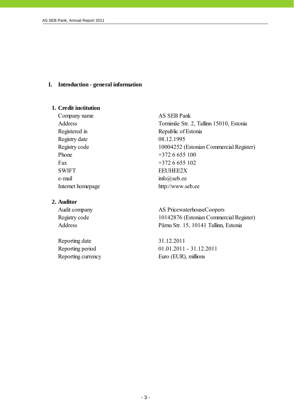# **I. Introduction - general information**

# **1. Credit institution**

Company name AS SEB Pank Registry date 08.12.1995 Phone  $+3726655100$ Fax  $+3726655102$ SWIFT EEUHEE2X e-mail info@seb.ee

#### **2. Auditor**

Reporting date 31.12.2011

Address Tornimäe Str. 2, Tallinn 15010, Estonia Registered in Republic of Estonia Registry code 10004252 (Estonian Commercial Register) Internet homepage http://www.seb.ee

Audit company AS PricewaterhouseCoopers Registry code 10142876 (Estonian Commercial Register) Address Pärnu Str. 15, 10141 Tallinn, Estonia

Reporting period 01.01.2011 - 31.12.2011 Reporting currency Euro (EUR), millions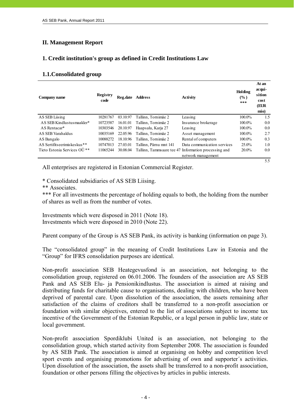# **II. Management Report**

# **1. Credit institution's group as defined in Credit Institutions Law**

# **1.1.Consolidated group**

| Company name                            | <b>Registry</b><br>code | Reg.date | Address                | Activity                                             | Holding<br>(%)<br>*** | At an<br>acqui-<br>sition<br>cost<br>(EUR<br>mio) |
|-----------------------------------------|-------------------------|----------|------------------------|------------------------------------------------------|-----------------------|---------------------------------------------------|
| AS SEB Liising                          | 10281767                | 03.10.97 | Tallinn, Tornimäe 2    | Leasing                                              | 100.0%                | 1.5                                               |
| AS SEB Kindlustusmaakler*               | 10723587                | 16.01.01 | Tallinn, Tornimäe 2    | Insurance brokerage                                  | 100.0%                | 0.0                                               |
| AS Rentacar*                            | 10303546                | 20.10.97 | Haapsalu, Karja 27     | Leasing                                              | 100.0%                | 0.0                                               |
| AS SEB Varahaldus                       | 10035169                | 22.05.96 | Tallinn. Tornimäe 2    | Asset management                                     | 100.0%                | 2.7                                               |
| AS Bangalo                              | 10088272                | 18.10.96 | Tallinn, Tornimäe 2    | Rental of computers                                  | 100.0%                | 0.3                                               |
| AS Sertifits eerimis kes kus **         | 10747013                | 27.03.01 | Tallinn. Pärnu mnt 141 | Data communication services                          | 25.0%                 | 1.0                                               |
| Tieto Estonia Services OÜ <sup>**</sup> | 11065244                | 30.08.04 |                        | Tallinn, Tammsaare tee 47 Information processing and | $20.0\%$              | 0.0                                               |
|                                         |                         |          |                        | network management                                   |                       |                                                   |
|                                         |                         |          |                        |                                                      |                       | 5.5                                               |

All enterprises are registered in Estonian Commercial Register.

\* Consolidated subsidiaries of AS SEB Liising.

\*\* Associates.

\*\*\* For all investments the percentage of holding equals to both, the holding from the number of shares as well as from the number of votes.

Investments which were disposed in 2011 (Note 18). Investments which were disposed in 2010 (Note 22).

Parent company of the Group is AS SEB Pank, its activity is banking (information on page 3).

The "consolidated group" in the meaning of Credit Institutions Law in Estonia and the "Group" for IFRS consolidation purposes are identical.

Non-profit association SEB Heategevusfond is an association, not belonging to the consolidation group, registered on 06.01.2006. The founders of the association are AS SEB Pank and AS SEB Elu- ja Pensionikindlustus. The association is aimed at raising and distributing funds for charitable cause to organisations, dealing with children, who have been deprived of parental care. Upon dissolution of the association, the assets remaining after satisfaction of the claims of creditors shall be transferred to a non-profit association or foundation with similar objectives, entered to the list of associations subject to income tax incentive of the Government of the Estonian Republic, or a legal person in public law, state or local government.

Non-profit association Spordiklubi United is an association, not belonging to the consolidation group, which started activity from September 2008. The association is founded by AS SEB Pank. The association is aimed at organising on hobby and competition level sport events and organising promotions for advertising of own and supporter´s activities. Upon dissolution of the association, the assets shall be transferred to a non-profit association, foundation or other persons filling the objectives by articles in public interests.

 $-4-$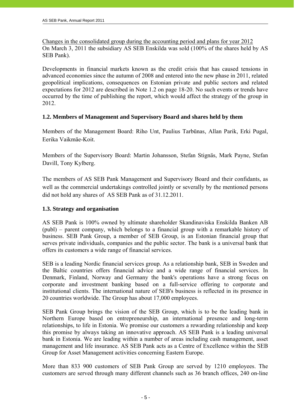Changes in the consolidated group during the accounting period and plans for year 2012 On March 3, 2011 the subsidiary AS SEB Enskilda was sold (100% of the shares held by AS SEB Pank).

Developments in financial markets known as the credit crisis that has caused tensions in advanced economies since the autumn of 2008 and entered into the new phase in 2011, related geopolitical implications, consequences on Estonian private and public sectors and related expectations for 2012 are described in Note 1.2 on page 18-20. No such events or trends have occurred by the time of publishing the report, which would affect the strategy of the group in 2012.

# **1.2. Members of Management and Supervisory Board and shares held by them**

Members of the Management Board: Riho Unt, Paulius Tarbūnas, Allan Parik, Erki Pugal, Eerika Vaikmäe-Koit.

Members of the Supervisory Board: Martin Johansson, Stefan Stignäs, Mark Payne, Stefan Davill, Tony Kylberg.

The members of AS SEB Pank Management and Supervisory Board and their confidants, as well as the commercial undertakings controlled jointly or severally by the mentioned persons did not hold any shares of AS SEB Pank as of 31.12.2011.

# **1.3. Strategy and organisation**

AS SEB Pank is 100% owned by ultimate shareholder Skandinaviska Enskilda Banken AB (publ) – parent company, which belongs to a financial group with a remarkable history of business. SEB Pank Group, a member of SEB Group, is an Estonian financial group that serves private individuals, companies and the public sector. The bank is a universal bank that offers its customers a wide range of financial services.

SEB is a leading Nordic financial services group. As a relationship bank, SEB in Sweden and the Baltic countries offers financial advice and a wide range of financial services. In Denmark, Finland, Norway and Germany the bank's operations have a strong focus on corporate and investment banking based on a full-service offering to corporate and institutional clients. The international nature of SEB's business is reflected in its presence in 20 countries worldwide. The Group has about 17,000 employees.

SEB Pank Group brings the vision of the SEB Group, which is to be the leading bank in Northern Europe based on entrepreneurship, an international presence and long-term relationships, to life in Estonia. We promise our customers a rewarding relationship and keep this promise by always taking an innovative approach. AS SEB Pank is a leading universal bank in Estonia. We are leading within a number of areas including cash management, asset management and life insurance. AS SEB Pank acts as a Centre of Excellence within the SEB Group for Asset Management activities concerning Eastern Europe.

More than 833 900 customers of SEB Pank Group are served by 1210 employees. The customers are served through many different channels such as 36 branch offices, 240 on-line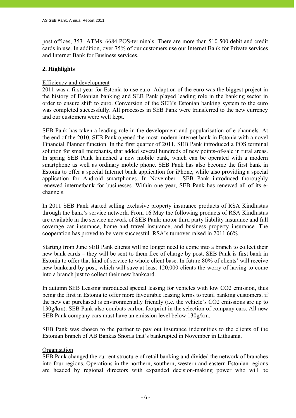post offices, 353 ATMs, 6684 POS-terminals. There are more than 510 500 debit and credit cards in use. In addition, over 75% of our customers use our Internet Bank for Private services and Internet Bank for Business services.

# **2. Highlights**

j

# Efficiency and development

2011 was a first year for Estonia to use euro. Adaption of the euro was the biggest project in the history of Estonian banking and SEB Pank played leading role in the banking sector in order to ensure shift to euro. Conversion of the SEB's Estonian banking system to the euro was completed successfully. All processes in SEB Pank were transferred to the new currency and our customers were well kept.

SEB Pank has taken a leading role in the development and popularisation of e-channels. At the end of the 2010, SEB Pank opened the most modern internet bank in Estonia with a novel Financial Planner function. In the first quarter of 2011, SEB Pank introduced a POS terminal solution for small merchants, that added several hundreds of new points-of-sale in rural areas. In spring SEB Pank launched a new mobile bank, which can be operated with a modern smartphone as well as ordinary mobile phone. SEB Pank has also become the first bank in Estonia to offer a special Internet bank application for iPhone, while also providing a special application for Android smartphones. In November SEB Pank introduced thoroughly renewed internetbank for businesses. Within one year, SEB Pank has renewed all of its echannels.

In 2011 SEB Pank started selling exclusive property insurance products of RSA Kindlustus through the bank's service network. From 16 May the following products of RSA Kindlustus are available in the service network of SEB Pank: motor third party liability insurance and full coverage car insurance, home and travel insurance, and business property insurance. The cooperation has proved to be very successful. RSA's turnover raised in 2011 66%.

Starting from June SEB Pank clients will no longer need to come into a branch to collect their new bank cards – they will be sent to them free of charge by post. SEB Pank is first bank in Estonia to offer that kind of service to whole client base. In future 80% of clients' will receive new bankcard by post, which will save at least 120,000 clients the worry of having to come into a branch just to collect their new bankcard.

In autumn SEB Leasing introduced special leasing for vehicles with low CO2 emission, thus being the first in Estonia to offer more favourable leasing terms to retail banking customers, if the new car purchased is environmentally friendly (i.e. the vehicle's CO2 emissions are up to 130g/km). SEB Pank also combats carbon footprint in the selection of company cars. All new SEB Pank company cars must have an emission level below 130g/km.

SEB Pank was chosen to the partner to pay out insurance indemnities to the clients of the Estonian branch of AB Bankas Snoras that's bankrupted in November in Lithuania.

# **Organisation**

SEB Pank changed the current structure of retail banking and divided the network of branches into four regions. Operations in the northern, southern, western and eastern Estonian regions are headed by regional directors with expanded decision-making power who will be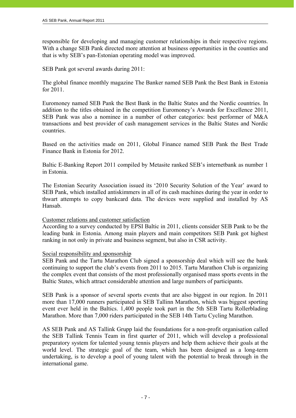responsible for developing and managing customer relationships in their respective regions. With a change SEB Pank directed more attention at business opportunities in the counties and that is why SEB's pan-Estonian operating model was improved.

SEB Pank got several awards during 2011:

The global finance monthly magazine The Banker named SEB Pank the Best Bank in Estonia for 2011.

Euromoney named SEB Pank the Best Bank in the Baltic States and the Nordic countries. In addition to the titles obtained in the competition Euromoney's Awards for Excellence 2011, SEB Pank was also a nominee in a number of other categories: best performer of M&A transactions and best provider of cash management services in the Baltic States and Nordic countries.

Based on the activities made on 2011, Global Finance named SEB Pank the Best Trade Finance Bank in Estonia for 2012.

Baltic E-Banking Report 2011 compiled by Metasite ranked SEB's internetbank as number 1 in Estonia.

The Estonian Security Association issued its '2010 Security Solution of the Year' award to SEB Pank, which installed antiskimmers in all of its cash machines during the year in order to thwart attempts to copy bankcard data. The devices were supplied and installed by AS Hansab.

# Customer relations and customer satisfaction

According to a survey conducted by EPSI Baltic in 2011, clients consider SEB Pank to be the leading bank in Estonia. Among main players and main competitors SEB Pank got highest ranking in not only in private and business segment, but also in CSR activity.

# Social responsibility and sponsorship

SEB Pank and the Tartu Marathon Club signed a sponsorship deal which will see the bank continuing to support the club's events from 2011 to 2015. Tartu Marathon Club is organizing the complex event that consists of the most professionally organised mass sports events in the Baltic States, which attract considerable attention and large numbers of participants.

SEB Pank is a sponsor of several sports events that are also biggest in our region. In 2011 more than 17,000 runners participated in SEB Tallinn Marathon, which was biggest sporting event ever held in the Baltics. 1,400 people took part in the 5th SEB Tartu Rollerblading Marathon. More than 7,000 riders participated in the SEB 14th Tartu Cycling Marathon.

AS SEB Pank and AS Tallink Grupp laid the foundations for a non-profit organisation called the SEB Tallink Tennis Team in first quarter of 2011, which will develop a professional preparatory system for talented young tennis players and help them achieve their goals at the world level. The strategic goal of the team, which has been designed as a long-term undertaking, is to develop a pool of young talent with the potential to break through in the international game.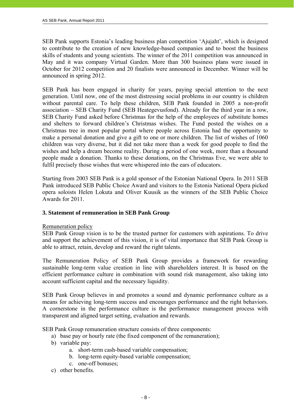SEB Pank supports Estonia's leading business plan competition 'Ajujaht', which is designed to contribute to the creation of new knowledge-based companies and to boost the business skills of students and young scientists. The winner of the 2011 competition was announced in May and it was company Virtual Garden. More than 300 business plans were issued in October for 2012 competition and 20 finalists were announced in December. Winner will be announced in spring 2012.

SEB Pank has been engaged in charity for years, paying special attention to the next generation. Until now, one of the most distressing social problems in our country is children without parental care. To help these children, SEB Pank founded in 2005 a non-profit association – SEB Charity Fund (SEB Heategevusfond). Already for the third year in a row, SEB Charity Fund asked before Christmas for the help of the employees of substitute homes and shelters to forward children's Christmas wishes. The Fund posted the wishes on a Christmas tree in most popular portal where people across Estonia had the opportunity to make a personal donation and give a gift to one or more children. The list of wishes of 1060 children was very diverse, but it did not take more than a week for good people to find the wishes and help a dream become reality. During a period of one week, more than a thousand people made a donation. Thanks to these donations, on the Christmas Eve, we were able to fulfil precisely those wishes that were whispered into the ears of educators.

Starting from 2003 SEB Pank is a gold sponsor of the Estonian National Opera. In 2011 SEB Pank introduced SEB Public Choice Award and visitors to the Estonia National Opera picked opera soloists Helen Lokuta and Oliver Kuusik as the winners of the SEB Public Choice Awards for 2011.

# **3. Statement of remuneration in SEB Pank Group**

# Remuneration policy

SEB Pank Group vision is to be the trusted partner for customers with aspirations. To drive and support the achievement of this vision, it is of vital importance that SEB Pank Group is able to attract, retain, develop and reward the right talents.

The Remuneration Policy of SEB Pank Group provides a framework for rewarding sustainable long-term value creation in line with shareholders interest. It is based on the efficient performance culture in combination with sound risk management, also taking into account sufficient capital and the necessary liquidity.

SEB Pank Group believes in and promotes a sound and dynamic performance culture as a means for achieving long-term success and encourages performance and the right behaviors. A cornerstone in the performance culture is the performance management process with transparent and aligned target setting, evaluation and rewards.

SEB Pank Group remuneration structure consists of three components:

- a) base pay or hourly rate (the fixed component of the remuneration);
- b) variable pay:
	- a. short-term cash-based variable compensation;
	- b. long-term equity-based variable compensation;
	- c. one-off bonuses;
- c) other benefits.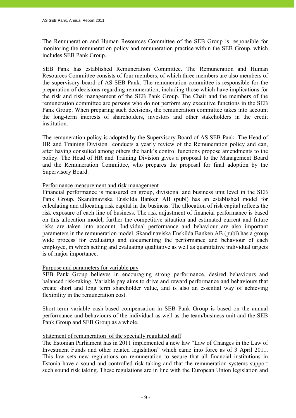The Remuneration and Human Resources Committee of the SEB Group is responsible for monitoring the remuneration policy and remuneration practice within the SEB Group, which includes SEB Pank Group.

SEB Pank has established Remuneration Committee. The Remuneration and Human Resources Committee consists of four members, of which three members are also members of the supervisory board of AS SEB Pank. The remuneration committee is responsible for the preparation of decisions regarding remuneration, including those which have implications for the risk and risk management of the SEB Pank Group. The Chair and the members of the remuneration committee are persons who do not perform any executive functions in the SEB Pank Group. When preparing such decisions, the remuneration committee takes into account the long-term interests of shareholders, investors and other stakeholders in the credit institution.

The remuneration policy is adopted by the Supervisory Board of AS SEB Pank. The Head of HR and Training Division conducts a yearly review of the Remuneration policy and can, after having consulted among others the bank's control functions propose amendments to the policy. The Head of HR and Training Division gives a proposal to the Management Board and the Remuneration Committee, who prepares the proposal for final adoption by the Supervisory Board.

# Performance measurement and risk management

Financial performance is measured on group, divisional and business unit level in the SEB Pank Group. Skandinaviska Enskilda Banken AB (publ) has an established model for calculating and allocating risk capital in the business. The allocation of risk capital reflects the risk exposure of each line of business. The risk adjustment of financial performance is based on this allocation model, further the competitive situation and estimated current and future risks are taken into account. Individual performance and behaviour are also important parameters in the remuneration model. Skandinaviska Enskilda Banken AB (publ) has a group wide process for evaluating and documenting the performance and behaviour of each employee, in which setting and evaluating qualitative as well as quantitative individual targets is of major importance.

# Purpose and parameters for variable pay

SEB Pank Group believes in encouraging strong performance, desired behaviours and balanced risk-taking. Variable pay aims to drive and reward performance and behaviours that create short and long term shareholder value, and is also an essential way of achieving flexibility in the remuneration cost.

Short-term variable cash-based compensation in SEB Pank Group is based on the annual performance and behaviours of the individual as well as the team/business unit and the SEB Pank Group and SEB Group as a whole.

# Statement of remuneration of the specially regulated staff

The Estonian Parliament has in 2011 implemented a new law "Law of Changes in the Law of Investment Funds and other related legislation" which came into force as of 3 April 2011. This law sets new regulations on remuneration to secure that all financial institutions in Estonia have a sound and controlled risk taking and that the remuneration systems support such sound risk taking. These regulations are in line with the European Union legislation and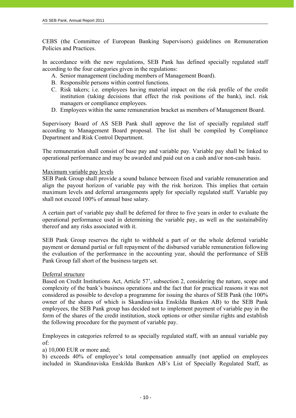CEBS (the Committee of European Banking Supervisors) guidelines on Remuneration Policies and Practices.

In accordance with the new regulations, SEB Pank has defined specially regulated staff according to the four categories given in the regulations:

- A. Senior management (including members of Management Board).
- B. Responsible persons within control functions.
- C. Risk takers; i.e. employees having material impact on the risk profile of the credit institution (taking decisions that effect the risk positions of the bank), incl. risk managers or compliance employees.
- D. Employees within the same remuneration bracket as members of Management Board.

Supervisory Board of AS SEB Pank shall approve the list of specially regulated staff according to Management Board proposal. The list shall be compiled by Compliance Department and Risk Control Department.

The remuneration shall consist of base pay and variable pay. Variable pay shall be linked to operational performance and may be awarded and paid out on a cash and/or non-cash basis.

# Maximum variable pay levels

SEB Pank Group shall provide a sound balance between fixed and variable remuneration and align the payout horizon of variable pay with the risk horizon. This implies that certain maximum levels and deferral arrangements apply for specially regulated staff. Variable pay shall not exceed 100% of annual base salary.

A certain part of variable pay shall be deferred for three to five years in order to evaluate the operational performance used in determining the variable pay, as well as the sustainability thereof and any risks associated with it.

SEB Pank Group reserves the right to withhold a part of or the whole deferred variable payment or demand partial or full repayment of the disbursed variable remuneration following the evaluation of the performance in the accounting year, should the performance of SEB Pank Group fall short of the business targets set.

# Deferral structure

Based on Credit Institutions Act, Article 57', subsection 2, considering the nature, scope and complexity of the bank's business operations and the fact that for practical reasons it was not considered as possible to develop a programme for issuing the shares of SEB Pank (the 100% owner of the shares of which is Skandinaviska Enskilda Banken AB) to the SEB Pank employees, the SEB Pank group has decided not to implement payment of variable pay in the form of the shares of the credit institution, stock options or other similar rights and establish the following procedure for the payment of variable pay.

Employees in categories referred to as specially regulated staff, with an annual variable pay of:

a) 10,000 EUR or more and;

b) exceeds 40% of employee's total compensation annually (not applied on employees included in Skandinaviska Enskilda Banken AB's List of Specially Regulated Staff, as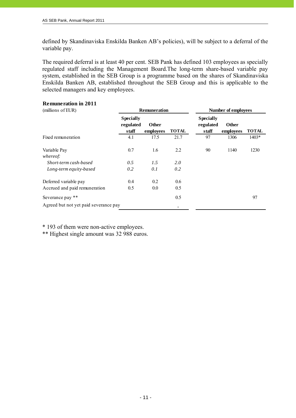defined by Skandinaviska Enskilda Banken AB's policies), will be subject to a deferral of the variable pay.

The required deferral is at least 40 per cent. SEB Pank has defined 103 employees as specially regulated staff including the Management Board.The long-term share-based variable pay system, established in the SEB Group is a programme based on the shares of Skandinaviska Enskilda Banken AB, established throughout the SEB Group and this is applicable to the selected managers and key employees.

| wumuntumon m sori<br>(millions of EUR) |                                        | <b>Remuneration</b>       |              | <b>Number of employees</b>             |                           |              |
|----------------------------------------|----------------------------------------|---------------------------|--------------|----------------------------------------|---------------------------|--------------|
|                                        | <b>Specially</b><br>regulated<br>staff | <b>Other</b><br>employees | <b>TOTAL</b> | <b>Specially</b><br>regulated<br>staff | <b>Other</b><br>employees | <b>TOTAL</b> |
| Fixed remuneration                     | 4.1                                    | 17.5                      | 21.7         | 97                                     | 1306                      | $1403*$      |
| Variable Pay                           | 0.7                                    | 1.6                       | 2.2          | 90                                     | 1140                      | 1230         |
| whereof:                               |                                        |                           |              |                                        |                           |              |
| Short-term cash-based                  | 0.5                                    | 1.5                       | 2.0          |                                        |                           |              |
| Long-term equity-based                 | 0.2                                    | 0.1                       | 0.2          |                                        |                           |              |
| Deferred variable pay                  | 0.4                                    | 0.2                       | 0.6          |                                        |                           |              |
| Accrued and paid remuneration          | 0.5                                    | 0.0                       | 0.5          |                                        |                           |              |
| Severance pay **                       |                                        |                           | 0.5          |                                        |                           | 97           |
| Agreed but not yet paid severance pay  |                                        |                           |              |                                        |                           |              |

# **Remuneration in 2011**

\* 193 of them were non-active employees.

\*\* Highest single amount was 32 988 euros.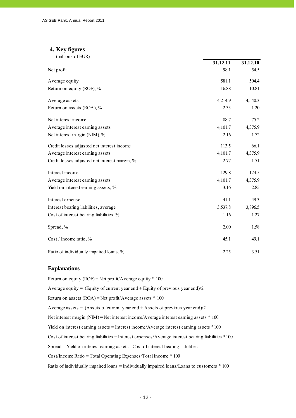#### **4. Key figures**

j

(millions of EUR)

|                                               | 31.12.11 | 31.12.10 |
|-----------------------------------------------|----------|----------|
| Net profit                                    | 98.1     | 54.5     |
| Average equity                                | 581.1    | 504.4    |
| Return on equity (ROE), %                     | 16.88    | 10.81    |
| Average assets                                | 4,214.9  | 4,540.3  |
| Return on assets (ROA), %                     | 2.33     | 1.20     |
| Net interest income                           | 88.7     | 75.2     |
| Average interest earning assets               | 4,101.7  | 4,375.9  |
| Net interest margin (NIM), %                  | 2.16     | 1.72     |
| Credit losses adjusted net interest income    | 113.5    | 66.1     |
| Average interest earning assets               | 4,101.7  | 4,375.9  |
| Credit losses adjusted net interest margin, % | 2.77     | 1.51     |
| Interest income                               | 129.8    | 124.5    |
| Average interest earning assets               | 4,101.7  | 4,375.9  |
| Yield on interest earning assets, %           | 3.16     | 2.85     |
| Interest expense                              | 41.1     | 49.3     |
| Interest bearing liabilities, average         | 3,537.8  | 3,896.5  |
| Cost of interest bearing liabilities, %       | 1.16     | 1.27     |
| Spread, %                                     | 2.00     | 1.58     |
| Cost / Income ratio, %                        | 45.1     | 49.1     |
| Ratio of individually impaired loans, %       | 2.25     | 3.51     |

#### **Explanations**

Return on equity (ROE) = Net profit/Average equity  $*$  100 Average equity = (Equity of current year end + Equity of previous year end)/2 Return on assets  $(ROA)$  = Net profit/Average assets  $* 100$ Average assets =  $(Assets of current year end + Assets of previous year end)/2$ Spread = Yield on interest earning assets - Cost of interest bearing liabilities Cost/Income Ratio = Total Operating Expenses/Total Income \* 100 Cost of interest bearing liabilities = Interest expenses/Average interest bearing liabilities \*100 Ratio of individually impaired loans = Individually impaired loans/Loans to customers \* 100 Net interest margin (NIM) = Net interest income/Average interest earning assets \* 100 Yield on interest earning assets = Interest income/Average interest earning assets \*100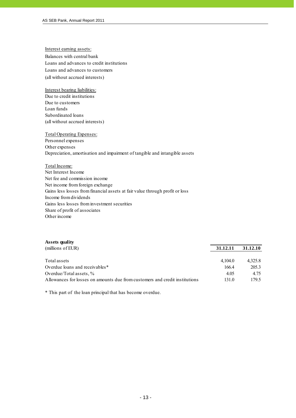Interest earning assets: Balances with central bank Loans and advances to credit institutions (all without accrued interests) Loans and advances to customers

Interest bearing liabilities: Due to credit institutions Due to customers Loan funds Subordinated loans (all without accrued interests)

Total Operating Expenses: Personnel expenses Other expenses Depreciation, amortisation and impairment of tangible and intangible assets

#### Total Income:

Net Interest Income Net fee and commission income Net income from foreign exchange Gains less losses from financial assets at fair value through profit or loss Income from dividends Gains less losses from investment securities Share of profit of associates Other income

| <b>Assets quality</b>                                                       |          |          |
|-----------------------------------------------------------------------------|----------|----------|
| (millions of EUR)                                                           | 31.12.11 | 31.12.10 |
| Total assets                                                                | 4.104.0  | 4.325.8  |
| Overdue loans and receivables*                                              | 166.4    | 205.3    |
| Overdue/Total assets, $\%$                                                  | 4.05     | 4.75     |
| Allowances for losses on amounts due from customers and credit institutions | 131.0    | 179.5    |

\* This part of the loan principal that has become overdue.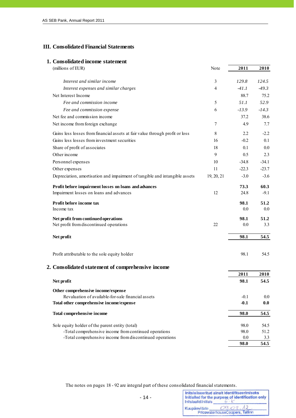# **III. Consolidated Financial Statements**

#### **1. Consolidated income statement**

| (millions of EUR)                                                            | Note       | 2011    | 2010    |
|------------------------------------------------------------------------------|------------|---------|---------|
| Interest and similar income                                                  | 3          | 129.8   | 124.5   |
| Interest expenses and similar charges                                        | 4          | $-41.1$ | $-49.3$ |
| Net Interest Income                                                          |            | 88.7    | 75.2    |
| Fee and commission income                                                    | 5          | 51.1    | 52.9    |
| Fee and commission expense                                                   | 6          | $-13.9$ | $-14.3$ |
| Net fee and commission income                                                |            | 37.2    | 38.6    |
| Net income from foreign exchange                                             | 7          | 4.9     | 7.7     |
| Gains less losses from financial assets at fair value through profit or loss | 8          | 2.2     | $-2.2$  |
| Gains less losses from investment securities                                 | 16         | $-0.2$  | 0.1     |
| Share of profit of associates                                                | 18         | 0.1     | 0.0     |
| Other income                                                                 | 9          | 0.5     | 2.3     |
| Personnel expenses                                                           | 10         | $-34.8$ | $-34.1$ |
| Other expenses                                                               | 11         | $-22.3$ | $-23.7$ |
| Depreciation, amortisation and impairment of tangible and intangible assets  | 19, 20, 21 | $-3.0$  | $-3.6$  |
| Profit before impairment losses on loans and advances                        |            | 73.3    | 60.3    |
| Impairment losses on loans and advances                                      | 12         | 24.8    | $-9.1$  |
| Profit before income tax                                                     |            | 98.1    | 51.2    |
| Income tax                                                                   |            | 0.0     | 0.0     |
| Net profit from continued operations                                         |            | 98.1    | 51.2    |
| Net profit from discontinued operations                                      | 22         | 0.0     | 3.3     |
| Net profit                                                                   |            | 98.1    | 54.5    |
| Profit attributable to the sole equity holder                                |            | 98.1    | 54.5    |
| 2. Consolidated statement of comprehensive income                            |            |         |         |
|                                                                              |            | 2011    | 2010    |
| Net profit                                                                   |            | 98.1    | 54.5    |
| Other comprehensive income/expense                                           |            |         |         |
| Revaluation of available-for-sale financial assets                           |            | $-0.1$  | 0.0     |
| Total other comprehensive income/expense                                     |            | $-0.1$  | 0.0     |
| <b>Total comprehensive income</b>                                            |            | 98.0    | 54.5    |
| Sole equity holder of the parent entity (total)                              |            | 98.0    | 54.5    |
| -Total comprehensive income from continued operations                        |            | 98.0    | 51.2    |
| -Total comprehensive income from discontinued operations                     |            | 0.0     | 3.3     |
|                                                                              |            | 98.0    | 54.5    |

The notes on pages 18 - 92 are integral part of these consolidated financial statements.

| Initsiaalid/initials | Initsialiseeritud ainult identifitseerimiseks<br>Initialled for the purpose of identification only |
|----------------------|----------------------------------------------------------------------------------------------------|
| Kuupäev/date         | 09.03<br>PricewaterhouseCoopers, Tallinn                                                           |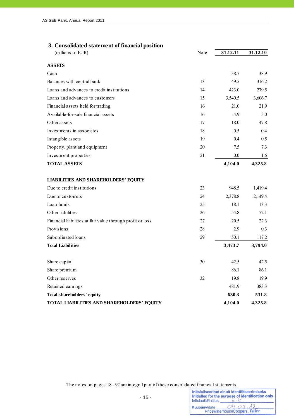# **3. Consolidated statement of financial position**

| (millions of EUR)                                          | Note | 31.12.11 | 31.12.10 |
|------------------------------------------------------------|------|----------|----------|
| <b>ASSETS</b>                                              |      |          |          |
| Cash                                                       |      | 38.7     | 38.9     |
| Balances with central bank                                 | 13   | 49.5     | 316.2    |
| Loans and advances to credit institutions                  | 14   | 423.0    | 279.5    |
| Loans and advances to customers                            | 15   | 3,540.5  | 3,606.7  |
| Financial assets held for trading                          | 16   | 21.0     | 21.9     |
| Available-for-sale financial assets                        | 16   | 4.9      | 5.0      |
| Other assets                                               | 17   | 18.0     | 47.8     |
| Investments in associates                                  | 18   | 0.5      | 0.4      |
| Intangible assets                                          | 19   | 0.4      | 0.5      |
| Property, plant and equipment                              | 20   | 7.5      | 7.3      |
| Investment properties                                      | 21   | 0.0      | 1.6      |
| <b>TOTAL ASSETS</b>                                        |      | 4,104.0  | 4,325.8  |
| <b>LIABILITIES AND SHAREHOLDERS' EQUITY</b>                |      |          |          |
| Due to credit institutions                                 | 23   | 948.5    | 1,419.4  |
| Due to customers                                           | 24   | 2,378.8  | 2,149.4  |
| Loan funds                                                 | 25   | 18.1     | 13.3     |
| Other liabilities                                          | 26   | 54.8     | 72.1     |
| Financial liabilities at fair value through profit or loss | 27   | 20.5     | 22.3     |
| Provisions                                                 | 28   | 2.9      | 0.3      |
| Subordinated loans                                         | 29   | 50.1     | 117.2    |
| <b>Total Liabilities</b>                                   |      | 3,473.7  | 3,794.0  |
|                                                            | 30   |          |          |
| Share capital                                              |      | 42.5     | 42.5     |
| Share premium                                              |      | 86.1     | 86.1     |
| Other reserves                                             | 32   | 19.8     | 19.9     |
| Retained earnings                                          |      | 481.9    | 383.3    |
| Total shareholders' equity                                 |      | 630.3    | 531.8    |
| TOTAL LIABILITIES AND SHAREHOLDERS' EQUITY                 |      | 4,104.0  | 4,325.8  |

The notes on pages 18 - 92 are integral part of these consolidated financial statements.

| Initsiaalid/initials | Initsialiseeritud ainult identifitseerimiseks<br>Initialled for the purpose of identification only |
|----------------------|----------------------------------------------------------------------------------------------------|
| Kuupäev/date         | 09.03<br>PricewaterhouseCoopers, Tallinn                                                           |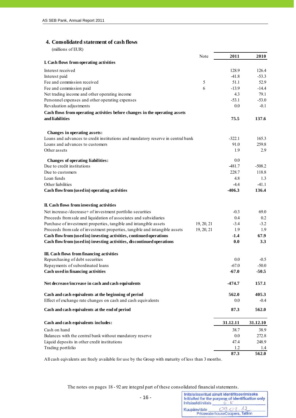#### **4. Consolidated statement of cash flows**

| (millions of EUR) |  |
|-------------------|--|

j

|                                                                                 | Note       | 2011     | 2010     |
|---------------------------------------------------------------------------------|------------|----------|----------|
| <b>I.</b> Cash flows from operating activities                                  |            |          |          |
| Interest received                                                               |            | 128.9    | 126.4    |
| Interest paid                                                                   |            | $-41.8$  | $-53.3$  |
| Fee and commission received                                                     | 5          | 51.1     | 52.9     |
| Fee and commission paid                                                         | 6          | $-13.9$  | $-14.4$  |
| Net trading income and other operating income                                   |            | 4.3      | 79.1     |
| Personnel expenses and other operating expenses                                 |            | $-53.1$  | $-53.0$  |
| Revaluation adjustments                                                         |            | 0.0      | $-0.1$   |
| Cash flows from operating activities before changes in the operating assets     |            |          |          |
| and liabilities                                                                 |            | 75.5     | 137.6    |
| Changes in operating assets:                                                    |            |          |          |
| Loans and advances to credit institutions and mandatory reserve in central bank |            | $-322.1$ | 165.3    |
| Loans and advances to customers                                                 |            | 91.0     | 259.8    |
| Other assets                                                                    |            | 1.9      | 2.9      |
| Changes of operating liabilities:                                               |            | 0.0      |          |
| Due to credit institutions                                                      |            | $-481.7$ | $-508.2$ |
| Due to customers                                                                |            | 228.7    | 118.8    |
| Loan funds                                                                      |            | 4.8      | 1.3      |
| Other liabilities                                                               |            | $-4.4$   | $-41.1$  |
| Cash flow from (used in) operating activities                                   |            | $-406.3$ | 136.4    |
| II. Cash flows from investing activities                                        |            |          |          |
| Net increase-/decrease+ of investment portfolio securities                      |            | $-0.3$   | 69.0     |
| Proceeds from sale and liquidation of associates and subsidiaries               |            | 0.4      | 0.2      |
| Purchase of investment properties, tangible and intangible assets               | 19, 20, 21 | $-3.4$   | $-3.2$   |
| Proceeds from sale of investment properties, tangible and intangible assets     | 19, 20, 21 | 1.9      | 1.9      |
| Cash flow from (used in) investing activities, continued operations             |            | $-1.4$   | 67.9     |
| Cash flow from (used in) investing activities, discontinued operations          |            | 0.0      | 3.3      |
| III. Cash flows from financing activities                                       |            |          |          |
| Repurchasing of debt securities                                                 |            | 0.0      | $-0.5$   |
| Repayments of subordinated loans                                                |            | $-67.0$  | $-50.0$  |
| Cash used in financing activities                                               |            | $-67.0$  | $-50.5$  |
| Net decrease/increase in cash and cash equivalents                              |            | -474.7   | 157.1    |
| Cash and cash equivalents at the beginning of period                            |            | 562.0    | 405.3    |
| Effect of exchange rate changes on cash and cash equivalents                    |            | 0.0      | $-0.4$   |
| Cash and cash equivalents at the end of period                                  |            | 87.3     | 562.0    |
| Cash and cash equivalents includes:                                             |            | 31.12.11 | 31.12.10 |
| Cash on hand                                                                    |            | 38.7     | 38.9     |
| Balances with the central bank without mandatory reserve                        |            | 0.0      | 272.8    |
| Liquid deposits in other credit institutions                                    |            | 47.4     | 248.9    |
| Trading portfolio                                                               |            | 1.2      | 1.4      |
|                                                                                 |            | 87.3     | 562.0    |
|                                                                                 |            |          |          |

All cash eqivalents are freely available for use by the Group with maturity of less than 3 months.

The notes on pages 18 - 92 are integral part of these consolidated financial statements.

Initsialiseeritud ainult identifitseerimiseks Initialled for the purpose of identification only

Kuupäev/date 09.03./2<br>PricewaterhouseCoopers, Tallinn

 $E E$ 

Initsiaalid/initials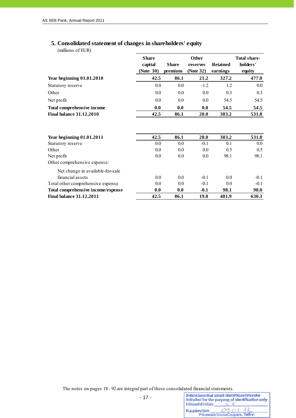#### **5. Consolidated statement of changes in shareholders' equity**

(millions of EUR)

|                                                                       | <b>Share</b><br>capital<br>(Note 30) | <b>Share</b><br>premium | <b>Other</b><br>reserves<br>(Note 32) | <b>Retained</b><br>earnings | <b>Total share-</b><br>holders'<br>equity |
|-----------------------------------------------------------------------|--------------------------------------|-------------------------|---------------------------------------|-----------------------------|-------------------------------------------|
| Year beginning $01.01.2010$                                           | 42.5                                 | 86.1                    | 21.2                                  | 327.2                       | 477.0                                     |
| Statutory reserve                                                     | 0.0                                  | 0.0                     | $-1.2$                                | 1.2                         | $0.0\,$                                   |
| Other                                                                 | 0.0                                  | $0.0\,$                 | 0.0                                   | 0.3                         | 0.3                                       |
| Net profit                                                            | 0.0                                  | 0.0                     | 0.0                                   | 54.5                        | 54.5                                      |
| Total comprehensive income                                            | 0.0                                  | 0.0                     | 0.0                                   | 54.5                        | 54.5                                      |
| <b>Final balance 31.12.2010</b>                                       | 42.5                                 | 86.1                    | 20.0                                  | 383.2                       | 531.8                                     |
| Year beginning 01.01.2011<br>Statutory reserve<br>Other               | 42.5<br>0.0<br>0.0                   | 86.1<br>0.0<br>0.0      | 20.0<br>$-0.1$<br>0.0                 | 383.2<br>0.1<br>0.5         | 531.8<br>$0.0\,$<br>0.5                   |
| Net profit                                                            | 0.0                                  | 0.0                     | 0.0                                   | 98.1                        | 98.1                                      |
| Other comprehensive expense:                                          |                                      |                         |                                       |                             |                                           |
| Net change in available-for-sale<br>financial assets                  | $0.0\,$                              | 0.0                     | $-0.1$                                | 0.0                         | $-0.1$                                    |
| Total other comprehensive expense                                     | 0.0                                  | 0.0                     | $-0.1$                                | 0.0                         | $-0.1$                                    |
| Total comprehensive income/expense<br><b>Final balance 31.12.2011</b> | 0.0<br>42.5                          | 0.0                     | $-0.1$                                | 98.1                        | 98.0                                      |
|                                                                       |                                      | 86.1                    | 19.8                                  | 481.9                       | 630.3                                     |

The notes on pages 18 - 92 are integral part of these consolidated financial statements.<br>  $-17$  -<br>  $\begin{array}{|l|l|}\n\hline\n\text{Initialiseeritud ainult identifies}}\n\hline\n\text{Initialled for the purpose of identification only } \n\hline\n\end{array}$ 

Initsiaalid/initials

Kuupäev/date

ev/date 09.03.12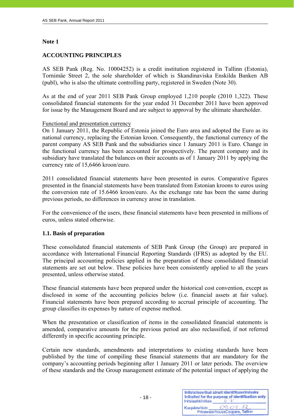# **Note 1**

j

# **ACCOUNTING PRINCIPLES**

AS SEB Pank (Reg. No. 10004252) is a credit institution registered in Tallinn (Estonia), Tornimäe Street 2, the sole shareholder of which is Skandinaviska Enskilda Banken AB (publ), who is also the ultimate controlling party, registered in Sweden (Note 30).

As at the end of year 2011 SEB Pank Group employed 1,210 people (2010 1,322). These consolidated financial statements for the year ended 31 December 2011 have been approved for issue by the Management Board and are subject to approval by the ultimate shareholder.

# Functional and presentation currency

On 1 January 2011, the Republic of Estonia joined the Euro area and adopted the Euro as its national currency, replacing the Estonian kroon. Consequently, the functional currency of the parent company AS SEB Pank and the subsidiaries since 1 January 2011 is Euro. Change in the functional currency has been accounted for prospectively. The parent company and its subsidiary have translated the balances on their accounts as of 1 January 2011 by applying the currency rate of 15,6466 kroon/euro.

2011 consolidated financial statements have been presented in euros. Comparative figures presented in the financial statements have been translated from Estonian kroons to euros using the conversion rate of 15.6466 kroon/euro. As the exchange rate has been the same during previous periods, no differences in currency arose in translation.

For the convenience of the users, these financial statements have been presented in millions of euros, unless stated otherwise.

# **1.1. Basis of preparation**

These consolidated financial statements of SEB Pank Group (the Group) are prepared in accordance with International Financial Reporting Standards (IFRS) as adopted by the EU. The principal accounting policies applied in the preparation of these consolidated financial statements are set out below. These policies have been consistently applied to all the years presented, unless otherwise stated.

These financial statements have been prepared under the historical cost convention, except as disclosed in some of the accounting policies below (i.e. financial assets at fair value). Financial statements have been prepared according to accrual principle of accounting. The group classifies its expenses by nature of expense method.

When the presentation or classification of items in the consolidated financial statements is amended, comparative amounts for the previous period are also reclassified, if not referred differently in specific accounting principle.

Certain new standards, amendments and interpretations to existing standards have been published by the time of compiling these financial statements that are mandatory for the company's accounting periods beginning after 1 January 2011 or later periods. The overview of these standards and the Group management estimate of the potential impact of applying the

| Initsiaalid/initials | Initsialiseeritud ainult identifitseerimiseks<br>Initialled for the purpose of identification only |
|----------------------|----------------------------------------------------------------------------------------------------|
| Kuupäev/date         | 09.03<br>PricewaterhouseCoopers, Tallinn                                                           |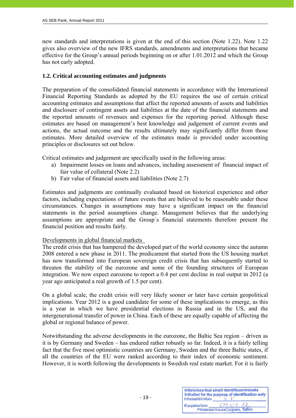new standards and interpretations is given at the end of this section (Note 1.22). Note 1.22 gives also overview of the new IFRS standards, amendments and interpretations that became effective for the Group's annual periods beginning on or after 1.01.2012 and which the Group has not early adopted.

# **1.2. Critical accounting estimates and judgments**

The preparation of the consolidated financial statements in accordance with the International Financial Reporting Standards as adopted by the EU requires the use of certain critical accounting estimates and assumptions that affect the reported amounts of assets and liabilities and disclosure of contingent assets and liabilities at the date of the financial statements and the reported amounts of revenues and expenses for the reporting period. Although these estimates are based on management's best knowledge and judgement of current events and actions, the actual outcome and the results ultimately may significantly differ from those estimates. More detailed overview of the estimates made is provided under accounting principles or disclosures set out below.

Critical estimates and judgement are specifically used in the following areas:

- a) Impairment losses on loans and advances, including assessment of financial impact of fair value of collateral (Note 2.2)
- b) Fair value of financial assets and liabilities (Note 2.7)

Estimates and judgments are continually evaluated based on historical experience and other factors, including expectations of future events that are believed to be reasonable under these circumstances. Changes in assumptions may have a significant impact on the financial statements in the period assumptions change. Management believes that the underlying assumptions are appropriate and the Group´s financial statements therefore present the financial position and results fairly.

# Developments in global financial markets

The credit crisis that has hampered the developed part of the world economy since the autumn 2008 entered a new phase in 2011. The predicament that started from the US housing market has now transformed into European sovereign credit crisis that has subsequently started to threaten the stability of the eurozone and some of the founding structures of European integration. We now expect eurozone to report a 0.4 per cent decline in real output in 2012 (a year ago anticipated a real growth of 1.5 per cent).

On a global scale, the credit crisis will very likely sooner or later have certain geopolitical implications. Year 2012 is a good candidate for some of these implications to emerge, as this is a year in which we have presidential elections in Russia and in the US, and the intergenerational transfer of power in China. Each of these are equally capable of affecting the global or regional balance of power.

Notwithstanding the adverse developments in the eurozone, the Baltic Sea region – driven as it is by Germany and Sweden – has endured rather robustly so far. Indeed, it is a fairly telling fact that the five most optimistic countries are Germany, Sweden and the three Baltic states, if all the countries of the EU were ranked according to their index of economic sentiment. However, it is worth following the developments in Swedish real estate market. For it is fairly

| Initsiaalid/initials | Initsialiseeritud ainult identifitseerimiseks<br>Initialled for the purpose of identification only |
|----------------------|----------------------------------------------------------------------------------------------------|
| Kuupäev/date         | 09.02<br>PricewaterhouseCoopers, Tallinn                                                           |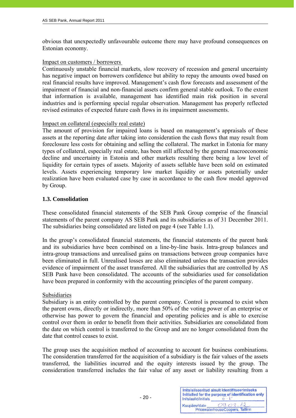obvious that unexpectedly unfavourable outcome there may have profound consequences on Estonian economy.

#### Impact on customers / borrowers

Continuously unstable financial markets, slow recovery of recession and general uncertainty has negative impact on borrowers confidence but ability to repay the amounts owed based on real financial results have improved. Management's cash flow forecasts and assessment of the impairment of financial and non-financial assets confirm general stable outlook. To the extent that information is available, management has identified main risk position in several industries and is performing special regular observation. Management has properly reflected revised estimates of expected future cash flows in its impairment assessments.

# Impact on collateral (especially real estate)

The amount of provision for impaired loans is based on management's appraisals of these assets at the reporting date after taking into consideration the cash flows that may result from foreclosure less costs for obtaining and selling the collateral. The market in Estonia for many types of collateral, especially real estate, has been still affected by the general macroeconomic decline and uncertainty in Estonia and other markets resulting there being a low level of liquidity for certain types of assets. Majority of assets sellable have been sold on estimated levels. Assets experiencing temporary low market liquidity or assets potentially under realization have been evaluated case by case in accordance to the cash flow model approved by Group.

# **1.3. Consolidation**

These consolidated financial statements of the SEB Pank Group comprise of the financial statements of the parent company AS SEB Pank and its subsidiaries as of 31 December 2011. The subsidiaries being consolidated are listed on page 4 (see Table 1.1).

In the group's consolidated financial statements, the financial statements of the parent bank and its subsidiaries have been combined on a line-by-line basis. Intra-group balances and intra-group transactions and unrealised gains on transactions between group companies have been eliminated in full. Unrealised losses are also eliminated unless the transaction provides evidence of impairment of the asset transferred. All the subsidiaries that are controlled by AS SEB Pank have been consolidated. The accounts of the subsidiaries used for consolidation have been prepared in conformity with the accounting principles of the parent company.

# Subsidiaries

Subsidiary is an entity controlled by the parent company. Control is presumed to exist when the parent owns, directly or indirectly, more than 50% of the voting power of an enterprise or otherwise has power to govern the financial and operating policies and is able to exercise control over them in order to benefit from their activities. Subsidiaries are consolidated from the date on which control is transferred to the Group and are no longer consolidated from the date that control ceases to exist.

The group uses the acquisition method of accounting to account for business combinations. The consideration transferred for the acquisition of a subsidiary is the fair values of the assets transferred, the liabilities incurred and the equity interests issued by the group. The consideration transferred includes the fair value of any asset or liability resulting from a

| Initsiaalid/initials | Initsialiseeritud ainult identifitseerimiseks<br>Initialled for the purpose of identification only |
|----------------------|----------------------------------------------------------------------------------------------------|
| Kuupäev/date         | 09.03<br>PricewaterhouseCoopers, Tallinn                                                           |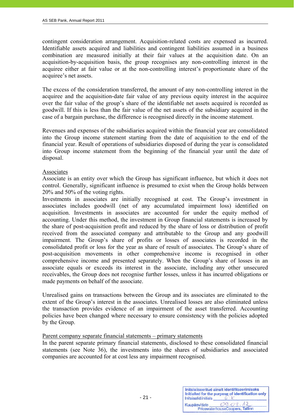contingent consideration arrangement. Acquisition-related costs are expensed as incurred. Identifiable assets acquired and liabilities and contingent liabilities assumed in a business combination are measured initially at their fair values at the acquisition date. On an acquisition-by-acquisition basis, the group recognises any non-controlling interest in the acquiree either at fair value or at the non-controlling interest's proportionate share of the acquiree's net assets.

The excess of the consideration transferred, the amount of any non-controlling interest in the acquiree and the acquisition-date fair value of any previous equity interest in the acquiree over the fair value of the group's share of the identifiable net assets acquired is recorded as goodwill. If this is less than the fair value of the net assets of the subsidiary acquired in the case of a bargain purchase, the difference is recognised directly in the income statement.

Revenues and expenses of the subsidiaries acquired within the financial year are consolidated into the Group income statement starting from the date of acquisition to the end of the financial year. Result of operations of subsidiaries disposed of during the year is consolidated into Group income statement from the beginning of the financial year until the date of disposal.

# Associates

Associate is an entity over which the Group has significant influence, but which it does not control. Generally, significant influence is presumed to exist when the Group holds between 20% and 50% of the voting rights.

Investments in associates are initially recognised at cost. The Group's investment in associates includes goodwill (net of any accumulated impairment loss) identified on acquisition. Investments in associates are accounted for under the equity method of accounting. Under this method, the investment in Group financial statements is increased by the share of post-acquisition profit and reduced by the share of loss or distribution of profit received from the associated company and attributable to the Group and any goodwill impairment. The Group's share of profits or losses of associates is recorded in the consolidated profit or loss for the year as share of result of associates. The Group's share of post-acquisition movements in other comprehensive income is recognised in other comprehensive income and presented separately. When the Group's share of losses in an associate equals or exceeds its interest in the associate, including any other unsecured receivables, the Group does not recognise further losses, unless it has incurred obligations or made payments on behalf of the associate.

Unrealised gains on transactions between the Group and its associates are eliminated to the extent of the Group's interest in the associates. Unrealised losses are also eliminated unless the transaction provides evidence of an impairment of the asset transferred. Accounting policies have been changed where necessary to ensure consistency with the policies adopted by the Group.

#### Parent company separate financial statements – primary statements

In the parent separate primary financial statements, disclosed to these consolidated financial statements (see Note 36), the investments into the shares of subsidiaries and associated companies are accounted for at cost less any impairment recognised.

| Initsiaalid/initials | Initsialiseeritud ainult identifitseerimiseks<br>Initialled for the purpose of identification only |
|----------------------|----------------------------------------------------------------------------------------------------|
| Kuupäev/date         | 09.03<br>PricewaterhouseCoopers, Tallinn                                                           |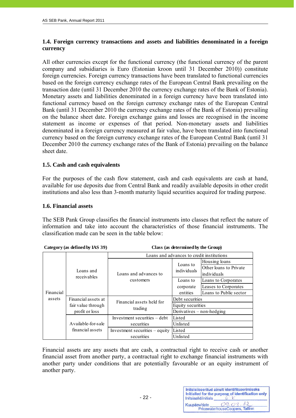# **1.4. Foreign currency transactions and assets and liabilities denominated in a foreign currency**

All other currencies except for the functional currency (the functional currency of the parent company and subsidiaries is Euro (Estonian kroon until 31 December 2010)) constitute foreign currencies. Foreign currency transactions have been translated to functional currencies based on the foreign currency exchange rates of the European Central Bank prevailing on the transaction date (until 31 December 2010 the currency exchange rates of the Bank of Estonia). Monetary assets and liabilities denominated in a foreign currency have been translated into functional currency based on the foreign currency exchange rates of the European Central Bank (until 31 December 2010 the currency exchange rates of the Bank of Estonia) prevailing on the balance sheet date. Foreign exchange gains and losses are recognised in the income statement as income or expenses of that period. Non-monetary assets and liabilities denominated in a foreign currency measured at fair value, have been translated into functional currency based on the foreign currency exchange rates of the European Central Bank (until 31 December 2010 the currency exchange rates of the Bank of Estonia) prevailing on the balance sheet date.

# **1.5. Cash and cash equivalents**

For the purposes of the cash flow statement, cash and cash equivalents are cash at hand, available for use deposits due from Central Bank and readily available deposits in other credit institutions and also less than 3-month maturity liquid securities acquired for trading purpose.

# **1.6. Financial assets**

The SEB Pank Group classifies the financial instruments into classes that reflect the nature of information and take into account the characteristics of those financial instruments. The classification made can be seen in the table below:

|           | Category (as defined by $14000$ )<br>Crass (as determined by the Group) |                                  |                                           |                        |  |
|-----------|-------------------------------------------------------------------------|----------------------------------|-------------------------------------------|------------------------|--|
|           |                                                                         |                                  | Loans and advances to credit institutions |                        |  |
|           |                                                                         |                                  |                                           | Housing loans          |  |
|           |                                                                         |                                  | Loans to                                  | Other loans to Private |  |
|           | Loans and<br>receivables                                                | Loans and advances to            | individuals                               | individuals            |  |
|           |                                                                         | customers                        | Loans to                                  | Loans to Corporates    |  |
|           |                                                                         |                                  | corporate                                 | Leases to Corporates   |  |
| Financial |                                                                         |                                  | entities                                  | Loans to Public sector |  |
| assets    | Financial assets at                                                     | Financial assets held for        | Debt securities                           |                        |  |
|           | fair value through                                                      | trading                          | Equity securities                         |                        |  |
|           | profit or loss                                                          |                                  | Derivatives $-$ non-hedging               |                        |  |
|           |                                                                         | Investment securities – debt     | Listed                                    |                        |  |
|           | Available-for-sale                                                      | securities                       | Unlisted                                  |                        |  |
|           | financial assets                                                        | Investment securities $-$ equity | Listed                                    |                        |  |
|           |                                                                         | securities                       | Unlisted                                  |                        |  |

**Category (as defined by IAS 39) Class (as determined by the Group)**

Financial assets are any assets that are cash, a contractual right to receive cash or another financial asset from another party, a contractual right to exchange financial instruments with another party under conditions that are potentially favourable or an equity instrument of another party.

| Initsiaalid/initials | Initsialiseeritud ainult identifitseerimiseks<br>Initialled for the purpose of identification only |
|----------------------|----------------------------------------------------------------------------------------------------|
| Kuupäev/date         | 09.03<br>PricewaterhouseCoopers, Tallinn                                                           |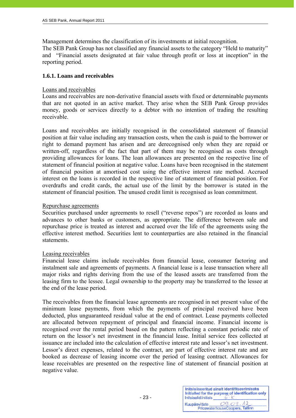Management determines the classification of its investments at initial recognition.

The SEB Pank Group has not classified any financial assets to the category "Held to maturity" and "Financial assets designated at fair value through profit or loss at inception" in the reporting period.

# **1.6.1. Loans and receivables**

# Loans and receivables

Loans and receivables are non-derivative financial assets with fixed or determinable payments that are not quoted in an active market. They arise when the SEB Pank Group provides money, goods or services directly to a debtor with no intention of trading the resulting receivable.

Loans and receivables are initially recognised in the consolidated statement of financial position at fair value including any transaction costs, when the cash is paid to the borrower or right to demand payment has arisen and are derecognised only when they are repaid or written-off, regardless of the fact that part of them may be recognised as costs through providing allowances for loans. The loan allowances are presented on the respective line of statement of financial position at negative value. Loans have been recognised in the statement of financial position at amortised cost using the effective interest rate method. Accrued interest on the loans is recorded in the respective line of statement of financial position. For overdrafts and credit cards, the actual use of the limit by the borrower is stated in the statement of financial position. The unused credit limit is recognised as loan commitment.

# Repurchase agreements

Securities purchased under agreements to resell ("reverse repos") are recorded as loans and advances to other banks or customers, as appropriate. The difference between sale and repurchase price is treated as interest and accrued over the life of the agreements using the effective interest method. Securities lent to counterparties are also retained in the financial statements.

# Leasing receivables

Financial lease claims include receivables from financial lease, consumer factoring and instalment sale and agreements of payments. A financial lease is a lease transaction where all major risks and rights deriving from the use of the leased assets are transferred from the leasing firm to the lessee. Legal ownership to the property may be transferred to the lessee at the end of the lease period.

The receivables from the financial lease agreements are recognised in net present value of the minimum lease payments, from which the payments of principal received have been deducted, plus unguaranteed residual value at the end of contract. Lease payments collected are allocated between repayment of principal and financial income. Financial income is recognised over the rental period based on the pattern reflecting a constant periodic rate of return on the lessor's net investment in the financial lease. Initial service fees collected at issuance are included into the calculation of effective interest rate and lessor's net investment. Lessor's direct expenses, related to the contract, are part of effective interest rate and are booked as decrease of leasing income over the period of leasing contract. Allowances for lease receivables are presented on the respective line of statement of financial position at negative value.

| Initsiaalid/initials | Initsialiseeritud ainult identifitseerimiseks<br>Initialled for the purpose of identification only |
|----------------------|----------------------------------------------------------------------------------------------------|
| Kuupäev/date         | 09.02<br>PricewaterhouseCoopers, Tallinn                                                           |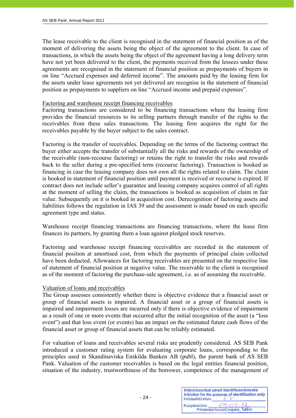The lease receivable to the client is recognised in the statement of financial position as of the moment of delivering the assets being the object of the agreement to the client. In case of transactions, in which the assets being the object of the agreement having a long delivery term have not yet been delivered to the client, the payments received from the lessees under these agreements are recognised in the statement of financial position as prepayments of buyers in on line "Accrued expenses and deferred income". The amounts paid by the leasing firm for the assets under lease agreements not yet delivered are recognise in the statement of financial position as prepayments to suppliers on line "Accrued income and prepaid expenses".

# Factoring and warehouse receipt financing receivables

Factoring transactions are considered to be financing transactions where the leasing firm provides the financial resources to its selling partners through transfer of the rights to the receivables from these sales transactions. The leasing firm acquires the right for the receivables payable by the buyer subject to the sales contract.

Factoring is the transfer of receivables. Depending on the terms of the factoring contract the buyer either accepts the transfer of substantially all the risks and rewards of the ownership of the receivable (non-recourse factoring) or retains the right to transfer the risks and rewards back to the seller during a pre-specified term (recourse factoring). Transaction is booked as financing in case the leasing company does not own all the rights related to claim. The claim is booked in statement of financial position until payment is received or recourse is expired. If contract does not include seller's guarantee and leasing company acquires control of all rights at the moment of selling the claim, the transactions is booked as acquisition of claim in fair value. Subsequently on it is booked in acquisition cost. Derecognition of factoring assets and liabilities follows the regulation in IAS 39 and the assessment is made based on each specific agreement type and status.

Warehouse receipt financing transactions are financing transactions, where the lease firm finances its partners, by granting them a loan against pledged stock reserves.

Factoring and warehouse receipt financing receivables are recorded in the statement of financial position at amortised cost, from which the payments of principal claim collected have been deducted. Allowances for factoring receivables are presented on the respective line of statement of financial position at negative value. The receivable to the client is recognised as of the moment of factoring the purchase-sale agreement, i.e. as of assuming the receivable.

# Valuation of loans and receivables

The Group assesses consistently whether there is objective evidence that a financial asset or group of financial assets is impaired. A financial asset or a group of financial assets is impaired and impairment losses are incurred only if there is objective evidence of impairment as a result of one or more events that occurred after the initial recognition of the asset (a "loss event") and that loss event (or events) has an impact on the estimated future cash flows of the financial asset or group of financial assets that can be reliably estimated.

For valuation of loans and receivables several risks are prudently considered. AS SEB Pank introduced a customer rating system for evaluating corporate loans, corresponding to the principles used in Skandinaviska Enskilda Banken AB (publ), the parent bank of AS SEB Pank. Valuation of the customer receivables is based on the legal entities financial position, situation of the industry, trustworthiness of the borrower, competence of the management of

| Initsiaalid/initials | Initsialiseeritud ainult identifitseerimiseks<br>Initialled for the purpose of identification only |
|----------------------|----------------------------------------------------------------------------------------------------|
| Kuupäev/date         | 09.02<br>PricewaterhouseCoopers, Tallinn                                                           |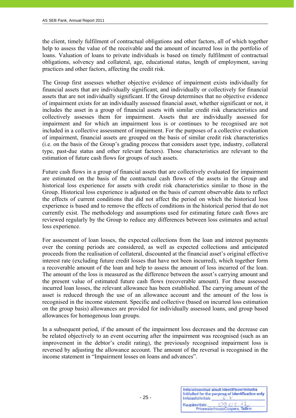the client, timely fulfilment of contractual obligations and other factors, all of which together help to assess the value of the receivable and the amount of incurred loss in the portfolio of loans. Valuation of loans to private individuals is based on timely fulfilment of contractual obligations, solvency and collateral, age, educational status, length of employment, saving practices and other factors, affecting the credit risk.

The Group first assesses whether objective evidence of impairment exists individually for financial assets that are individually significant, and individually or collectively for financial assets that are not individually significant. If the Group determines that no objective evidence of impairment exists for an individually assessed financial asset, whether significant or not, it includes the asset in a group of financial assets with similar credit risk characteristics and collectively assesses them for impairment. Assets that are individually assessed for impairment and for which an impairment loss is or continues to be recognised are not included in a collective assessment of impairment. For the purposes of a collective evaluation of impairment, financial assets are grouped on the basis of similar credit risk characteristics (i.e. on the basis of the Group's grading process that considers asset type, industry, collateral type, past-due status and other relevant factors). Those characteristics are relevant to the estimation of future cash flows for groups of such assets.

Future cash flows in a group of financial assets that are collectively evaluated for impairment are estimated on the basis of the contractual cash flows of the assets in the Group and historical loss experience for assets with credit risk characteristics similar to those in the Group. Historical loss experience is adjusted on the basis of current observable data to reflect the effects of current conditions that did not affect the period on which the historical loss experience is based and to remove the effects of conditions in the historical period that do not currently exist. The methodology and assumptions used for estimating future cash flows are reviewed regularly by the Group to reduce any differences between loss estimates and actual loss experience.

For assessment of loan losses, the expected collections from the loan and interest payments over the coming periods are considered, as well as expected collections and anticipated proceeds from the realisation of collateral, discounted at the financial asset's original effective interest rate (excluding future credit losses that have not been incurred), which together form a recoverable amount of the loan and help to assess the amount of loss incurred of the loan. The amount of the loss is measured as the difference between the asset's carrying amount and the present value of estimated future cash flows (recoverable amount). For these assessed incurred loan losses, the relevant allowance has been established. The carrying amount of the asset is reduced through the use of an allowance account and the amount of the loss is recognised in the income statement. Specific and collective (based on incurred loss estimation on the group basis) allowances are provided for individually assessed loans, and group based allowances for homogenous loan groups.

In a subsequent period, if the amount of the impairment loss decreases and the decrease can be related objectively to an event occurring after the impairment was recognised (such as an improvement in the debtor's credit rating), the previously recognised impairment loss is reversed by adjusting the allowance account. The amount of the reversal is recognised in the income statement in "Impairment losses on loans and advances".

 $-$  25 -  $-$  25 -

| Initsiaalid/initials | Initsialiseeritud ainult identifitseerimiseks<br>Initialled for the purpose of identification only |
|----------------------|----------------------------------------------------------------------------------------------------|
| Kuupäev/date         | 09.03.<br>PricewaterhouseCoopers, Tallinn                                                          |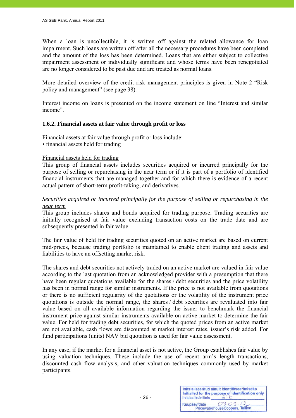When a loan is uncollectible, it is written off against the related allowance for loan impairment. Such loans are written off after all the necessary procedures have been completed and the amount of the loss has been determined. Loans that are either subject to collective impairment assessment or individually significant and whose terms have been renegotiated are no longer considered to be past due and are treated as normal loans.

More detailed overview of the credit risk management principles is given in Note 2 "Risk policy and management" (see page 38).

Interest income on loans is presented on the income statement on line "Interest and similar income".

# **1.6.2. Financial assets at fair value through profit or loss**

Financial assets at fair value through profit or loss include: • financial assets held for trading

# Financial assets held for trading

This group of financial assets includes securities acquired or incurred principally for the purpose of selling or repurchasing in the near term or if it is part of a portfolio of identified financial instruments that are managed together and for which there is evidence of a recent actual pattern of short-term profit-taking, and derivatives.

# *Securities acquired or incurred principally for the purpose of selling or repurchasing in the near term*

This group includes shares and bonds acquired for trading purpose. Trading securities are initially recognised at fair value excluding transaction costs on the trade date and are subsequently presented in fair value.

The fair value of held for trading securities quoted on an active market are based on current mid-prices, because trading portfolio is maintained to enable client trading and assets and liabilities to have an offsetting market risk.

The shares and debt securities not actively traded on an active market are valued in fair value according to the last quotation from an acknowledged provider with a presumption that there have been regular quotations available for the shares / debt securities and the price volatility has been in normal range for similar instruments. If the price is not available from quotations or there is no sufficient regularity of the quotations or the volatility of the instrument price quotations is outside the normal range, the shares / debt securities are revaluated into fair value based on all available information regarding the issuer to benchmark the financial instrument price against similar instruments available on active market to determine the fair value. For held for trading debt securities, for which the quoted prices from an active market are not available, cash flows are discounted at market interest rates, issuer's risk added. For fund participations (units) NAV bid quotation is used for fair value assessment.

In any case, if the market for a financial asset is not active, the Group establishes fair value by using valuation techniques. These include the use of recent arm's length transactions, discounted cash flow analysis, and other valuation techniques commonly used by market participants.

| Initsiaalid/initials | Initsialiseeritud ainult identifitseerimiseks<br>Initialled for the purpose of identification only |
|----------------------|----------------------------------------------------------------------------------------------------|
| Kuupäev/date         | 09.03<br>PricewaterhouseCoopers, Tallinn                                                           |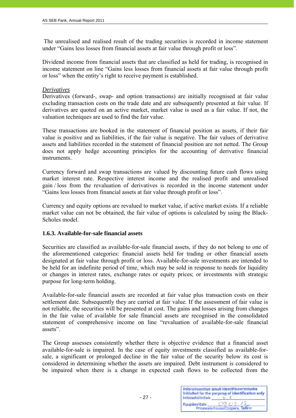The unrealised and realised result of the trading securities is recorded in income statement under "Gains less losses from financial assets at fair value through profit or loss".

Dividend income from financial assets that are classified as held for trading, is recognised in income statement on line "Gains less losses from financial assets at fair value through profit or loss" when the entity's right to receive payment is established.

#### *Derivatives*

j

Derivatives (forward-, swap- and option transactions) are initially recognised at fair value excluding transaction costs on the trade date and are subsequently presented at fair value. If derivatives are quoted on an active market, market value is used as a fair value. If not, the valuation techniques are used to find the fair value.

These transactions are booked in the statement of financial position as assets, if their fair value is positive and as liabilities, if the fair value is negative. The fair values of derivative assets and liabilities recorded in the statement of financial position are not netted. The Group does not apply hedge accounting principles for the accounting of derivative financial instruments.

Currency forward and swap transactions are valued by discounting future cash flows using market interest rate. Respective interest income and the realised profit and unrealised gain / loss from the revaluation of derivatives is recorded in the income statement under "Gains less losses from financial assets at fair value through profit or loss".

Currency and equity options are revalued to market value, if active market exists. If a reliable market value can not be obtained, the fair value of options is calculated by using the Black-Scholes model.

# **1.6.3. Available-for-sale financial assets**

Securities are classified as available-for-sale financial assets, if they do not belong to one of the aforementioned categories: financial assets held for trading or other financial assets designated at fair value through profit or loss. Available-for-sale investments are intended to be held for an indefinite period of time, which may be sold in response to needs for liquidity or changes in interest rates, exchange rates or equity prices; or investments with strategic purpose for long-term holding.

Available-for-sale financial assets are recorded at fair value plus transaction costs on their settlement date. Subsequently they are carried at fair value. If the assessment of fair value is not reliable, the securities will be presented at cost. The gains and losses arising from changes in the fair value of available for sale financial assets are recognised in the consolidated statement of comprehensive income on line "revaluation of available-for-sale financial assets".

The Group assesses consistently whether there is objective evidence that a financial asset available-for-sale is impaired. In the case of equity investments classified as available-forsale, a significant or prolonged decline in the fair value of the security below its cost is considered in determining whether the assets are impaired. Debt instrument is considered to be impaired when there is a change in expected cash flows to be collected from the

| Initsiaalid/initials | Initsialiseeritud ainult identifitseerimiseks<br>Initialled for the purpose of identification only |
|----------------------|----------------------------------------------------------------------------------------------------|
| Kuupäev/date         | 09.03<br>PricewaterhouseCoopers, Tallinn                                                           |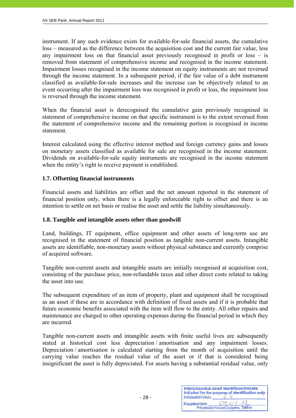instrument. If any such evidence exists for available-for-sale financial assets, the cumulative loss – measured as the difference between the acquisition cost and the current fair value, less any impairment loss on that financial asset previously recognised in profit or loss – is removed from statement of comprehensive income and recognised in the income statement. Impairment losses recognised in the income statement on equity instruments are not reversed through the income statement. In a subsequent period, if the fair value of a debt instrument classified as available-for-sale increases and the increase can be objectively related to an event occurring after the impairment loss was recognised in profit or loss, the impairment loss is reversed through the income statement.

When the financial asset is derecognised the cumulative gain previously recognised in statement of comprehensive income on that specific instrument is to the extent reversed from the statement of comprehensive income and the remaining portion is recognised in income statement.

Interest calculated using the effective interest method and foreign currency gains and losses on monetary assets classified as available for sale are recognised in the income statement. Dividends on available-for-sale equity instruments are recognised in the income statement when the entity's right to receive payment is established.

# **1.7. Offsetting financial instruments**

Financial assets and liabilities are offset and the net amount reported in the statement of financial position only, when there is a legally enforceable right to offset and there is an intention to settle on net basis or realise the asset and settle the liability simultaneously.

# **1.8. Tangible and intangible assets other than goodwill**

Land, buildings, IT equipment, office equipment and other assets of long-term use are recognised in the statement of financial position as tangible non-current assets. Intangible assets are identifiable, non-monetary assets without physical substance and currently comprise of acquired software.

Tangible non-current assets and intangible assets are initially recognised at acquisition cost, consisting of the purchase price, non-refundable taxes and other direct costs related to taking the asset into use.

The subsequent expenditure of an item of property, plant and equipment shall be recognised as an asset if these are in accordance with definition of fixed assets and if it is probable that future economic benefits associated with the item will flow to the entity. All other repairs and maintenance are charged to other operating expenses during the financial period in which they are incurred.

Tangible non-current assets and intangible assets with finite useful lives are subsequently stated at historical cost less depreciation / amortisation and any impairment losses. Depreciation / amortisation is calculated starting from the month of acquisition until the carrying value reaches the residual value of the asset or if that is considered being insignificant the asset is fully depreciated. For assets having a substantial residual value, only

| Initsialiseeritud ainult identifitseerimiseks<br>Initialled for the purpose of identification only<br>Initsiaalid/initials |                                          |
|----------------------------------------------------------------------------------------------------------------------------|------------------------------------------|
| Kuupäev/date                                                                                                               | 09.03<br>PricewaterhouseCoopers, Tallinn |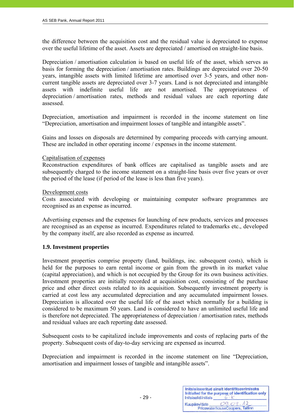the difference between the acquisition cost and the residual value is depreciated to expense over the useful lifetime of the asset. Assets are depreciated / amortised on straight-line basis.

Depreciation / amortisation calculation is based on useful life of the asset, which serves as basis for forming the depreciation / amortisation rates. Buildings are depreciated over 20-50 years, intangible assets with limited lifetime are amortised over 3-5 years, and other noncurrent tangible assets are depreciated over 3-7 years. Land is not depreciated and intangible assets with indefinite useful life are not amortised. The appropriateness of depreciation / amortisation rates, methods and residual values are each reporting date assessed.

Depreciation, amortisation and impairment is recorded in the income statement on line "Depreciation, amortisation and impairment losses of tangible and intangible assets".

Gains and losses on disposals are determined by comparing proceeds with carrying amount. These are included in other operating income / expenses in the income statement.

#### Capitalisation of expenses

Reconstruction expenditures of bank offices are capitalised as tangible assets and are subsequently charged to the income statement on a straight-line basis over five years or over the period of the lease (if period of the lease is less than five years).

#### Development costs

Costs associated with developing or maintaining computer software programmes are recognised as an expense as incurred.

Advertising expenses and the expenses for launching of new products, services and processes are recognised as an expense as incurred. Expenditures related to trademarks etc., developed by the company itself, are also recorded as expense as incurred.

# **1.9. Investment properties**

Investment properties comprise property (land, buildings, inc. subsequent costs), which is held for the purposes to earn rental income or gain from the growth in its market value (capital appreciation), and which is not occupied by the Group for its own business activities. Investment properties are initially recorded at acquisition cost, consisting of the purchase price and other direct costs related to its acquisition. Subsequently investment property is carried at cost less any accumulated depreciation and any accumulated impairment losses. Depreciation is allocated over the useful life of the asset which normally for a building is considered to be maximum 50 years. Land is considered to have an unlimited useful life and is therefore not depreciated. The appropriateness of depreciation / amortisation rates, methods and residual values are each reporting date assessed.

Subsequent costs to be capitalized include improvements and costs of replacing parts of the property. Subsequent costs of day-to-day servicing are expensed as incurred.

Depreciation and impairment is recorded in the income statement on line "Depreciation, amortisation and impairment losses of tangible and intangible assets".

| Initsiaalid/initials | Initsialiseeritud ainult identifitseerimiseks<br>Initialled for the purpose of identification only |
|----------------------|----------------------------------------------------------------------------------------------------|
| Kuupäev/date         | 09.03                                                                                              |
|                      | PricewaterhouseCoopers, Tallinn                                                                    |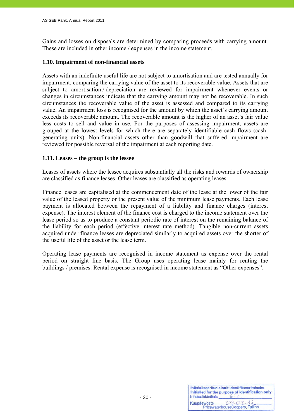Gains and losses on disposals are determined by comparing proceeds with carrying amount. These are included in other income / expenses in the income statement.

# **1.10. Impairment of non-financial assets**

Assets with an indefinite useful life are not subject to amortisation and are tested annually for impairment, comparing the carrying value of the asset to its recoverable value. Assets that are subject to amortisation / depreciation are reviewed for impairment whenever events or changes in circumstances indicate that the carrying amount may not be recoverable. In such circumstances the recoverable value of the asset is assessed and compared to its carrying value. An impairment loss is recognised for the amount by which the asset's carrying amount exceeds its recoverable amount. The recoverable amount is the higher of an asset's fair value less costs to sell and value in use. For the purposes of assessing impairment, assets are grouped at the lowest levels for which there are separately identifiable cash flows (cashgenerating units). Non-financial assets other than goodwill that suffered impairment are reviewed for possible reversal of the impairment at each reporting date.

# **1.11. Leases – the group is the lessee**

Leases of assets where the lessee acquires substantially all the risks and rewards of ownership are classified as finance leases. Other leases are classified as operating leases.

Finance leases are capitalised at the commencement date of the lease at the lower of the fair value of the leased property or the present value of the minimum lease payments. Each lease payment is allocated between the repayment of a liability and finance charges (interest expense). The interest element of the finance cost is charged to the income statement over the lease period so as to produce a constant periodic rate of interest on the remaining balance of the liability for each period (effective interest rate method). Tangible non-current assets acquired under finance leases are depreciated similarly to acquired assets over the shorter of the useful life of the asset or the lease term.

Operating lease payments are recognised in income statement as expense over the rental period on straight line basis. The Group uses operating lease mainly for renting the buildings / premises. Rental expense is recognised in income statement as "Other expenses".

| Initsiaalid/initials | Initsialiseeritud ainult identifitseerimiseks<br>Initialled for the purpose of identification only |
|----------------------|----------------------------------------------------------------------------------------------------|
| Kuupäev/date         | 09.03                                                                                              |
|                      | PricewaterhouseCoopers, Tallinn                                                                    |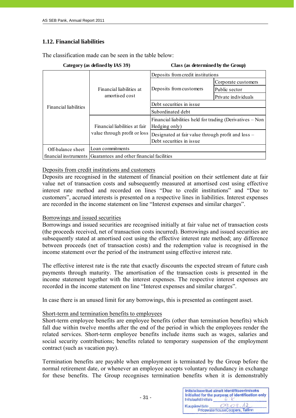# **1.12. Financial liabilities**

The classification made can be seen in the table below:

|                              | Category (as defined by IAS 39)                                 | Class (as determined by the Group)                                             |                     |
|------------------------------|-----------------------------------------------------------------|--------------------------------------------------------------------------------|---------------------|
| <b>Financial liabilities</b> | Financial liabilities at<br>amortised cost                      | Deposits from credit institutions                                              |                     |
|                              |                                                                 | Deposits from customers                                                        | Corporate customers |
|                              |                                                                 |                                                                                | Public sector       |
|                              |                                                                 |                                                                                | Private individuals |
|                              |                                                                 | Debt securities in issue                                                       |                     |
|                              |                                                                 | Subordinated debt                                                              |                     |
|                              | Financial liabilities at fair<br>value through profit or loss   | Financial liabilities held for trading (Derivatives – Non<br>Hedging only)     |                     |
|                              |                                                                 | Designated at fair value through profit and loss -<br>Debt securities in issue |                     |
| Off-balance sheet            | Loan commitments                                                |                                                                                |                     |
|                              | financial instruments Guarantees and other financial facilities |                                                                                |                     |

# Deposits from credit institutions and customers

Deposits are recognised in the statement of financial position on their settlement date at fair value net of transaction costs and subsequently measured at amortised cost using effective interest rate method and recorded on lines "Due to credit institutions" and "Due to customers", accrued interests is presented on a respective lines in liabilities. Interest expenses are recorded in the income statement on line "Interest expenses and similar charges".

# Borrowings and issued securities

Borrowings and issued securities are recognised initially at fair value net of transaction costs (the proceeds received, net of transaction costs incurred). Borrowings and issued securities are subsequently stated at amortised cost using the effective interest rate method; any difference between proceeds (net of transaction costs) and the redemption value is recognised in the income statement over the period of the instrument using effective interest rate.

The effective interest rate is the rate that exactly discounts the expected stream of future cash payments through maturity. The amortisation of the transaction costs is presented in the income statement together with the interest expenses. The respective interest expenses are recorded in the income statement on line "Interest expenses and similar charges".

In case there is an unused limit for any borrowings, this is presented as contingent asset.

# Short-term and termination benefits to employees

Short-term employee benefits are employee benefits (other than termination benefits) which fall due within twelve months after the end of the period in which the employees render the related services. Short-term employee benefits include items such as wages, salaries and social security contributions; benefits related to temporary suspension of the employment contract (such as vacation pay).

Termination benefits are payable when employment is terminated by the Group before the normal retirement date, or whenever an employee accepts voluntary redundancy in exchange for these benefits. The Group recognises termination benefits when it is demonstrably

| Initsiaalid/initials | Initsialiseeritud ainult identifitseerimiseks<br>Initialled for the purpose of identification only |
|----------------------|----------------------------------------------------------------------------------------------------|
| Kuupäev/date         | 09.02<br>PricewaterhouseCoopers, Tallinn                                                           |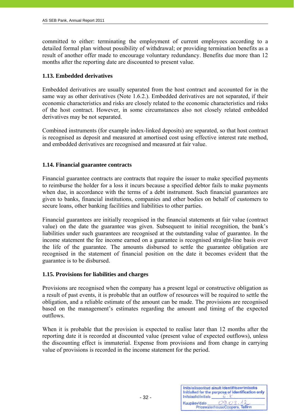committed to either: terminating the employment of current employees according to a detailed formal plan without possibility of withdrawal; or providing termination benefits as a result of another offer made to encourage voluntary redundancy. Benefits due more than 12 months after the reporting date are discounted to present value.

# **1.13. Embedded derivatives**

Embedded derivatives are usually separated from the host contract and accounted for in the same way as other derivatives (Note 1.6.2.). Embedded derivatives are not separated, if their economic characteristics and risks are closely related to the economic characteristics and risks of the host contract. However, in some circumstances also not closely related embedded derivatives may be not separated.

Combined instruments (for example index-linked deposits) are separated, so that host contract is recognised as deposit and measured at amortised cost using effective interest rate method, and embedded derivatives are recognised and measured at fair value.

# **1.14. Financial guarantee contracts**

Financial guarantee contracts are contracts that require the issuer to make specified payments to reimburse the holder for a loss it incurs because a specified debtor fails to make payments when due, in accordance with the terms of a debt instrument. Such financial guarantees are given to banks, financial institutions, companies and other bodies on behalf of customers to secure loans, other banking facilities and liabilities to other parties.

Financial guarantees are initially recognised in the financial statements at fair value (contract value) on the date the guarantee was given. Subsequent to initial recognition, the bank's liabilities under such guarantees are recognised at the outstanding value of guarantee. In the income statement the fee income earned on a guarantee is recognised straight-line basis over the life of the guarantee. The amounts disbursed to settle the guarantee obligation are recognised in the statement of financial position on the date it becomes evident that the guarantee is to be disbursed.

# **1.15. Provisions for liabilities and charges**

Provisions are recognised when the company has a present legal or constructive obligation as a result of past events, it is probable that an outflow of resources will be required to settle the obligation, and a reliable estimate of the amount can be made. The provisions are recognised based on the management's estimates regarding the amount and timing of the expected outflows.

When it is probable that the provision is expected to realise later than 12 months after the reporting date it is recorded at discounted value (present value of expected outflows), unless the discounting effect is immaterial. Expense from provisions and from change in carrying value of provisions is recorded in the income statement for the period.

| Initsiaalid/initials | Initsialiseeritud ainult identifitseerimiseks<br>Initialled for the purpose of identification only |
|----------------------|----------------------------------------------------------------------------------------------------|
| Kuupäev/date         | 09.03<br>PricewaterhouseCoopers, Tallinn                                                           |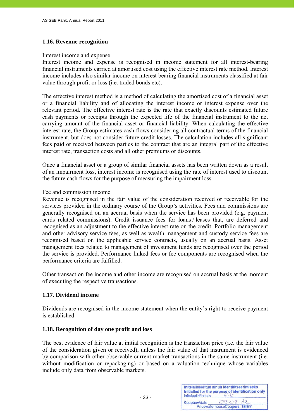# **1.16. Revenue recognition**

#### Interest income and expense

Interest income and expense is recognised in income statement for all interest-bearing financial instruments carried at amortised cost using the effective interest rate method. Interest income includes also similar income on interest bearing financial instruments classified at fair value through profit or loss (i.e. traded bonds etc).

The effective interest method is a method of calculating the amortised cost of a financial asset or a financial liability and of allocating the interest income or interest expense over the relevant period. The effective interest rate is the rate that exactly discounts estimated future cash payments or receipts through the expected life of the financial instrument to the net carrying amount of the financial asset or financial liability. When calculating the effective interest rate, the Group estimates cash flows considering all contractual terms of the financial instrument, but does not consider future credit losses. The calculation includes all significant fees paid or received between parties to the contract that are an integral part of the effective interest rate, transaction costs and all other premiums or discounts.

Once a financial asset or a group of similar financial assets has been written down as a result of an impairment loss, interest income is recognised using the rate of interest used to discount the future cash flows for the purpose of measuring the impairment loss.

# Fee and commission income

Revenue is recognised in the fair value of the consideration received or receivable for the services provided in the ordinary course of the Group's activities. Fees and commissions are generally recognised on an accrual basis when the service has been provided (e.g. payment cards related commissions). Credit issuance fees for loans / leases that, are deferred and recognised as an adjustment to the effective interest rate on the credit. Portfolio management and other advisory service fees, as well as wealth management and custody service fees are recognised based on the applicable service contracts, usually on an accrual basis. Asset management fees related to management of investment funds are recognised over the period the service is provided. Performance linked fees or fee components are recognised when the performance criteria are fulfilled.

Other transaction fee income and other income are recognised on accrual basis at the moment of executing the respective transactions.

# **1.17. Dividend income**

Dividends are recognised in the income statement when the entity's right to receive payment is established.

# **1.18. Recognition of day one profit and loss**

The best evidence of fair value at initial recognition is the transaction price (i.e. the fair value of the consideration given or received), unless the fair value of that instrument is evidenced by comparison with other observable current market transactions in the same instrument (i.e. without modification or repackaging) or based on a valuation technique whose variables include only data from observable markets.

| Initsialiseeritud ainult identifitseerimiseks<br>Initialled for the purpose of identification only<br>Initsiaalid/initials |                                          |
|----------------------------------------------------------------------------------------------------------------------------|------------------------------------------|
| Kuupäev/date                                                                                                               | 09.03<br>PricewaterhouseCoopers, Tallinn |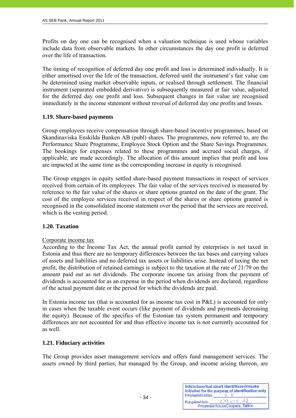Profits on day one can be recognised when a valuation technique is used whose variables include data from observable markets. In other circumstances the day one profit is deferred over the life of transaction.

The timing of recognition of deferred day one profit and loss is determined individually. It is either amortised over the life of the transaction, deferred until the instrument's fair value can be determined using market observable inputs, or realised through settlement. The financial instrument (separated embedded derivative) is subsequently measured at fair value, adjusted for the deferred day one profit and loss. Subsequent changes in fair value are recognised immediately in the income statement without reversal of deferred day one profits and losses.

# **1.19. Share-based payments**

Group employees receive compensation through share-based incentive programmes, based on Skandinaviska Enskilda Banken AB (publ) shares. The programmes, now referred to, are the Performance Share Programme, Employee Stock Option and the Share Savings Programmes. The bookings for expenses related to these programmes and accrued social charges, if applicable, are made accordingly. The allocation of this amount implies that profit and loss are impacted at the same time as the corresponding increase in equity is recognised.

The Group engages in equity settled share-based payment transactions in respect of services received from certain of its employees. The fair value of the services received is measured by reference to the fair value of the shares or share options granted on the date of the grant. The cost of the employee services received in respect of the shares or share options granted is recognised in the consolidated income statement over the period that the services are received, which is the vesting period.

# **1.20. Taxation**

# Corporate income tax

According to the Income Tax Act, the annual profit earned by enterprises is not taxed in Estonia and thus there are no temporary differences between the tax bases and carrying values of assets and liabilities and no deferred tax assets or liabilities arise. Instead of taxing the net profit, the distribution of retained earnings is subject to the taxation at the rate of 21/79 on the amount paid out as net dividends. The corporate income tax arising from the payment of dividends is accounted for as an expense in the period when dividends are declared, regardless of the actual payment date or the period for which the dividends are paid.

In Estonia income tax (that is accounted for as income tax cost in P&L) is accounted for only in cases when the taxable event occurs (like payment of dividends and payments decreasing the equity). Because of the specifics of the Estonian tax system permanent and temporary differences are not accounted for and thus effective income tax is not currently accounted for as well.

# **1.21. Fiduciary activities**

The Group provides asset management services and offers fund management services. The assets owned by third parties, but managed by the Group, and income arising thereon, are

Initsialiseeritud ainult identifitseerimiseks Initialled for the purpose of identification only Initsiaalid/initials  $09.03$ Kuunäev/date PricewaterhouseCoopers, Tallinn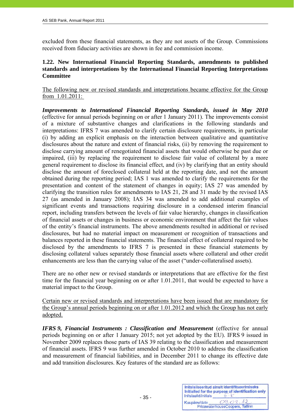excluded from these financial statements, as they are not assets of the Group. Commissions received from fiduciary activities are shown in fee and commission income.

# **1.22. New International Financial Reporting Standards, amendments to published standards and interpretations by the International Financial Reporting Interpretations Committee**

The following new or revised standards and interpretations became effective for the Group from 1.01.2011:

*Improvements to International Financial Reporting Standards, issued in May 2010* (effective for annual periods beginning on or after 1 January 2011). The improvements consist of a mixture of substantive changes and clarifications in the following standards and interpretations: IFRS 7 was amended to clarify certain disclosure requirements, in particular (i) by adding an explicit emphasis on the interaction between qualitative and quantitative disclosures about the nature and extent of financial risks, (ii) by removing the requirement to disclose carrying amount of renegotiated financial assets that would otherwise be past due or impaired, (iii) by replacing the requirement to disclose fair value of collateral by a more general requirement to disclose its financial effect, and (iv) by clarifying that an entity should disclose the amount of foreclosed collateral held at the reporting date, and not the amount obtained during the reporting period; IAS 1 was amended to clarify the requirements for the presentation and content of the statement of changes in equity; IAS 27 was amended by clarifying the transition rules for amendments to IAS 21, 28 and 31 made by the revised IAS 27 (as amended in January 2008); IAS 34 was amended to add additional examples of significant events and transactions requiring disclosure in a condensed interim financial report, including transfers between the levels of fair value hierarchy, changes in classification of financial assets or changes in business or economic environment that affect the fair values of the entity's financial instruments. The above amendments resulted in additional or revised disclosures, but had no material impact on measurement or recognition of transactions and balances reported in these financial statements. The financial effect of collateral required to be disclosed by the amendments to IFRS 7 is presented in these financial statements by disclosing collateral values separately those financial assets where collateral and other credit enhancements are less than the carrying value of the asset ("under-collateralised assets).

There are no other new or revised standards or interpretations that are effective for the first time for the financial year beginning on or after 1.01.2011, that would be expected to have a material impact to the Group.

Certain new or revised standards and interpretations have been issued that are mandatory for the Group's annual periods beginning on or after 1.01.2012 and which the Group has not early adopted.

*IFRS 9, Financial Instruments : Classification and Measurement (effective for annual***)** periods beginning on or after 1 January 2015; not yet adopted by the EU). IFRS 9 issued in November 2009 replaces those parts of IAS 39 relating to the classification and measurement of financial assets. IFRS 9 was further amended in October 2010 to address the classification and measurement of financial liabilities, and in December 2011 to change its effective date and add transition disclosures. Key features of the standard are as follows:

| Initsialiseeritud ainult identifitseerimiseks<br>Initialled for the purpose of identification only<br>Initsiaalid/initials |  |
|----------------------------------------------------------------------------------------------------------------------------|--|
| 09.02<br>Kuupäev/date<br>PricewaterhouseCoopers, Tallinn                                                                   |  |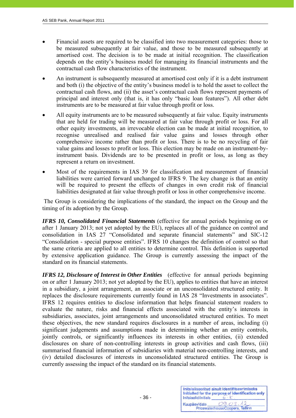- Financial assets are required to be classified into two measurement categories: those to be measured subsequently at fair value, and those to be measured subsequently at amortised cost. The decision is to be made at initial recognition. The classification depends on the entity's business model for managing its financial instruments and the contractual cash flow characteristics of the instrument.
- An instrument is subsequently measured at amortised cost only if it is a debt instrument and both (i) the objective of the entity's business model is to hold the asset to collect the contractual cash flows, and (ii) the asset's contractual cash flows represent payments of principal and interest only (that is, it has only "basic loan features"). All other debt instruments are to be measured at fair value through profit or loss.
- All equity instruments are to be measured subsequently at fair value. Equity instruments that are held for trading will be measured at fair value through profit or loss. For all other equity investments, an irrevocable election can be made at initial recognition, to recognise unrealised and realised fair value gains and losses through other comprehensive income rather than profit or loss. There is to be no recycling of fair value gains and losses to profit or loss. This election may be made on an instrument-byinstrument basis. Dividends are to be presented in profit or loss, as long as they represent a return on investment.
- Most of the requirements in IAS 39 for classification and measurement of financial liabilities were carried forward unchanged to IFRS 9. The key change is that an entity will be required to present the effects of changes in own credit risk of financial liabilities designated at fair value through profit or loss in other comprehensive income.

 The Group is considering the implications of the standard, the impact on the Group and the timing of its adoption by the Group.

*IFRS 10, Consolidated Financial Statements* (effective for annual periods beginning on or after 1 January 2013; not yet adopted by the EU), replaces all of the guidance on control and consolidation in IAS 27 "Consolidated and separate financial statements" and SIC-12 "Consolidation - special purpose entities". IFRS 10 changes the definition of control so that the same criteria are applied to all entities to determine control. This definition is supported by extensive application guidance. The Group is currently assessing the impact of the standard on its financial statements.

*IFRS 12, Disclosure of Interest in Other Entities* (effective for annual periods beginning on or after 1 January 2013; not yet adopted by the EU), applies to entities that have an interest in a subsidiary, a joint arrangement, an associate or an unconsolidated structured entity. It replaces the disclosure requirements currently found in IAS 28 "Investments in associates". IFRS 12 requires entities to disclose information that helps financial statement readers to evaluate the nature, risks and financial effects associated with the entity's interests in subsidiaries, associates, joint arrangements and unconsolidated structured entities. To meet these objectives, the new standard requires disclosures in a number of areas, including (i) significant judgements and assumptions made in determining whether an entity controls, jointly controls, or significantly influences its interests in other entities, (ii) extended disclosures on share of non-controlling interests in group activities and cash flows, (iii) summarised financial information of subsidiaries with material non-controlling interests, and (iv) detailed disclosures of interests in unconsolidated structured entities. The Group is currently assessing the impact of the standard on its financial statements.

| Initsiaalid/initials | Initsialiseeritud ainult identifitseerimiseks<br>Initialled for the purpose of identification only |
|----------------------|----------------------------------------------------------------------------------------------------|
| Kuupäev/date         | 09.03<br>PricewaterhouseCoopers, Tallinn                                                           |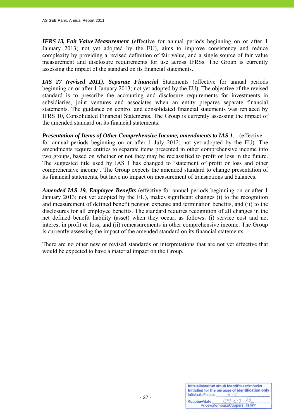*IFRS 13, Fair Value Measurement* (effective for annual periods beginning on or after 1 January 2013; not yet adopted by the EU), aims to improve consistency and reduce complexity by providing a revised definition of fair value, and a single source of fair value measurement and disclosure requirements for use across IFRSs. The Group is currently assessing the impact of the standard on its financial statements.

*IAS 27 (revised 2011), Separate Financial* Statements (effective for annual periods beginning on or after 1 January 2013; not yet adopted by the EU). The objective of the revised standard is to prescribe the accounting and disclosure requirements for investments in subsidiaries, joint ventures and associates when an entity prepares separate financial statements. The guidance on control and consolidated financial statements was replaced by IFRS 10, Consolidated Financial Statements. The Group is currently assessing the impact of the amended standard on its financial statements.

*Presentation of Items of Other Comprehensive Income, amendments to IAS 1*, (effective for annual periods beginning on or after 1 July 2012; not yet adopted by the EU). The amendments require entities to separate items presented in other comprehensive income into two groups, based on whether or not they may be reclassified to profit or loss in the future. The suggested title used by IAS 1 has changed to 'statement of profit or loss and other comprehensive income'. The Group expects the amended standard to change presentation of its financial statements, but have no impact on measurement of transactions and balances.

*Amended IAS 19, Employee Benefits* (effective for annual periods beginning on or after 1 January 2013; not yet adopted by the EU), makes significant changes (i) to the recognition and measurement of defined benefit pension expense and termination benefits, and (ii) to the disclosures for all employee benefits. The standard requires recognition of all changes in the net defined benefit liability (asset) when they occur, as follows: (i) service cost and net interest in profit or loss; and (ii) remeasurements in other comprehensive income. The Group is currently assessing the impact of the amended standard on its financial statements.

There are no other new or revised standards or interpretations that are not yet effective that would be expected to have a material impact on the Group.

| Initsiaalid/initials | Initsialiseeritud ainult identifitseerimiseks<br>Initialled for the purpose of identification only |
|----------------------|----------------------------------------------------------------------------------------------------|
| Kuupäev/date         | 09.03<br>PricewaterhouseCoopers, Tallinn                                                           |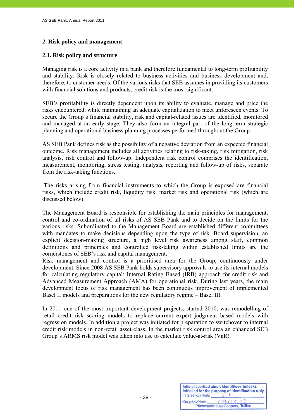## **2. Risk policy and management**

## **2.1. Risk policy and structure**

Managing risk is a core activity in a bank and therefore fundamental to long-term profitability and stability. Risk is closely related to business activities and business development and, therefore, to customer needs. Of the various risks that SEB assumes in providing its customers with financial solutions and products, credit risk is the most significant.

SEB's profitability is directly dependent upon its ability to evaluate, manage and price the risks encountered, while maintaining an adequate capitalization to meet unforeseen events. To secure the Group's financial stability, risk and capital-related issues are identified, monitored and managed at an early stage. They also form an integral part of the long-term strategic planning and operational business planning processes performed throughout the Group.

AS SEB Pank defines risk as the possibility of a negative deviation from an expected financial outcome. Risk management includes all activities relating to risk-taking, risk mitigation, risk analysis, risk control and follow-up. Independent risk control comprises the identification, measurement, monitoring, stress testing, analysis, reporting and follow-up of risks, separate from the risk-taking functions.

 The risks arising from financial instruments to which the Group is exposed are financial risks, which include credit risk, liquidity risk, market risk and operational risk (which are discussed below).

The Management Board is responsible for establishing the main principles for management, control and co-ordination of all risks of AS SEB Pank and to decide on the limits for the various risks. Subordinated to the Management Board are established different committees with mandates to make decisions depending upon the type of risk. Board supervision, an explicit decision-making structure, a high level risk awareness among staff, common definitions and principles and controlled risk-taking within established limits are the cornerstones of SEB's risk and capital management.

Risk management and control is a prioritised area for the Group, continuously under development. Since 2008 AS SEB Pank holds supervisory approvals to use its internal models for calculating regulatory capital: Internal Rating Based (IRB) approach for credit risk and Advanced Measurement Approach (AMA) for operational risk. During last years, the main development focus of risk management has been continuous improvement of implemented Basel II models and preparations for the new regulatory regime – Basel III.

In 2011 one of the most important development projects, started 2010, was remodelling of retail credit risk scoring models to replace current expert judgment based models with regression models. In addition a project was initiated for preparation to switchover to internal credit risk models in non-retail asset class. In the market risk control area an enhanced SEB Group's ARMS risk model was taken into use to calculate value-at-risk (VaR).

| Initsiaalid/initials | Initsialiseeritud ainult identifitseerimiseks<br>Initialled for the purpose of identification only |
|----------------------|----------------------------------------------------------------------------------------------------|
| Kuupäev/date         | 09.03                                                                                              |
|                      | PricewaterhouseCoopers, Tallinn                                                                    |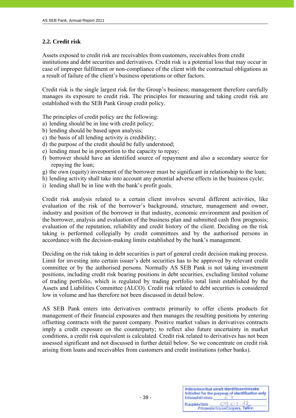# **2.2. Credit risk**

j

Assets exposed to credit risk are receivables from customers, receivables from credit institutions and debt securities and derivatives. Credit risk is a potential loss that may occur in case of improper fulfilment or non-compliance of the client with the contractual obligations as a result of failure of the client's business operations or other factors.

Credit risk is the single largest risk for the Group's business; management therefore carefully manages its exposure to credit risk. The principles for measuring and taking credit risk are established with the SEB Pank Group credit policy.

The principles of credit policy are the following:

- a) lending should be in line with credit policy;
- b) lending should be based upon analysis;
- c) the basis of all lending activity is credibility;
- d) the purpose of the credit should be fully understood;
- e) lending must be in proportion to the capacity to repay;
- f) borrower should have an identified source of repayment and also a secondary source for repaying the loan;
- g) the own (equity) investment of the borrower must be significant in relationship to the loan;
- h) lending activity shall take into account any potential adverse effects in the business cycle;
- i) lending shall be in line with the bank's profit goals.

Credit risk analysis related to a certain client involves several different activities, like evaluation of the risk of the borrower's background, structure, management and owner, industry and position of the borrower in that industry, economic environment and position of the borrower, analysis and evaluation of the business plan and submitted cash flow prognosis; evaluation of the reputation, reliability and credit history of the client. Deciding on the risk taking is performed collegially by credit committees and by the authorised persons in accordance with the decision-making limits established by the bank's management.

Deciding on the risk taking in debt securities is part of general credit decision making process. Limit for investing into certain issuer's debt securities has to be approved by relevant credit committee or by the authorised persons. Normally AS SEB Pank is not taking investment positions, including credit risk bearing positions in debt securities, excluding limited volume of trading portfolio, which is regulated by trading portfolio total limit established by the Assets and Liabilities Committee (ALCO). Credit risk related to debt securities is considered low in volume and has therefore not been discussed in detail below.

AS SEB Pank enters into derivatives contracts primarily to offer clients products for management of their financial exposures and then manages the resulting positions by entering offsetting contracts with the parent company. Positive market values in derivatives contracts imply a credit exposure on the counterparty; to reflect also future uncertainty in market conditions, a credit risk equivalent is calculated. Credit risk related to derivatives has not been assessed significant and not discussed in further detail below. So we concentrate on credit risk arising from loans and receivables from customers and credit institutions (other banks).

| Initsiaalid/initials | Initsialiseeritud ainult identifitseerimiseks<br>Initialled for the purpose of identification only |
|----------------------|----------------------------------------------------------------------------------------------------|
| Kuupäev/date         | 09.03<br>PricewaterhouseCoopers, Tallinn                                                           |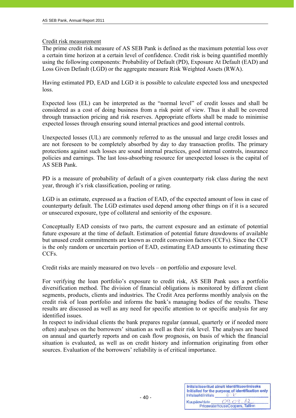## Credit risk measurement

The prime credit risk measure of AS SEB Pank is defined as the maximum potential loss over a certain time horizon at a certain level of confidence. Credit risk is being quantified monthly using the following components: Probability of Default (PD), Exposure At Default (EAD) and Loss Given Default (LGD) or the aggregate measure Risk Weighted Assets (RWA).

Having estimated PD, EAD and LGD it is possible to calculate expected loss and unexpected loss.

Expected loss (EL) can be interpreted as the "normal level" of credit losses and shall be considered as a cost of doing business from a risk point of view. Thus it shall be covered through transaction pricing and risk reserves. Appropriate efforts shall be made to minimise expected losses through ensuring sound internal practices and good internal controls.

Unexpected losses (UL) are commonly referred to as the unusual and large credit losses and are not foreseen to be completely absorbed by day to day transaction profits. The primary protections against such losses are sound internal practices, good internal controls, insurance policies and earnings. The last loss-absorbing resource for unexpected losses is the capital of AS SEB Pank.

PD is a measure of probability of default of a given counterparty risk class during the next year, through it's risk classification, pooling or rating.

LGD is an estimate, expressed as a fraction of EAD, of the expected amount of loss in case of counterparty default. The LGD estimates used depend among other things on if it is a secured or unsecured exposure, type of collateral and seniority of the exposure.

Conceptually EAD consists of two parts, the current exposure and an estimate of potential future exposure at the time of default. Estimation of potential future drawdowns of available but unused credit commitments are known as credit conversion factors (CCFs). Since the CCF is the only random or uncertain portion of EAD, estimating EAD amounts to estimating these CCFs.

Credit risks are mainly measured on two levels – on portfolio and exposure level.

For verifying the loan portfolio's exposure to credit risk, AS SEB Pank uses a portfolio diversification method. The division of financial obligations is monitored by different client segments, products, clients and industries*.* The Credit Area performs monthly analysis on the credit risk of loan portfolio and informs the bank's managing bodies of the results. These results are discussed as well as any need for specific attention to or specific analysis for any identified issues.

In respect to individual clients the bank prepares regular (annual, quarterly or if needed more often) analyses on the borrowers' situation as well as their risk level. The analyses are based on annual and quarterly reports and on cash flow prognosis, on basis of which the financial situation is evaluated, as well as on credit history and information originating from other sources. Evaluation of the borrowers' reliability is of critical importance.

| Initsiaalid/initials | Initsialiseeritud ainult identifitseerimiseks<br>Initialled for the purpose of identification only |
|----------------------|----------------------------------------------------------------------------------------------------|
| Kuupäev/date         | 09.03<br>PricewaterhouseCoopers, Tallinn                                                           |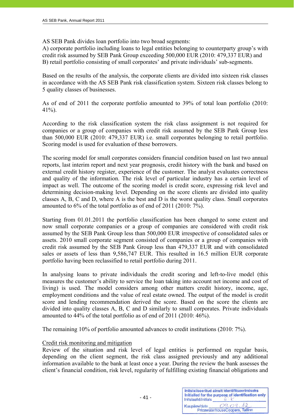AS SEB Pank divides loan portfolio into two broad segments:

A) corporate portfolio including loans to legal entities belonging to counterparty group's with credit risk assumed by SEB Pank Group exceeding 500,000 EUR (2010: 479,337 EUR) and B) retail portfolio consisting of small corporates' and private individuals' sub-segments.

Based on the results of the analysis, the corporate clients are divided into sixteen risk classes in accordance with the AS SEB Pank risk classification system. Sixteen risk classes belong to 5 quality classes of businesses.

As of end of 2011 the corporate portfolio amounted to 39% of total loan portfolio (2010:  $41\%$ ).

According to the risk classification system the risk class assignment is not required for companies or a group of companies with credit risk assumed by the SEB Pank Group less than 500,000 EUR (2010: 479,337 EUR) i.e. small corporates belonging to retail portfolio. Scoring model is used for evaluation of these borrowers.

The scoring model for small corporates considers financial condition based on last two annual reports, last interim report and next year prognosis, credit history with the bank and based on external credit history register, experience of the customer. The analyst evaluates correctness and quality of the information. The risk level of particular industry has a certain level of impact as well. The outcome of the scoring model is credit score, expressing risk level and determining decision-making level. Depending on the score clients are divided into quality classes A, B, C and D, where A is the best and D is the worst quality class. Small corporates amounted to 6% of the total portfolio as of end of 2011 (2010: 7%).

Starting from 01.01.2011 the portfolio classification has been changed to some extent and now small corporate companies or a group of companies are considered with credit risk assumed by the SEB Pank Group less than 500,000 EUR irrespective of consolidated sales or assets. 2010 small corporate segment consisted of companies or a group of companies with credit risk assumed by the SEB Pank Group less than 479,337 EUR and with consolidated sales or assets of less than 9,586,747 EUR. This resulted in 16.5 million EUR corporate portfolio having been reclassified to retail portfolio during 2011.

In analysing loans to private individuals the credit scoring and left-to-live model (this measures the customer's ability to service the loan taking into account net income and cost of living) is used. The model considers among other matters credit history, income, age, employment conditions and the value of real estate owned. The output of the model is credit score and lending recommendation derived the score. Based on the score the clients are divided into quality classes A, B, C and D similarly to small corporates. Private individuals amounted to 44% of the total portfolio as of end of 2011 (2010: 46%).

The remaining 10% of portfolio amounted advances to credit institutions (2010: 7%).

# Credit risk monitoring and mitigation

Review of the situation and risk level of legal entities is performed on regular basis, depending on the client segment, the risk class assigned previously and any additional information available to the bank at least once a year. During the review the bank assesses the client's financial condition, risk level, regularity of fulfilling existing financial obligations and

| Initsiaalid/initials | Initsialiseeritud ainult identifitseerimiseks<br>Initialled for the purpose of identification only |
|----------------------|----------------------------------------------------------------------------------------------------|
| Kuupäev/date         | 09.03<br>PricewaterhouseCoopers, Tallinn                                                           |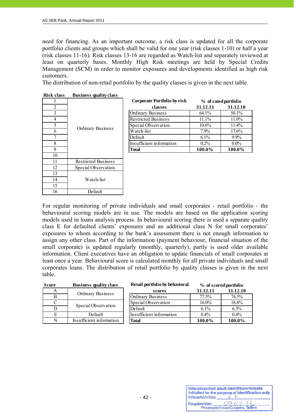need for financing. As an important outcome, a risk class is updated for all the corporate portfolio clients and groups which shall be valid for one year (risk classes 1-10) or half a year (risk classes 11-16). Risk classes 13-16 are regarded as Watch-list and separately reviewed at least on quarterly bases. Monthly High Risk meetings are held by Special Credits Management (SCM) in order to monitor exposures and developments identified as high risk customers.

The distribution of non-retail portfolio by the quality classes is given in the next table.

| <b>Risk class</b> | <b>Business quality class</b> |
|-------------------|-------------------------------|
|                   |                               |
|                   |                               |
|                   |                               |
|                   |                               |

11 Restricted Business 12 Special Observation

Watch-list

16 Default

10

13 14 15

|                |                   | <b>Corporate Portfolio by risk</b> | % of rated portfolio |          |  |  |
|----------------|-------------------|------------------------------------|----------------------|----------|--|--|
| $\overline{2}$ |                   | classes                            | 31.12.11             | 31.12.10 |  |  |
| 3              |                   | <b>Ordinary Business</b>           | 64.1%                | $50.1\%$ |  |  |
| 4              |                   | <b>Restricted Business</b>         | 11.1%                | $11.0\%$ |  |  |
| 5              |                   | Special Observation                | $10.6\%$             | 11.4%    |  |  |
| 6              | Ordinary Business | Watch-list                         | 7.9%                 | 17.6%    |  |  |
|                |                   | Default                            | $6.1\%$              | $9.9\%$  |  |  |
| 8              |                   | Insufficient information           |                      | $0.0\%$  |  |  |
| q,             |                   | <b>Total</b>                       | 100.0%               | 100.0%   |  |  |

For regular monitoring of private individuals and small corporates - retail portfolio - the behavioural scoring models are in use. The models are based on the application scoring models used in loans analysis process. In behavioural scoring there is used a separate quality class E for defaulted clients' exposures and an additional class N for small corporates' exposures to whom according to the bank's assessment there is not enough information to assign any other class. Part of the information (payment behaviour, financial situation of the small corporate) is updated regularly (monthly, quarterly), partly is used older available information. Client executives have an obligation to update financials of small corporates at least once a year. Behavioural score is calculated monthly for all private individuals and small corporates loans. The distribution of retail portfolio by quality classes is given in the next table.

| <b>Business quality class</b><br><b>Score</b> |                          | Retail portfolio by behavioral | % of scored portfolio |          |  |
|-----------------------------------------------|--------------------------|--------------------------------|-----------------------|----------|--|
| A                                             |                          | scores                         |                       | 31.12.10 |  |
| B                                             | Ordinary Business        | <b>Ordinary Business</b>       | 77.5%                 | 74.5%    |  |
|                                               |                          | Special Observation            | $16.0\%$              | 18.8%    |  |
| D                                             | Special Observation      | Default                        | $6.1\%$               | $6.3\%$  |  |
|                                               | Default                  | Insufficient information       | $0.4\%$               | $0.4\%$  |  |
| N                                             | Insufficient information | <b>Total</b>                   | 100.0%                | 100.0%   |  |

| Initsiaalid/initials | Initsialiseeritud ainult identifitseerimiseks<br>Initialled for the purpose of identification only |
|----------------------|----------------------------------------------------------------------------------------------------|
| Kuupäev/date         | 09.03<br>PricewaterhouseCoopers, Tallinn                                                           |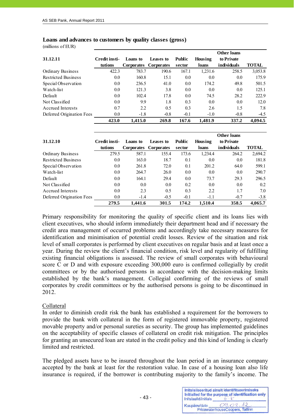## **Loans and advances to customers by quality classes (gross)**

(millions of EUR)

j

| $\overline{\phantom{a}}$   |               |                       |           |               |         | Other loans |              |
|----------------------------|---------------|-----------------------|-----------|---------------|---------|-------------|--------------|
| 31.12.11                   | Credit insti- | Loans to              | Leases to | <b>Public</b> | Housing | to Private  |              |
|                            | tutions       | Corporates Corporates |           | sector        | loans   | individuals | <b>TOTAL</b> |
| Ordinary Business          | 422.3         | 783.7                 | 190.6     | 167.1         | 1,231.6 | 258.5       | 3,053.8      |
| <b>Restricted Business</b> | 0.0           | 160.8                 | 15.1      | 0.0           | 0.0     | 0.0         | 175.9        |
| Special Observation        | 0.0           | 236.5                 | 41.0      | 0.0           | 174.2   | 49.8        | 501.5        |
| Watch-list                 | 0.0           | 121.3                 | 3.8       | 0.0           | 0.0     | 0.0         | 125.1        |
| Default                    | 0.0           | 102.4                 | 17.8      | 0.0           | 74.5    | 28.2        | 222.9        |
| Not Classified             | 0.0           | 9.9                   | 1.8       | 0.3           | 0.0     | 0.0         | 12.0         |
| Accrued Interests          | 0.7           | 2.2                   | 0.5       | 0.3           | 2.6     | 1.5         | 7.8          |
| Deferred Origination Fees  | 0.0           | $-1.8$                | $-0.8$    | $-0.1$        | $-1.0$  | $-0.8$      | $-4.5$       |
|                            | 423.0         | 1.415.0               | 269.8     | 167.6         | 1.481.9 | 337.2       | 4.094.5      |

|                            |               |                   |                   |               |         | <b>Other loans</b> |         |
|----------------------------|---------------|-------------------|-------------------|---------------|---------|--------------------|---------|
| 31.12.10                   | Credit insti- | Loans to          | Leases to         | <b>Public</b> | Housing | to Private         |         |
|                            | tutions       | <b>Corporates</b> | <b>Corporates</b> | sector        | loans   | individuals        | TOTAL   |
| Ordinary Business          | 279.5         | 587.1             | 155.4             | 173.6         | 1,234.4 | 264.2              | 2,694.2 |
| <b>Restricted Business</b> | 0.0           | 163.0             | 18.7              | 0.1           | 0.0     | 0.0                | 181.8   |
| Special Observation        | 0.0           | 261.8             | 72.0              | 0.1           | 201.2   | 64.0               | 599.1   |
| Watch-list                 | 0.0           | 264.7             | 26.0              | 0.0           | 0.0     | 0.0                | 290.7   |
| Default                    | 0.0           | 164.1             | 29.4              | 0.0           | 73.7    | 29.3               | 296.5   |
| Not Classified             | 0.0           | 0.0               | 0.0               | 0.2           | 0.0     | 0.0                | 0.2     |
| Accrued Interests          | 0.0           | 2.3               | 0.5               | 0.3           | 2.2     | 1.7                | 7.0     |
| Deferred Origination Fees  | 0.0           | $-1.4$            | $-0.5$            | $-0.1$        | $-1.1$  | $-0.7$             | $-3.8$  |
|                            | 279.5         | 1.441.6           | 301.5             | 174.2         | 1.510.4 | 358.5              | 4.065.7 |

Primary responsibility for monitoring the quality of specific client and its loans lies with client executives, who should inform immediately their department head and if necessary the credit area management of occurred problems and accordingly take necessary measures for identification and minimisation of potential credit losses. Review of the situation and risk level of small corporates is performed by client executives on regular basis and at least once a year. During the review the client's financial condition, risk level and regularity of fulfilling existing financial obligations is assessed. The review of small corporates with behavioural score C or D and with exposure exceeding 300,000 euro is confirmed collegially by credit committees or by the authorised persons in accordance with the decision-making limits established by the bank's management. Collegial confirming of the reviews of small corporates by credit committees or by the authorised persons is going to be discontinued in 2012.

## Collateral

In order to diminish credit risk the bank has established a requirement for the borrowers to provide the bank with collateral in the form of registered immovable property, registered movable property and/or personal sureties as security. The group has implemented guidelines on the acceptability of specific classes of collateral on credit risk mitigation. The principles for granting an unsecured loan are stated in the credit policy and this kind of lending is clearly limited and restricted.

The pledged assets have to be insured throughout the loan period in an insurance company accepted by the bank at least for the restoration value. In case of a housing loan also life insurance is required, if the borrower is contributing majority to the family's income. The

| Initsiaalid/initials | Initsialiseeritud ainult identifitseerimiseks<br>Initialled for the purpose of identification only |
|----------------------|----------------------------------------------------------------------------------------------------|
| Kuupäev/date         | 09.02<br>PricewaterhouseCoopers, Tallinn                                                           |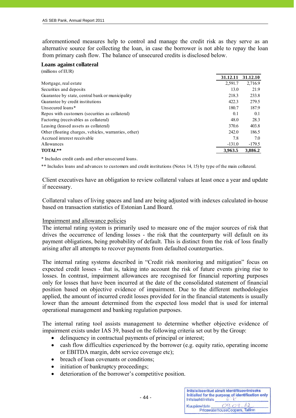aforementioned measures help to control and manage the credit risk as they serve as an alternative source for collecting the loan, in case the borrower is not able to repay the loan from primary cash flow. The balance of unsecured credits is disclosed below.

## **Loans against collateral**

(millions of EUR) **31.12.11 31.12.10** Mortgage, real estate 2,591.7 2,716.9 Securities and deposits 13.0 21.9 Guarantee by state, central bank or municipality 218.3 233.8 233.8 Guarantee by credit institutions 422.3 279.5 Unsecured loans\* 180.7 187.9 Repos with customers (securities as collateral)  $0.1$  0.1 0.1 0.1 Factoring (receivables as collateral)  $\frac{48.0}{28.3}$ Leasing (leased assets as collateral) 370.6 403.8 Other (floating charges, vehicles, warranties, other) 242.0 186.5 Accrued interest receivable 7.8 7.0 Allowances -131.0 -179.5 **TOTAL\*\* 3,963.5 3,886.2**

\* Includes credit cards and other unsecured loans.

\*\* Includes loans and advances to customers and credit institutions (Notes 14, 15) by type of the main collateral.

Client executives have an obligation to review collateral values at least once a year and update if necessary.

Collateral values of living spaces and land are being adjusted with indexes calculated in-house based on transaction statistics of Estonian Land Board.

#### Impairment and allowance policies

The internal rating system is primarily used to measure one of the major sources of risk that drives the occurrence of lending losses - the risk that the counterparty will default on its payment obligations, being probability of default. This is distinct from the risk of loss finally arising after all attempts to recover payments from defaulted counterparties.

The internal rating systems described in "Credit risk monitoring and mitigation" focus on expected credit losses - that is, taking into account the risk of future events giving rise to losses. In contrast, impairment allowances are recognised for financial reporting purposes only for losses that have been incurred at the date of the consolidated statement of financial position based on objective evidence of impairment. Due to the different methodologies applied, the amount of incurred credit losses provided for in the financial statements is usually lower than the amount determined from the expected loss model that is used for internal operational management and banking regulation purposes.

The internal rating tool assists management to determine whether objective evidence of impairment exists under IAS 39, based on the following criteria set out by the Group:

- delinquency in contractual payments of principal or interest;
- cash flow difficulties experienced by the borrower (e.g. equity ratio, operating income or EBITDA margin, debt service coverage etc);
- breach of loan covenants or conditions:
- initiation of bankruptcy proceedings;
- deterioration of the borrower's competitive position.

| Initsiaalid/initials | Initsialiseeritud ainult identifitseerimiseks<br>Initialled for the purpose of identification only |
|----------------------|----------------------------------------------------------------------------------------------------|
| Kuupäev/date         | 09.03<br>PricewaterhouseCoopers, Tallinn                                                           |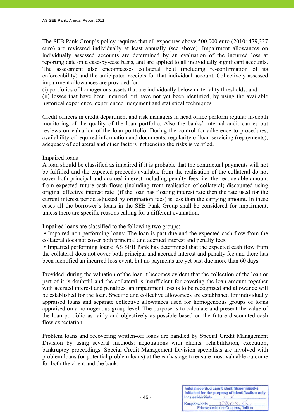The SEB Pank Group's policy requires that all exposures above 500,000 euro (2010: 479,337 euro) are reviewed individually at least annually (see above). Impairment allowances on individually assessed accounts are determined by an evaluation of the incurred loss at reporting date on a case-by-case basis, and are applied to all individually significant accounts. The assessment also encompasses collateral held (including re-confirmation of its enforceability) and the anticipated receipts for that individual account. Collectively assessed impairment allowances are provided for:

(i) portfolios of homogenous assets that are individually below materiality thresholds; and (ii) losses that have been incurred but have not yet been identified, by using the available historical experience, experienced judgement and statistical techniques.

Credit officers in credit department and risk managers in head office perform regular in-depth monitoring of the quality of the loan portfolio. Also the banks' internal audit carries out reviews on valuation of the loan portfolio. During the control for adherence to procedures, availability of required information and documents, regularity of loan servicing (repayments), adequacy of collateral and other factors influencing the risks is verified.

## Impaired loans

A loan should be classified as impaired if it is probable that the contractual payments will not be fulfilled and the expected proceeds available from the realisation of the collateral do not cover both principal and accrued interest including penalty fees, i.e. the recoverable amount from expected future cash flows (including from realisation of collateral) discounted using original effective interest rate (if the loan has floating interest rate then the rate used for the current interest period adjusted by origination fees) is less than the carrying amount. In these cases all the borrower's loans in the SEB Pank Group shall be considered for impairment, unless there are specific reasons calling for a different evaluation.

Impaired loans are classified to the following two groups:

• Impaired non-performing loans: The loan is past due and the expected cash flow from the collateral does not cover both principal and accrued interest and penalty fees;

 • Impaired performing loans: AS SEB Pank has determined that the expected cash flow from the collateral does not cover both principal and accrued interest and penalty fee and there has been identified an incurred loss event, but no payments are yet past due more than 60 days.

Provided, during the valuation of the loan it becomes evident that the collection of the loan or part of it is doubtful and the collateral is insufficient for covering the loan amount together with accrued interest and penalties, an impairment loss is to be recognised and allowance will be established for the loan. Specific and collective allowances are established for individually appraised loans and separate collective allowances used for homogeneous groups of loans appraised on a homogenous group level. The purpose is to calculate and present the value of the loan portfolio as fairly and objectively as possible based on the future discounted cash flow expectation.

Problem loans and recovering written-off loans are handled by Special Credit Management Division by using several methods: negotiations with clients, rehabilitation, execution, bankruptcy proceedings. Special Credit Management Division specialists are involved with problem loans (or potential problem loans) at the early stage to ensure most valuable outcome for both the client and the bank.

| Initsiaalid/initials | Initsialiseeritud ainult identifitseerimiseks<br>Initialled for the purpose of identification only |
|----------------------|----------------------------------------------------------------------------------------------------|
| Kuupäev/date         | 09.03<br>PricewaterhouseCoopers, Tallinn                                                           |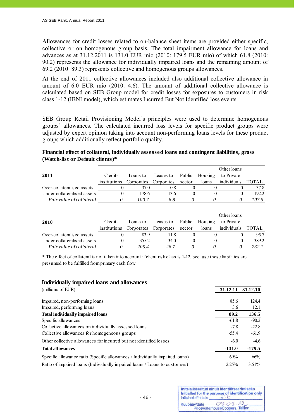Allowances for credit losses related to on-balance sheet items are provided either specific, collective or on homogenous group basis. The total impairment allowance for loans and advances as at 31.12.2011 is 131.0 EUR mio (2010: 179.5 EUR mio) of which 61.8 (2010: 90.2) represents the allowance for individually impaired loans and the remaining amount of 69.2 (2010: 89.3) represents collective and homogenous groups allowances.

At the end of 2011 collective allowances included also additional collective allowance in amount of 6.0 EUR mio (2010: 4.6). The amount of additional collective allowance is calculated based on SEB Group model for credit losses for exposures to customers in risk class 1-12 (IBNI model), which estimates Incurred But Not Identified loss events.

SEB Group Retail Provisioning Model's principles were used to determine homogenous groups' allowances. The calculated incurred loss levels for specific product groups were adjusted by expert opinion taking into account non-performing loans levels for these product groups which additionally reflect portfolio quality.

# **Financial effect of collateral, individually assessed loans and contingent liabilities, gross (Watch-list or Default clients)\***

|                             |              |            |            |          |          | Other loans |       |
|-----------------------------|--------------|------------|------------|----------|----------|-------------|-------|
| 2011                        | Credit-      | Loans to   | Leases to  | Public   | Housing  | to Private  |       |
|                             | institutions | Corporates | Corporates | sector   | loans    | individuals | TOTAL |
| Over-collateralised assets  | $\left($     | 37.0       | 0.8        | $\theta$ |          | 0           | 37.8  |
| Under-collateralised assets |              | 178.6      | 13.6       | $\Omega$ | $\Omega$ | 0           | 192.2 |
| Fair value of collateral    | 0            | 100.7      | 6.8        | 0        | 0        | 0           | 107.5 |
|                             |              |            |            |          |          |             |       |
|                             |              |            |            |          |          | Other loans |       |
| 2010                        | Credit-      | Loans to   | Leases to  | Public   | Housing  | to Private  |       |
|                             | institutions | Corporates | Corporates | sector   | loans    | individuals | TOTAL |
| Over-collateralised assets  |              | 83.9       | 11.8       | $\Omega$ |          | 0           | 95.7  |
| Under-collateralised assets | $\theta$     | 355.2      | 34.0       | $\Omega$ | $\Omega$ | 0           | 389.2 |
| Fair value of collateral    | 0            | 205.4      | 26.7       | 0        | 0        | 0           | 232.1 |

\* The effect of collateral is not taken into account if client risk class is 1-12, because these liabilities are presumed to be fulfilled from primary cash flow.

## **Individually impaired loans and allowances**

| (millions of EUR)                                                            | 31.12.11 | 31.12.10 |
|------------------------------------------------------------------------------|----------|----------|
| Impaired, non-performing loans                                               | 85.6     | 124.4    |
| Impaired, performing loans                                                   | 3.6      | 12.1     |
| Total individually impaired loans                                            | 89.2     | 136.5    |
| Specific allowances                                                          | $-61.8$  | $-90.2$  |
| Collective allowances on individually assessed loans                         | $-7.8$   | $-22.8$  |
| Collective allowances for homogeneous groups                                 | $-55.4$  | $-61.9$  |
| Other collective allowances for incurred but not identified losses           | $-6.0$   | $-4.6$   |
| <b>Total allowances</b>                                                      | $-131.0$ | $-179.5$ |
| Specific allowance ratio (Specific allowances / Individually impaired loans) | 69%      | 66%      |
| Ratio of impaired loans (Individually impaired loans / Loans to customers)   | 2.25%    | $3.51\%$ |

| Initsiaalid/initials | Initsialiseeritud ainult identifitseerimiseks<br>Initialled for the purpose of identification only |
|----------------------|----------------------------------------------------------------------------------------------------|
| Kuupäev/date         | 09.03<br>PricewaterhouseCoopers, Tallinn                                                           |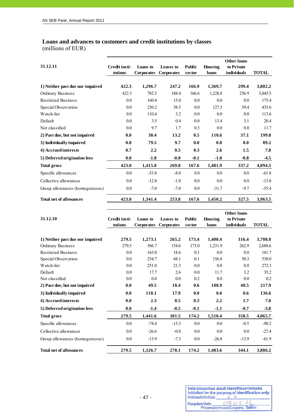# **Loans and advances to customers and credit institutions by classes**

(millions of EUR)

j

|                                  |               |                   |                   |               |         | <b>Other loans</b> |              |
|----------------------------------|---------------|-------------------|-------------------|---------------|---------|--------------------|--------------|
| 31.12.11                         | Credit insti- | Loans to          | Leases to         | <b>Public</b> | Housing | to Private         |              |
|                                  | tutions       | <b>Corporates</b> | <b>Corporates</b> | sector        | loans   | individuals        | <b>TOTAL</b> |
| 1) Neither past due nor impaired | 422.3         | 1,296.7           | 247.2             | 166.9         | 1,369.7 | 299.4              | 3,802.2      |
| Ordinary Business                | 422.3         | 782.5             | 188.4             | 166.6         | 1,228.8 | 256.9              | 3,045.5      |
| <b>Restricted Business</b>       | 0.0           | 160.4             | 15.0              | 0.0           | 0.0     | 0.0                | 175.4        |
| Special Observation              | 0.0           | 230.2             | 38.5              | 0.0           | 127.5   | 39.4               | 435.6        |
| Watch-list                       | 0.0           | 110.4             | 3.2               | 0.0           | 0.0     | 0.0                | 113.6        |
| Default                          | 0.0           | 3.5               | 0.4               | 0.0           | 13.4    | 3.1                | 20.4         |
| Not classified                   | 0.0           | 9.7               | 1.7               | 0.3           | 0.0     | 0.0                | 11.7         |
| 2) Past due, but not impaired    | 0.0           | 38.4              | 13.2              | 0.5           | 110.6   | 37.1               | 199.8        |
| 3) Individually impaired         | 0.0           | 79.5              | 9.7               | 0.0           | 0.0     | 0.0                | 89.2         |
| 4) Accrued interests             | 0.7           | 2.2               | 0.5               | 0.3           | 2.6     | 1.5                | 7.8          |
| 5) Deferred origination fees     | 0.0           | $-1.8$            | $-0.8$            | $-0.1$        | $-1.0$  | $-0.8$             | $-4.5$       |
| <b>Total gross</b>               | 423.0         | 1,415.0           | 269.8             | 167.6         | 1,481.9 | 337.2              | 4,094.5      |
| Specific allowances              | 0.0           | $-53.8$           | $-8.0$            | 0.0           | 0.0     | $0.0\,$            | $-61.8$      |
| Collective allowances            | 0.0           | $-12.8$           | $-1.0$            | 0.0           | 0.0     | 0.0                | $-13.8$      |
| Group allowances (homogeneous)   | 0.0           | $-7.0$            | $-7.0$            | 0.0           | $-31.7$ | $-9.7$             | $-55.4$      |
| <b>Total net of allowances</b>   | 423.0         | 1,341.4           | 253.8             | 167.6         | 1,450.2 | 327.5              | 3,963.5      |

|                                  |               |                   |                   |               |         | <b>Other loans</b> |              |
|----------------------------------|---------------|-------------------|-------------------|---------------|---------|--------------------|--------------|
| 31.12.10                         | Credit insti- | Loans to          | Leases to         | <b>Public</b> | Housing | to Private         |              |
|                                  | tutions       | <b>Corporates</b> | <b>Corporates</b> | sector        | loans   | individuals        | <b>TOTAL</b> |
| 1) Neither past due nor impaired | 279.5         | 1,273.1           | 265.2             | 173.4         | 1,400.4 | 316.4              | 3,708.0      |
| Ordinary Business                | 279.5         | 586.7             | 154.6             | 173.0         | 1,231.9 | 262.9              | 2,688.6      |
| <b>Restricted Business</b>       | 0.0           | 163.0             | 18.6              | 0.1           | 0.0     | 0.0                | 181.7        |
| Special Observation              | 0.0           | 254.7             | 68.1              | 0.1           | 156.8   | 50.3               | 530.0        |
| Watch-list                       | 0.0           | 251.0             | 21.3              | 0.0           | 0.0     | 0.0                | 272.3        |
| Default                          | 0.0           | 17.7              | 2.6               | 0.0           | 11.7    | 3.2                | 35.2         |
| Not classified                   | 0.0           | 0.0               | 0.0               | 0.2           | 0.0     | 0.0                | 0.2          |
| 2) Past due, but not impaired    | 0.0           | 49.5              | 18.4              | 0.6           | 108.9   | 40.5               | 217.9        |
| 3) Individually impaired         | 0.0           | 118.1             | 17.9              | 0.0           | 0.0     | 0.6                | 136.6        |
| 4) Accrued interests             | 0.0           | 2.3               | 0.5               | 0.3           | 2.2     | 1.7                | 7.0          |
| 5) Deferred origination fees     | 0.0           | $-1.4$            | $-0.5$            | $-0.1$        | $-1.1$  | $-0.7$             | $-3.8$       |
| <b>Total gross</b>               | 279.5         | 1,441.6           | 301.5             | 174.2         | 1,510.4 | 358.5              | 4,065.7      |
| Specific allowances              | 0.0           | $-74.4$           | $-15.3$           | 0.0           | 0.0     | $-0.5$             | $-90.2$      |
| Collective allowances            | 0.0           | $-26.6$           | $-0.8$            | 0.0           | 0.0     | 0.0                | $-27.4$      |
| Group allowances (homogeneous)   | $0.0\,$       | $-13.9$           | $-7.3$            | 0.0           | $-26.8$ | $-13.9$            | $-61.9$      |
| <b>Total net of allowances</b>   | 279.5         | 1,326.7           | 278.1             | 174.2         | 1,483.6 | 344.1              | 3,886.2      |

| Initsiaalid/initials | Initsialiseeritud ainult identifitseerimiseks<br>Initialled for the purpose of identification only |
|----------------------|----------------------------------------------------------------------------------------------------|
| Kuupäev/date         | 09.03<br>PricewaterhouseCoopers, Tallinn                                                           |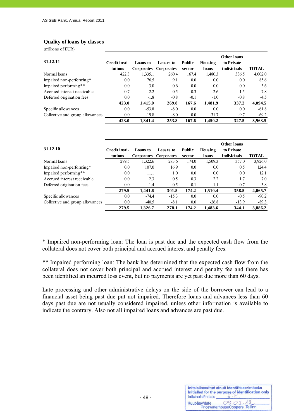#### **Quality of loans by classes**

(millions of EUR)

j

| 31.12.11                        | Credit insti- | Loans to          | Leases to         | <b>Public</b> | Housing | <b>Other loans</b><br>to Private |              |
|---------------------------------|---------------|-------------------|-------------------|---------------|---------|----------------------------------|--------------|
|                                 | tutions       | <b>Corporates</b> | <b>Corporates</b> | sector        | loans   | individuals                      | <b>TOTAL</b> |
| Normal loans                    | 422.3         | 1,335.1           | 260.4             | 167.4         | 1,480.3 | 336.5                            | 4,002.0      |
| Impaired non-performing*        | 0.0           | 76.5              | 9.1               | 0.0           | 0.0     | 0.0                              | 85.6         |
| Impaired performing**           | 0.0           | 3.0               | 0.6               | 0.0           | 0.0     | 0.0                              | 3.6          |
| Accrued interest receivable     | 0.7           | 2.2               | 0.5               | 0.3           | 2.6     | 1.5                              | 7.8          |
| Deferred origination fees       | 0.0           | $-1.8$            | $-0.8$            | $-0.1$        | $-1.0$  | $-0.8$                           | $-4.5$       |
|                                 | 423.0         | 1,415.0           | 269.8             | 167.6         | 1,481.9 | 337.2                            | 4,094.5      |
| Specific allowances             | 0.0           | $-53.8$           | $-8.0$            | 0.0           | 0.0     | 0.0                              | $-61.8$      |
| Collective and group allowances | 0.0           | $-19.8$           | $-8.0$            | 0.0           | $-31.7$ | $-9.7$                           | $-69.2$      |
|                                 | 423.0         | 1.341.4           | 253.8             | 167.6         | 1.450.2 | 327.5                            | 3.963.5      |

| 31.12.10                        | Credit insti- | Loans to   | Leases to         | <b>Public</b> | Housing      | Other loans<br>to Private |              |
|---------------------------------|---------------|------------|-------------------|---------------|--------------|---------------------------|--------------|
|                                 | tutions       | Corporates | <b>Corporates</b> | sector        | <b>loans</b> | <i>individuals</i>        | <b>TOTAL</b> |
| Normal loans                    | 279.5         | 1,322.6    | 283.6             | 174.0         | 1,509.3      | 357.0                     | 3,926.0      |
| Impaired non-performing*        | 0.0           | 107.0      | 16.9              | 0.0           | 0.0          | 0.5                       | 124.4        |
| Impaired performing**           | 0.0           | 11.1       | 1.0               | 0.0           | 0.0          | 0.0                       | 12.1         |
| Accrued interest receivable     | 0.0           | 2.3        | 0.5               | 0.3           | 2.2          | 1.7                       | 7.0          |
| Deferred origination fees       | 0.0           | $-1.4$     | $-0.5$            | $-0.1$        | $-1.1$       | $-0.7$                    | $-3.8$       |
|                                 | 279.5         | 1,441.6    | 301.5             | 174.2         | 1,510.4      | 358.5                     | 4,065.7      |
| Specific allowances             | 0.0           | $-74.4$    | $-15.3$           | 0.0           | 0.0          | $-0.5$                    | $-90.2$      |
| Collective and group allowances | 0.0           | $-40.5$    | $-8.1$            | 0.0           | $-26.8$      | $-13.9$                   | $-89.3$      |
|                                 | 279.5         | 1.326.7    | 278.1             | 174.2         | 1.483.6      | 344.1                     | 3.886.2      |

\* Impaired non-performing loan: The loan is past due and the expected cash flow from the collateral does not cover both principal and accrued interest and penalty fees.

\*\* Impaired performing loan: The bank has determined that the expected cash flow from the collateral does not cover both principal and accrued interest and penalty fee and there has been identified an incurred loss event, but no payments are yet past due more than 60 days.

Late processing and other administrative delays on the side of the borrower can lead to a financial asset being past due put not impaired. Therefore loans and advances less than 60 days past due are not usually considered impaired, unless other information is available to indicate the contrary. Also not all impaired loans and advances are past due.

| Initsiaalid/initials | Initsialiseeritud ainult identifitseerimiseks<br>Initialled for the purpose of identification only |
|----------------------|----------------------------------------------------------------------------------------------------|
| Kuupäev/date         | 09.03<br>PricewaterhouseCoopers, Tallinn                                                           |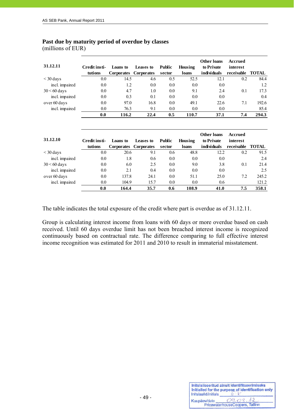| 31.12.11       | Credit insti-<br>tutions | Loans to<br><b>Corporates</b> | Leases to<br>Corporates | <b>Public</b><br>sector | Housing<br>loans | <b>Other loans</b><br>to Private<br>individuals | <b>Accrued</b><br>interest<br>receivable | <b>TOTAL</b> |
|----------------|--------------------------|-------------------------------|-------------------------|-------------------------|------------------|-------------------------------------------------|------------------------------------------|--------------|
| $<$ 30 days    | 0.0                      | 14.5                          | 4.6                     | 0.5                     | 52.5             | 12.1                                            | 0.2                                      | 84.4         |
| incl. impaired | 0.0                      | 1.2                           | 0.0                     | 0.0                     | 0.0              | 0.0                                             |                                          | 1.2          |
| $30 < 60$ days | 0.0                      | 4.7                           | 1.0                     | 0.0                     | 9.1              | 2.4                                             | 0.1                                      | 17.3         |
| incl. impaired | 0.0                      | 0.3                           | 0.1                     | 0.0                     | 0.0              | 0.0                                             |                                          | 0.4          |
| over 60 days   | 0.0                      | 97.0                          | 16.8                    | 0.0                     | 49.1             | 22.6                                            | 7.1                                      | 192.6        |
| incl. impaired | 0.0                      | 76.3                          | 9.1                     | 0.0                     | 0.0              | 0.0                                             |                                          | 85.4         |
|                | 0.0                      | 116.2                         | 22.4                    | 0.5                     | 110.7            | 37.1                                            | 7.4                                      | 294.3        |
| 31.12.10       | Credit insti-            | Loans to                      | Leases to               | <b>Public</b>           | Housing          | <b>Other loans</b><br>to Private                | <b>Accrued</b><br>interest               |              |
|                | tutions                  | <b>Corporates</b>             | <b>Corporates</b>       | sector                  | loans            | individuals                                     | receivable                               | <b>TOTAL</b> |
| $\leq$ 30 days | 0.0                      | 20.6                          | 9.1                     | 0.6                     | 48.8             | 12.2                                            | 0.2                                      | 91.5         |
| incl. impaired | 0.0                      | 1.8                           | 0.6                     | 0.0                     | 0.0              | 0.0                                             |                                          | 2.4          |
| $30 < 60$ days | 0.0                      | 6.0                           | 2.5                     | 0.0                     | 9.0              | 3.8                                             | 0.1                                      | 21.4         |
| incl. impaired | 0.0                      | 2.1                           | 0.4                     | 0.0                     | 0.0              | 0.0                                             |                                          | 2.5          |
| over 60 days   | 0.0                      | 137.8                         | 24.1                    | 0.0                     | 51.1             | 25.0                                            | 7.2                                      | 245.2        |
| incl. impaired | 0.0                      | 104.9                         | 15.7                    | 0.0                     | 0.0              | 0.6                                             |                                          | 121.2        |
|                | 0.0                      | 164.4                         | 35.7                    | 0.6                     | 108.9            | 41.0                                            | 7.5                                      | 358.1        |

## **Past due by maturity period of overdue by classes**  (millions of EUR)

The table indicates the total exposure of the credit where part is overdue as of 31.12.11.

Group is calculating interest income from loans with 60 days or more overdue based on cash received. Until 60 days overdue limit has not been breached interest income is recognized continuously based on contractual rate. The difference comparing to full effective interest income recognition was estimated for 2011 and 2010 to result in immaterial misstatement.

| Initsiaalid/initials | Initsialiseeritud ainult identifitseerimiseks<br>Initialled for the purpose of identification only |
|----------------------|----------------------------------------------------------------------------------------------------|
| Kuupäev/date         | 09.03<br>PricewaterhouseCoopers, Tallinn                                                           |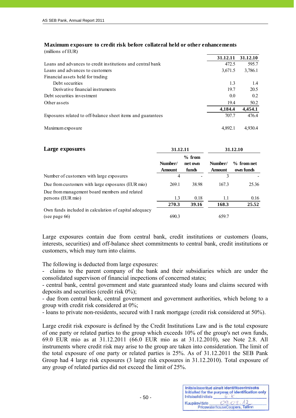| (millions of EUR)                                           |          |          |
|-------------------------------------------------------------|----------|----------|
|                                                             | 31.12.11 | 31.12.10 |
| Loans and advances to credit institutions and central bank  | 472.5    | 595.7    |
| Loans and advances to customers                             | 3,671.5  | 3,786.1  |
| Financial assets held for trading                           |          |          |
| Debt securities                                             | 1.3      | 1.4      |
| Derivative financial instruments                            | 197      | 20.5     |
| Debt securities investment                                  | 0.0      | 0.2      |
| Other assets                                                | 19.4     | 50.2     |
|                                                             | 4,184.4  | 4,454.1  |
| Exposures related to off-balance sheet items and guarantees | 707.7    | 476.4    |
| Maximum exposure                                            | 4.892.1  | 4.930.4  |

## **Maximum exposure to credit risk before collateral held or other enhancements**

| Large exposures                                       | 31.12.11                 |                              |                          | 31.12.10                  |  |  |
|-------------------------------------------------------|--------------------------|------------------------------|--------------------------|---------------------------|--|--|
|                                                       | Number/<br><b>Amount</b> | $%$ from<br>net own<br>funds | Number/<br><b>Amount</b> | $%$ from net<br>own funds |  |  |
| Number of customers with large exposures              | 4                        |                              | 3                        |                           |  |  |
| Due from customers with large exposures (EUR mio)     | 269.1                    | 38.98                        | 167.3                    | 25.36                     |  |  |
| Due from management board members and related         |                          |                              |                          |                           |  |  |
| persons (EUR mio)                                     | 1.3                      | 0.18                         | 1.1                      | 0.16                      |  |  |
|                                                       | 270.3                    | 39.16                        | 168.3                    | 25.52                     |  |  |
| Own funds included in calculation of capital adequacy |                          |                              |                          |                           |  |  |
| (see page 66)                                         | 690.3                    |                              | 659.7                    |                           |  |  |

Large exposures contain due from central bank, credit institutions or customers (loans, interests, securities) and off-balance sheet commitments to central bank, credit institutions or customers, which may turn into claims.

The following is deducted from large exposures:

- claims to the parent company of the bank and their subsidiaries which are under the consolidated supervison of financial incpections of concerned states;

- central bank, central government and state guaranteed study loans and claims secured with deposits and securities (credit risk 0%);

- due from central bank, central government and government authorities, which belong to a group with credit risk considered at 0%;

- loans to private non-residents, secured with I rank mortgage (credit risk considered at 50%).

Large credit risk exposure is defined by the Credit Institutions Law and is the total exposure of one party or related parties to the group which exceeds 10% of the group's net own funds, 69.0 EUR mio as at 31.12.2011 (66.0 EUR mio as at 31.12.2010), see Note 2.8. All instruments where credit risk may arise to the group are taken into consideration. The limit of the total exposure of one party or related parties is 25%. As of 31.12.2011 the SEB Pank Group had 4 large risk exposures (3 large risk exposures in 31.12.2010). Total exposure of any group of related parties did not exceed the limit of 25%.

| Initsiaalid/initials | Initsialiseeritud ainult identifitseerimiseks<br>Initialled for the purpose of identification only |
|----------------------|----------------------------------------------------------------------------------------------------|
| Kuupäev/date         | 09.03<br>PricewaterhouseCoopers, Tallinn                                                           |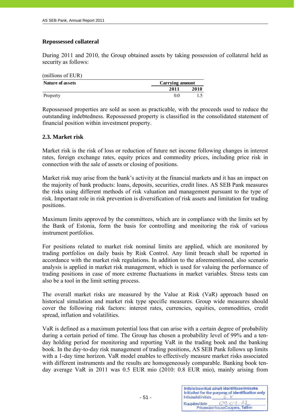## **Repossessed collateral**

j

During 2011 and 2010, the Group obtained assets by taking possession of collateral held as security as follows:

| (millions of EUR) |                 |      |  |  |
|-------------------|-----------------|------|--|--|
| Nature of assets  | Carrying amount |      |  |  |
|                   | 2011            | 2010 |  |  |
| Property          | 00              |      |  |  |

Repossessed properties are sold as soon as practicable, with the proceeds used to reduce the outstanding indebtedness. Repossessed property is classified in the consolidated statement of financial position within investment property.

## **2.3. Market risk**

Market risk is the risk of loss or reduction of future net income following changes in interest rates, foreign exchange rates, equity prices and commodity prices, including price risk in connection with the sale of assets or closing of positions.

Market risk may arise from the bank's activity at the financial markets and it has an impact on the majority of bank products: loans, deposits, securities, credit lines. AS SEB Pank measures the risks using different methods of risk valuation and management pursuant to the type of risk. Important role in risk prevention is diversification of risk assets and limitation for trading positions.

Maximum limits approved by the committees, which are in compliance with the limits set by the Bank of Estonia, form the basis for controlling and monitoring the risk of various instrument portfolios.

For positions related to market risk nominal limits are applied, which are monitored by trading portfolios on daily basis by Risk Control. Any limit breach shall be reported in accordance with the market risk regulations. In addition to the aforementioned, also scenario analysis is applied in market risk management, which is used for valuing the performance of trading positions in case of more extreme fluctuations in market variables. Stress tests can also be a tool in the limit setting process.

The overall market risks are measured by the Value at Risk (VaR) approach based on historical simulation and market risk type specific measures. Group wide measures should cover the following risk factors: interest rates, currencies, equities, commodities, credit spread, inflation and volatilities.

VaR is defined as a maximum potential loss that can arise with a certain degree of probability during a certain period of time. The Group has chosen a probability level of 99% and a tenday holding period for monitoring and reporting VaR in the trading book and the banking book. In the day-to-day risk management of trading positions, AS SEB Pank follows up limits with a 1-day time horizon. VaR model enables to effectively measure market risks associated with different instruments and the results are homogeneously comparable. Banking book tenday average VaR in 2011 was 0.5 EUR mio (2010: 0.8 EUR mio), mainly arising from

| Initsiaalid/initials | Initsialiseeritud ainult identifitseerimiseks<br>Initialled for the purpose of identification only |
|----------------------|----------------------------------------------------------------------------------------------------|
| Kuupäev/date         | 09.03<br>PricewaterhouseCoopers, Tallinn                                                           |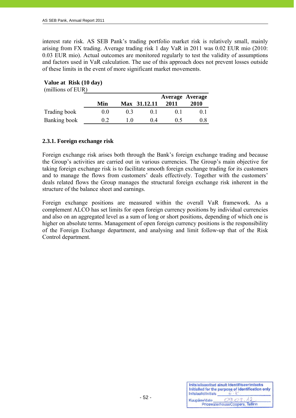interest rate risk. AS SEB Pank's trading portfolio market risk is relatively small, mainly arising from FX trading. Average trading risk 1 day VaR in 2011 was 0.02 EUR mio (2010: 0.03 EUR mio). Actual outcomes are monitored regularly to test the validity of assumptions and factors used in VaR calculation. The use of this approach does not prevent losses outside of these limits in the event of more significant market movements.

## **Value at Risk (10 day)**

(millions of EUR)

|              | Min  |    | Max 31.12.11 | 2011           | <b>Average Average</b><br>2010 |
|--------------|------|----|--------------|----------------|--------------------------------|
| Trading book | ()() | 03 | 01           | 0 <sub>1</sub> | $^{\prime}$                    |
| Banking book | 02   | 10 | 04           | 05             | 08                             |

## **2.3.1. Foreign exchange risk**

Foreign exchange risk arises both through the Bank's foreign exchange trading and because the Group's activities are carried out in various currencies. The Group's main objective for taking foreign exchange risk is to facilitate smooth foreign exchange trading for its customers and to manage the flows from customers' deals effectively. Together with the customers' deals related flows the Group manages the structural foreign exchange risk inherent in the structure of the balance sheet and earnings.

Foreign exchange positions are measured within the overall VaR framework. As a complement ALCO has set limits for open foreign currency positions by individual currencies and also on an aggregated level as a sum of long or short positions, depending of which one is higher on absolute terms. Management of open foreign currency positions is the responsibility of the Foreign Exchange department, and analysing and limit follow-up that of the Risk Control department.

| Initsiaalid/initials | Initsialiseeritud ainult identifitseerimiseks<br>Initialled for the purpose of identification only |
|----------------------|----------------------------------------------------------------------------------------------------|
| Kuupäev/date         | 09.03<br>PricewaterhouseCoopers, Tallinn                                                           |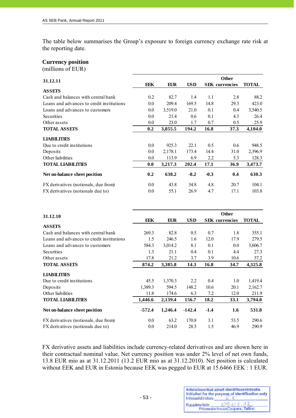The table below summarises the Group's exposure to foreign currency exchange rate risk at the reporting date.

## **Currency position**

j

(millions of EUR)

| 31.12.11                                  |     |            |            | <b>Other</b> |                       |              |  |
|-------------------------------------------|-----|------------|------------|--------------|-----------------------|--------------|--|
|                                           | EEK | <b>EUR</b> | <b>USD</b> |              | <b>SEK</b> currencies | <b>TOTAL</b> |  |
| <b>ASSETS</b>                             |     |            |            |              |                       |              |  |
| Cash and balances with central bank       | 0.2 | 82.7       | 1.4        | 1.1          | 2.8                   | 88.2         |  |
| Loans and advances to credit institutions | 0.0 | 209.4      | 169.5      | 14.8         | 29.3                  | 423.0        |  |
| Loans and advances to customers           | 0.0 | 3,519.0    | 21.0       | 0.1          | 0.4                   | 3,540.5      |  |
| Securities                                | 0.0 | 21.4       | 0.6        | 0.1          | 4.3                   | 26.4         |  |
| Other assets                              | 0.0 | 23.0       | 1.7        | 0.7          | 0.5                   | 25.9         |  |
| <b>TOTAL ASSETS</b>                       | 0.2 | 3,855.5    | 194.2      | 16.8         | 37.3                  | 4,104.0      |  |
| <b>LIABILITIES</b>                        |     |            |            |              |                       |              |  |
| Due to credit institutions                | 0.0 | 925.3      | 22.1       | 0.5          | 0.6                   | 948.5        |  |
| Deposits                                  | 0.0 | 2,178.1    | 173.4      | 14.4         | 31.0                  | 2,396.9      |  |
| Other liabilities                         | 0.0 | 113.9      | 6.9        | 2.2          | 5.3                   | 128.3        |  |
| <b>TOTAL LIABILITIES</b>                  | 0.0 | 3,217.3    | 202.4      | 17.1         | 36.9                  | 3,473.7      |  |
| Net on-balance sheet position             | 0.2 | 638.2      | $-8.2$     | $-0.3$       | 0.4                   | 630.3        |  |
| FX derivatives (notionals, due from)      | 0.0 | 43.8       | 34.8       | 4.8          | 20.7                  | 104.1        |  |
| FX derivatives (notionals due to)         | 0.0 | 55.1       | 26.9       | 4.7          | 17.1                  | 103.8        |  |

| 31.12.10                                  |            |            |            |        | Other                 |              |
|-------------------------------------------|------------|------------|------------|--------|-----------------------|--------------|
|                                           | <b>EEK</b> | <b>EUR</b> | <b>USD</b> |        | <b>SEK</b> currencies | <b>TOTAL</b> |
| <b>ASSETS</b>                             |            |            |            |        |                       |              |
| Cash and balances with central bank       | 269.3      | 82.8       | 0.5        | 0.7    | 1.8                   | 355.1        |
| Loans and advances to credit institutions | 1.5        | 246.5      | 1.6        | 12.0   | 17.9                  | 279.5        |
| Loans and advances to customers           | 584.3      | 3,014.2    | 8.1        | 0.1    | 0.0                   | 3,606.7      |
| Securities                                | 1.3        | 21.1       | 0.4        | 0.1    | 4.4                   | 27.3         |
| Other assets                              | 17.8       | 21.2       | 3.7        | 3.9    | 10.6                  | 57.2         |
| <b>TOTAL ASSETS</b>                       | 874.2      | 3,385.8    | 14.3       | 16.8   | 34.7                  | 4,325.8      |
| <b>LIABILITIES</b>                        |            |            |            |        |                       |              |
| Due to credit institutions                | 45.5       | 1,370.3    | 2.2        | 0.4    | 1.0                   | 1,419.4      |
| Deposits                                  | 1,389.3    | 594.5      | 148.2      | 10.6   | 20.1                  | 2,162.7      |
| Other liabilities                         | 11.8       | 174.6      | 6.3        | 7.2    | 12.0                  | 211.9        |
| <b>TOTAL LIABILITIES</b>                  | 1,446.6    | 2,139.4    | 156.7      | 18.2   | 33.1                  | 3,794.0      |
| Net on-balance sheet position             | $-572.4$   | 1,246.4    | $-142.4$   | $-1.4$ | 1.6                   | 531.8        |
| FX derivatives (notionals, due from)      | 0.0        | 63.2       | 170.8      | 3.1    | 53.5                  | 290.6        |
| FX derivatives (notionals due to)         | 0.0        | 214.0      | 28.5       | 1.5    | 46.9                  | 290.9        |

FX derivative assets and liabilities include currency-related derivatives and are shown here in their contractual nominal value. Net currency position was under 2% level of net own funds, 13.8 EUR mio as at 31.12.2011 (13.2 EUR mio as at 31.12.2010). Net position is calculated without EEK and EUR in Estonia because EEK was pegged to EUR at 15.6466 EEK : 1 EUR.

| Initsiaalid/initials | Initsialiseeritud ainult identifitseerimiseks<br>Initialled for the purpose of identification only |
|----------------------|----------------------------------------------------------------------------------------------------|
| Kuupäev/date         | 09.03<br>PricewaterhouseCoopers, Tallinn                                                           |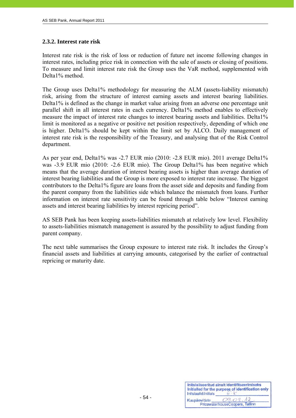## **2.3.2. Interest rate risk**

Interest rate risk is the risk of loss or reduction of future net income following changes in interest rates, including price risk in connection with the sale of assets or closing of positions. To measure and limit interest rate risk the Group uses the VaR method, supplemented with Delta1% method.

The Group uses Delta1% methodology for measuring the ALM (assets-liability mismatch) risk, arising from the structure of interest earning assets and interest bearing liabilities. Delta1% is defined as the change in market value arising from an adverse one percentage unit parallel shift in all interest rates in each currency. Delta1% method enables to effectively measure the impact of interest rate changes to interest bearing assets and liabilities. Delta1% limit is monitored as a negative or positive net position respectively, depending of which one is higher. Delta1% should be kept within the limit set by ALCO. Daily management of interest rate risk is the responsibility of the Treasury, and analysing that of the Risk Control department.

As per year end, Delta1% was -2.7 EUR mio (2010: -2.8 EUR mio). 2011 average Delta1% was -3.9 EUR mio (2010: -2.6 EUR mio). The Group Delta1% has been negative which means that the average duration of interest bearing assets is higher than average duration of interest bearing liabilities and the Group is more exposed to interest rate increase. The biggest contributors to the Delta1% figure are loans from the asset side and deposits and funding from the parent company from the liabilities side which balance the mismatch from loans. Further information on interest rate sensitivity can be found through table below "Interest earning assets and interest bearing liabilities by interest repricing period".

AS SEB Pank has been keeping assets-liabilities mismatch at relatively low level. Flexibility to assets-liabilities mismatch management is assured by the possibility to adjust funding from parent company.

The next table summarises the Group exposure to interest rate risk. It includes the Group's financial assets and liabilities at carrying amounts, categorised by the earlier of contractual repricing or maturity date.

| Initsiaalid/initials | Initsialiseeritud ainult identifitseerimiseks<br>Initialled for the purpose of identification only |
|----------------------|----------------------------------------------------------------------------------------------------|
| Kuupäev/date         | 09.03<br>PricewaterhouseCoopers, Tallinn                                                           |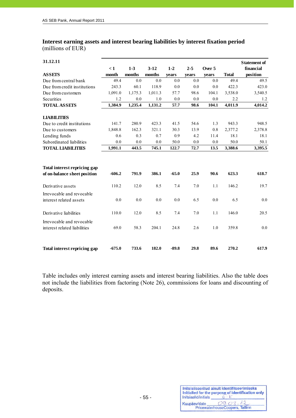# **Interest earning assets and interest bearing liabilities by interest fixation period**  (millions of EUR)

| 31.12.11                     |          |         |         |         |         |        |              | <b>Statement of</b> |
|------------------------------|----------|---------|---------|---------|---------|--------|--------------|---------------------|
|                              | $\leq 1$ | $1-3$   | $3-12$  | $1 - 2$ | $2 - 5$ | Over 5 |              | financial           |
| <b>ASSETS</b>                | month    | months  | months  | years   | years   | years  | <b>Total</b> | position            |
| Due from central bank        | 49.4     | 0.0     | 0.0     | 0.0     | 0.0     | 0.0    | 49.4         | 49.5                |
| Due from credit institutions | 243.3    | 60.1    | 118.9   | 0.0     | 0.0     | 0.0    | 422.3        | 423.0               |
| Due from customers           | 1,091.0  | 1,175.3 | 1,011.3 | 57.7    | 98.6    | 104.1  | 3,538.0      | 3,540.5             |
| Securities                   | 1.2      | 0.0     | 1.0     | 0.0     | 0.0     | 0.0    | 2.2          | 1.2                 |
| <b>TOTAL ASSETS</b>          | 1,384.9  | 1,235.4 | 1,131.2 | 57.7    | 98.6    | 104.1  | 4,011.9      | 4,014.2             |
| <b>LIABILITIES</b>           |          |         |         |         |         |        |              |                     |
| Due to credit institutions   | 141.7    | 280.9   | 423.3   | 41.5    | 54.6    | 1.3    | 943.3        | 948.5               |
| Due to customers             | 1,848.8  | 162.3   | 321.1   | 30.3    | 13.9    | 0.8    | 2,377.2      | 2,378.8             |
| Lending funds                | 0.6      | 0.3     | 0.7     | 0.9     | 4.2     | 11.4   | 18.1         | 18.1                |
| Subordinated liabilities     | 0.0      | 0.0     | 0.0     | 50.0    | 0.0     | 0.0    | 50.0         | 50.1                |
| <b>TOTAL LIABILITIES</b>     | 1,991.1  | 443.5   | 745.1   | 122.7   | 72.7    | 13.5   | 3,388.6      | 3,395.5             |
|                              |          |         |         |         |         |        |              |                     |
| Total interest repricing gap |          |         |         |         |         |        |              |                     |
| of on-balance sheet position | $-606.2$ | 791.9   | 386.1   | $-65.0$ | 25.9    | 90.6   | 623.3        | 618.7               |
| Derivative assets            | 110.2    | 12.0    | 8.5     | 7.4     | 7.0     | 1.1    | 146.2        | 19.7                |
| Irrevocable and revocable    |          |         |         |         |         |        |              |                     |
| interest related assets      | 0.0      | 0.0     | 0.0     | 0.0     | 6.5     | 0.0    | 6.5          | 0.0                 |
| Derivative liabilities       | 110.0    | 12.0    | 8.5     | 7.4     | 7.0     | 1.1    | 146.0        | 20.5                |
| Irrevocable and revocable    |          |         |         |         |         |        |              |                     |
| interest related liabilities | 69.0     | 58.3    | 204.1   | 24.8    | 2.6     | 1.0    | 359.8        | 0.0                 |
|                              |          |         |         |         |         |        |              |                     |
| Total interest repricing gap | $-675.0$ | 733.6   | 182.0   | $-89.8$ | 29.8    | 89.6   | 270.2        | 617.9               |

Table includes only interest earning assets and interest bearing liabilities. Also the table does not include the liabilities from factoring (Note 26), commissions for loans and discounting of deposits.

| Initsiaalid/initials | Initsialiseeritud ainult identifitseerimiseks<br>Initialled for the purpose of identification only |
|----------------------|----------------------------------------------------------------------------------------------------|
| Kuupäev/date         | 09.03<br>PricewaterhouseCoopers, Tallinn                                                           |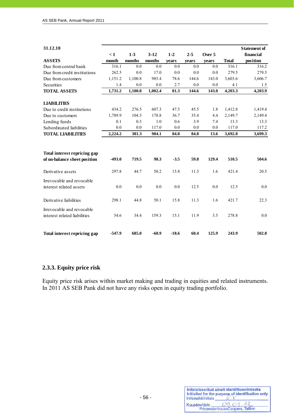| 31.12.10                     |          |         |         |         |         |        |              | <b>Statement of</b> |
|------------------------------|----------|---------|---------|---------|---------|--------|--------------|---------------------|
|                              | $\leq 1$ | $1 - 3$ | $3-12$  | $1 - 2$ | $2 - 5$ | Over 5 |              | financial           |
| <b>ASSETS</b>                | month    | months  | months  | years   | years   | years  | <b>Total</b> | position            |
| Due from central bank        | 316.1    | 0.0     | 0.0     | 0.0     | 0.0     | 0.0    | 316.1        | 316.2               |
| Due from credit institutions | 262.5    | 0.0     | 17.0    | 0.0     | 0.0     | 0.0    | 279.5        | 279.5               |
| Due from customers           | 1,151.2  | 1,100.8 | 985.4   | 78.6    | 144.6   | 143.0  | 3,603.6      | 3,606.7             |
| Securities                   | 1.4      | 0.0     | 0.0     | 2.7     | 0.0     | 0.0    | 4.1          | 1.5                 |
| <b>TOTAL ASSETS</b>          | 1,731.2  | 1,100.8 | 1,002.4 | 81.3    | 144.6   | 143.0  | 4,203.3      | 4,203.9             |
| <b>LIABILITIES</b>           |          |         |         |         |         |        |              |                     |
| Due to credit institutions   | 434.2    | 276.5   | 607.3   | 47.5    | 45.5    | 1.8    | 1,412.8      | 1,419.4             |
| Due to customers             | 1,789.9  | 104.5   | 178.8   | 36.7    | 35.4    | 4.4    | 2,149.7      | 2,149.4             |
| Lending funds                | 0.1      | 0.3     | 1.0     | 0.6     | 3.9     | 7.4    | 13.3         | 13.3                |
| Subordinated liabilities     | 0.0      | 0.0     | 117.0   | 0.0     | 0.0     | 0.0    | 117.0        | 117.2               |
| <b>TOTAL LIABILITIES</b>     | 2,224.2  | 381.3   | 904.1   | 84.8    | 84.8    | 13.6   | 3,692.8      | 3,699.3             |
|                              |          |         |         |         |         |        |              |                     |
| Total interest repricing gap |          |         |         |         |         |        |              |                     |
| of on-balance sheet position | $-493.0$ | 719.5   | 98.3    | $-3.5$  | 59.8    | 129.4  | 510.5        | 504.6               |
| Derivative assets            | 297.8    | 44.7    | 50.2    | 15.8    | 11.3    | 1.6    | 421.4        | 20.5                |
| Irrevocable and revocable    |          |         |         |         |         |        |              |                     |
| interest related assets      | 0.0      | 0.0     | 0.0     | 0.0     | 12.5    | 0.0    | 12.5         | 0.0                 |
| Derivative liabilities       | 298.1    | 44.8    | 50.1    | 15.8    | 11.3    | 1.6    | 421.7        | 22.3                |
| Irrevocable and revocable    |          |         |         |         |         |        |              |                     |
| interest related liabilities | 54.6     | 34.4    | 159.3   | 15.1    | 11.9    | 3.5    | 278.8        | 0.0                 |
| Total interest repricing gap | $-547.9$ | 685.0   | $-60.9$ | $-18.6$ | 60.4    | 125.9  | 243.9        | 502.8               |
|                              |          |         |         |         |         |        |              |                     |

# **2.3.3. Equity price risk**

Equity price risk arises within market making and trading in equities and related instruments. In 2011 AS SEB Pank did not have any risks open in equity trading portfolio.

| Initsiaalid/initials | Initsialiseeritud ainult identifitseerimiseks<br>Initialled for the purpose of identification only |
|----------------------|----------------------------------------------------------------------------------------------------|
| Kuupäev/date         | 09.03<br>PricewaterhouseCoopers, Tallinn                                                           |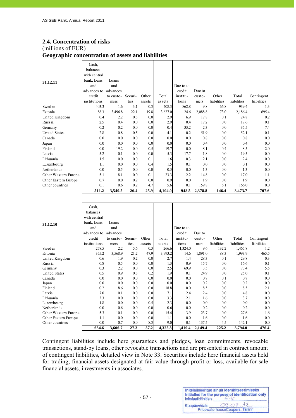## **2.4. Concentration of risks**

# (millions of EUR)

j

**Geographic concentration of assets and liabilities** 

|                      | 511.2                    | 3,540.5           | 26.4            | 25.9             | 4,104.0         | 948.5             | 2,378.8        | 146.4                | 3,473.7              | 707.6                     |
|----------------------|--------------------------|-------------------|-----------------|------------------|-----------------|-------------------|----------------|----------------------|----------------------|---------------------------|
| Other countries      | 0.1                      | 0.6               | 0.2             | 4.7              | 5.6             | 0.1               | 159.8          | 6.1                  | 166.0                | 0.0                       |
| Other Eastern Europe | 0.7                      | 0.0               | 0.2             | 0.0 <sub>1</sub> | 0.9             | 0.0               | 1.9            | 0.0                  | 1.9                  | 0.0                       |
| Other Western Europe | 5.1                      | 18.1              | 0.0             | 0.1              | 23.3            | 2.2               | 14.8           | 0.0                  | 17.0                 | 1.1                       |
| Netherlands          | 0.0                      | 0.5               | 0.0             | 0.0 <sub>1</sub> | 0.5             | 0.0               | 1.3            | 0.0                  | 1.3                  | 0.0                       |
| Luxembourg           | 1.1                      | 0.0               | 0.0             | 0.4              | 1.5             | 0.1               | 0.0            | 0.0                  | 0.1                  | 0.0                       |
| Lithuania            | 1.5                      | 0.0               | 0.0             | 0.1              | 1.6             | 0.3               | 2.1            | 0.0 <sub>l</sub>     | 2.4                  | 0.0                       |
| Latvia               | 5.2                      | 0.1               | 0.0             | 0.0 <sub>1</sub> | 5.3             | 17.7              | 1.8            | 0.0 <sub>l</sub>     | 19.5                 | 0.0                       |
| Finland              | 0.0                      | 19.2              | 0.0             | 0.5              | 19.7            | 0.0               | 8.1            | 0.4                  | 8.5                  | 2.0                       |
| Japan                | 0.0                      | 0.0               | 0.0             | 0.0 <sub>1</sub> | 0.0             | 0.0               | 0.4            | 0.0                  | 0.4                  | 0.0                       |
| Canada               | 0.0                      | 0.0               | 0.0             | 0.0              | 0.0             | 0.0               | 0.8            | 0.0                  | 0.8                  | 0.0                       |
| <b>United States</b> | 2.8                      | 0.8               | 0.5             | 0.0 <sub>1</sub> | 4.1             | 0.2               | 51.9           | 0.0                  | 52.1                 | 0.1                       |
| Germany              | 0.2                      | 0.2               | 0.0             | 0.0 <sub>1</sub> | 0.4             | 33.2              | 2.3            | 0.0                  | 35.5                 | 7.4                       |
| Russia               | 2.5                      | 0.4               | 0.0             | 0.0 <sub>1</sub> | 2.9             | 0.4               | 17.2           | 0.0                  | 17.6                 | 0.1                       |
| United Kingdom       | 0.4                      | 2.2               | 0.3             | 0.0 <sub>1</sub> | 2.9             | 6.9               | 17.8           | 0.1                  | 24.8                 | 0.2                       |
| Estonia              | 88.3                     | 3,496.8           | 22.1            | 19.8             | 3,627.0         | 24.6              | 2,088.8        | 73.0                 | 2,186.4              | 695.4                     |
| Sweden               | 403.3                    | 1.6               | 3.1             | 0.3              | 408.3           | 862.8             | 9.8            | 66.8                 | 939.4                | 1.3                       |
|                      | credit<br>institutions   | to custo-<br>mers | Securi-<br>ties | Other<br>assets  | Total<br>assets | institu-<br>tions | custo-<br>mers | Other<br>liabilities | Total<br>liabilities | Contingent<br>liabilities |
|                      | advances to              | advances          |                 |                  |                 | credit            | Due to         |                      |                      |                           |
| 31.12.11             | bank, loans<br>and       | Loans<br>and      |                 |                  |                 | Due to to         |                |                      |                      |                           |
|                      | balances<br>with central |                   |                 |                  |                 |                   |                |                      |                      |                           |
|                      | Cash,                    |                   |                 |                  |                 |                   |                |                      |                      |                           |
|                      |                          |                   |                 |                  |                 |                   |                |                      |                      |                           |

| 31.12.10             | Cash,<br>balances<br>with central<br>bank, loans<br>and<br>advances to<br>credit | Loans<br>and<br>advances<br>to custo- | Securi- | Other  | Total   | Due to to<br>credit<br>institu- | Due to<br>custo- | Other            | Total       | Contingent  |
|----------------------|----------------------------------------------------------------------------------|---------------------------------------|---------|--------|---------|---------------------------------|------------------|------------------|-------------|-------------|
|                      | institutions                                                                     | mers                                  | ties    | assets | assets  | tions                           | mers             | liabilities      | liabilities | liabilities |
| Sweden               | 258.5                                                                            | 2.2                                   | 5.6     | 0.3    | 266.6   | 1,324.0                         | 9.6              | 132.2            | 1,465.8     | 1.2         |
| Estonia              | 355.2                                                                            | 3,568.9                               | 21.2    | 47.9   | 3,993.2 | 14.6                            | 1,891.0          | 88.3             | 1,993.9     | 465.5       |
| United Kingdom       | 0.6                                                                              | 1.9                                   | 0.2     | 0.0    | 2.7     | 1.4                             | 28.3             | 0.1              | 29.8        | 0.3         |
| Russia               | 0.8                                                                              | 0.5                                   | 0.0     | 0.0    | 1.3     | 0.9                             | 15.7             | 0.0              | 16.6        | 0.1         |
| Germany              | 0.3                                                                              | 2.2                                   | 0.0     | 0.0    | 2.5     | 69.9                            | 3.5              | 0.0              | 73.4        | 5.5         |
| <b>United States</b> | 0.5                                                                              | 0.9                                   | 0.3     | 0.2    | 1.9     | 0.1                             | 24.9             | 0.0              | 25.0        | 0.1         |
| Canada               | 0.0                                                                              | 0.0                                   | 0.0     | 0.0    | 0.0     | 0.0                             | 0.7              | 0.1              | 0.8         | 0.0         |
| Japan                | 0.0                                                                              | 0.0                                   | 0.0     | 0.0    | 0.0     | 0.0                             | 0.2              | 0.0              | 0.2         | 0.0         |
| Finland              | 0.2                                                                              | 18.6                                  | 0.0     | 0.0    | 18.8    | 0.0                             | 8.5              | 0.0              | 8.5         | 2.1         |
| Latvia               | 7.0                                                                              | 0.1                                   | 0.0     | 0.0    | 7.1     | 2.4                             | 2.4              | 0.0              | 4.8         | $0.0\,$     |
| Lithuania            | 3.3                                                                              | 0.0                                   | 0.0     | 0.0    | 3.3     | 2.1                             | 1.6              | 0.0 <sub>l</sub> | 3.7         | 0.0         |
| Luxembourg           | 1.8                                                                              | 0.0                                   | 0.0     | 0.5    | 2.3     | 0.0                             | 0.0              | 0.0              | 0.0         | 0.0         |
| Netherlands          | 0.0                                                                              | 0.6                                   | 0.0     | 0.0    | 0.6     | 0.0                             | 0.2              | 0.0              | 0.2         | 0.0         |
| Other Western Europe | 5.3                                                                              | 10.1                                  | 0.0     | 0.0    | 15.4    | 3.9                             | 23.7             | 0.0              | 27.6        | 1.6         |
| Other Eastern Europe | 1.1                                                                              | 0.0                                   | 0.0     | 0.0    | 1.1     | 0.0                             | 1.6              | 0.0              | 1.6         | 0.0         |
| Other countries      | 0.0                                                                              | 0.7                                   | 0.0     | 8.3    | 9.0     | 0.1                             | 137.5            | 4.5              | 142.1       | 0.0         |
|                      | 634.6                                                                            | 3,606.7                               | 27.3    | 57.2   | 4,325.8 | 1,419.4                         | 2,149.4          | 225.2            | 3,794.0     | 476.4       |

Contingent liabilities include here guarantees and pledges, loan commitments, revocable transactions, stand-by loans, other revocable transactions and are presented in contract amount of contingent liabilities, detailed view in Note 33. Securities include here financial assets held for trading, financial assets designated at fair value through profit or loss, available-for-sale financial assets, investments in associates.

| Initsiaalid/initials | Initsialiseeritud ainult identifitseerimiseks<br>Initialled for the purpose of identification only |
|----------------------|----------------------------------------------------------------------------------------------------|
| Kuupäev/date         | 09.03<br>PricewaterhouseCoopers, Tallinn                                                           |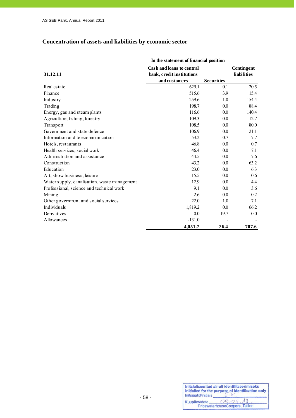# **Concentration of assets and liabilities by economic sector**

|                                              | In the statement of financial position |                   |             |
|----------------------------------------------|----------------------------------------|-------------------|-------------|
|                                              | <b>Cash and loans to central</b>       |                   | Contingent  |
| 31.12.11                                     | bank, credit institutions              |                   | liabilities |
|                                              | and customers                          | <b>Securities</b> |             |
| Real estate                                  | 629.1                                  | 0.1               | 20.5        |
| Finance                                      | 515.6                                  | 3.9               | 15.4        |
| Industry                                     | 259.6                                  | 1.0               | 154.4       |
| Trading                                      | 198.7                                  | 0.0               | 88.4        |
| Energy, gas and steam plants                 | 116.6                                  | 0.0               | 140.4       |
| Agriculture, fishing, forestry               | 109.3                                  | 0.0               | 12.7        |
| Transport                                    | 108.5                                  | 0.0               | 80.0        |
| Government and state defence                 | 106.9                                  | 0.0               | 21.1        |
| Information and telecommunication            | 53.2                                   | 0.7               | 7.7         |
| Hotels, restaurants                          | 46.8                                   | 0.0               | 0.7         |
| Health services, social work                 | 46.4                                   | 0.0               | 7.1         |
| Administration and assistance                | 44.5                                   | 0.0               | 7.6         |
| Construction                                 | 43.2                                   | 0.0               | 63.2        |
| Education                                    | 23.0                                   | 0.0               | 6.3         |
| Art, show business, leisure                  | 15.5                                   | 0.0               | 0.6         |
| Water supply, canalisation, waste management | 12.9                                   | 0.0               | 4.4         |
| Professional, science and technical work     | 9.1                                    | 0.0               | 3.6         |
| Mining                                       | 2.6                                    | 0.0               | 0.2         |
| Other government and social services         | 22.0                                   | 1.0               | 7.1         |
| Individuals                                  | 1,819.2                                | 0.0               | 66.2        |
| Derivatives                                  | 0.0                                    | 19.7              | 0.0         |
| Allowances                                   | $-131.0$                               |                   |             |
|                                              | 4,051.7                                | 26.4              | 707.6       |

| Initsiaalid/initials | Initsialiseeritud ainult identifitseerimiseks<br>Initialled for the purpose of identification only |
|----------------------|----------------------------------------------------------------------------------------------------|
| Kuupäev/date         | 09.03                                                                                              |
|                      | PricewaterhouseCoopers, Tallinn                                                                    |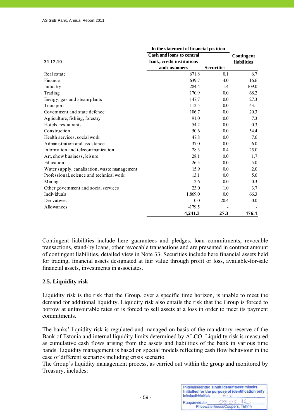|                                              | In the statement of financial position |                   |             |
|----------------------------------------------|----------------------------------------|-------------------|-------------|
|                                              | Cash and loans to central              |                   | Contingent  |
| 31.12.10                                     | bank, credit institutions              |                   | liabilities |
|                                              | and customers                          | <b>Securities</b> |             |
| Real estate                                  | 671.8                                  | 0.1               | 6.7         |
| Finance                                      | 639.7                                  | 4.0               | 16.6        |
| Industry                                     | 284.4                                  | 1.4               | 109.0       |
| Trading                                      | 170.9                                  | 0.0               | 68.2        |
| Energy, gas and steam plants                 | 147.7                                  | 0.0               | 27.3        |
| Transport                                    | 112.5                                  | 0.0               | 43.1        |
| Government and state defence                 | 106.7                                  | 0.0               | 20.3        |
| Agriculture, fishing, forestry               | 91.0                                   | 0.0               | 7.3         |
| Hotels, restaurants                          | 54.2                                   | 0.0               | 0.3         |
| Construction                                 | 50.6                                   | 0.0               | 54.4        |
| Health services, social work                 | 47.8                                   | 0.0               | 7.6         |
| Administration and assistance                | 37.0                                   | 0.0               | 6.0         |
| Information and telecommunication            | 28.3                                   | 0.4               | 25.0        |
| Art, show business, leisure                  | 28.1                                   | 0.0               | 1.7         |
| Education                                    | 26.5                                   | 0.0               | 5.0         |
| Water supply, canalisation, waste management | 15.9                                   | 0.0               | 2.0         |
| Professional, science and technical work     | 13.1                                   | 0.0               | 5.6         |
| Mining                                       | 2.6                                    | 0.0               | 0.3         |
| Other government and social services         | 23.0                                   | 1.0               | 3.7         |
| Individuals                                  | 1,869.0                                | 0.0               | 66.3        |
| Derivatives                                  | 0.0                                    | 20.4              | 0.0         |
| Allowances                                   | $-179.5$                               |                   |             |
|                                              | 4,241.3                                | 27.3              | 476.4       |

Contingent liabilities include here guarantees and pledges, loan commitments, revocable transactions, stand-by loans, other revocable transactions and are presented in contract amount of contingent liabilities, detailed view in Note 33. Securities include here financial assets held for trading, financial assets designated at fair value through profit or loss, available-for-sale financial assets, investments in associates.

# **2.5. Liquidity risk**

Liquidity risk is the risk that the Group, over a specific time horizon, is unable to meet the demand for additional liquidity. Liquidity risk also entails the risk that the Group is forced to borrow at unfavourable rates or is forced to sell assets at a loss in order to meet its payment commitments.

The banks' liquidity risk is regulated and managed on basis of the mandatory reserve of the Bank of Estonia and internal liquidity limits determined by ALCO. Liquidity risk is measured as cumulative cash flows arising from the assets and liabilities of the bank in various time bands. Liquidity management is based on special models reflecting cash flow behaviour in the case of different scenarios including crisis scenario.

The Group's liquidity management process, as carried out within the group and monitored by Treasury, includes:

Initsialiseeritud ainult identifitseerimiseks Initialled for the purpose of identification only Initsiaalid/initials  $09.03.$ A S Kuupäev/date PricewaterhouseCoopers, Tallinn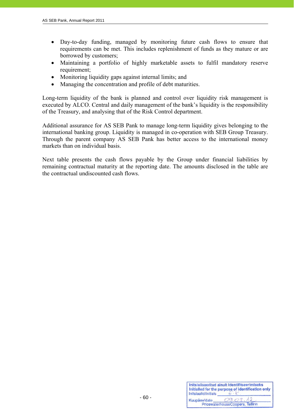- Day-to-day funding, managed by monitoring future cash flows to ensure that requirements can be met. This includes replenishment of funds as they mature or are borrowed by customers;
- Maintaining a portfolio of highly marketable assets to fulfil mandatory reserve requirement;
- Monitoring liquidity gaps against internal limits; and
- Managing the concentration and profile of debt maturities.

Long-term liquidity of the bank is planned and control over liquidity risk management is executed by ALCO. Central and daily management of the bank's liquidity is the responsibility of the Treasury, and analysing that of the Risk Control department.

Additional assurance for AS SEB Pank to manage long-term liquidity gives belonging to the international banking group. Liquidity is managed in co-operation with SEB Group Treasury. Through the parent company AS SEB Pank has better access to the international money markets than on individual basis.

Next table presents the cash flows payable by the Group under financial liabilities by remaining contractual maturity at the reporting date. The amounts disclosed in the table are the contractual undiscounted cash flows.

| Initsiaalid/initials | Initsialiseeritud ainult identifitseerimiseks<br>Initialled for the purpose of identification only |
|----------------------|----------------------------------------------------------------------------------------------------|
| Kuupäev/date         | 09.03<br>PricewaterhouseCoopers, Tallinn                                                           |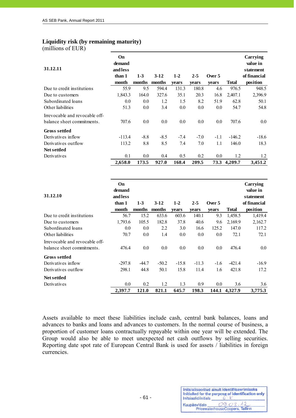# **Liquidity risk (by remaining maturity)**

(millions of EUR)

j

| 31.12.11                                                     | On<br>demand<br>and less<br>than 1<br>month | $1-3$<br>months | $3-12$<br>months | $1-2$<br>years | $2 - 5$<br>years | Over 5<br>years | <b>Total</b> | Carrying<br>value in<br>statement<br>of financial<br>position |
|--------------------------------------------------------------|---------------------------------------------|-----------------|------------------|----------------|------------------|-----------------|--------------|---------------------------------------------------------------|
| Due to credit institutions                                   | 55.9                                        | 9.5             | 594.4            | 131.3          | 180.8            | 4.6             | 976.5        | 948.5                                                         |
| Due to customers                                             | 1,843.3                                     | 164.0           | 327.6            | 35.1           | 20.3             | 16.8            | 2,407.1      | 2,396.9                                                       |
| Subordinated loans                                           | 0.0                                         | 0.0             | 1.2              | 1.5            | 8.2              | 51.9            | 62.8         | 50.1                                                          |
| Other liabilities                                            | 51.3                                        | $0.0\,$         | 3.4              | 0.0            | 0.0              | 0.0             | 54.7         | 54.8                                                          |
| Irrevocable and revocable off-<br>balance sheet commitments. | 707.6                                       | 0.0             | 0.0              | 0.0            | 0.0              | 0.0             | 707.6        | 0.0                                                           |
| <b>Gross settled</b>                                         |                                             |                 |                  |                |                  |                 |              |                                                               |
| Derivatives inflow                                           | $-113.4$                                    | $-8.8$          | $-8.5$           | $-7.4$         | $-7.0$           | $-1.1$          | $-146.2$     | $-18.6$                                                       |
| Derivatives outflow                                          | 113.2                                       | 8.8             | 8.5              | 7.4            | 7.0              | 1.1             | 146.0        | 18.3                                                          |
| <b>Net settled</b>                                           |                                             |                 |                  |                |                  |                 |              |                                                               |
| Derivatives                                                  | 0.1                                         | 0.0             | 0.4              | 0.5            | 0.2              | 0.0             | 1.2          | 1.2                                                           |
|                                                              | 2,658.0                                     | 173.5           | 927.0            | 168.4          | 209.5            | 73.3            | 4,209.7      | 3.451.2                                                       |

| 31.12.10                       | On<br>demand<br>and less |         |         |         |         |        |              | Carrying<br>value in<br>statement |
|--------------------------------|--------------------------|---------|---------|---------|---------|--------|--------------|-----------------------------------|
|                                | than 1                   | $1 - 3$ | $3-12$  | $1-2$   | $2 - 5$ | Over 5 |              | of financial                      |
|                                | month                    | months  | months  | years   | years   | years  | <b>Total</b> | position                          |
| Due to credit institutions     | 56.7                     | 15.2    | 633.6   | 603.6   | 140.1   | 9.3    | 1,458.5      | 1,419.4                           |
| Due to customers               | 1,793.6                  | 105.5   | 182.8   | 37.8    | 40.6    | 9.6    | 2,169.9      | 2,162.7                           |
| Subordinated loans             | 0.0                      | 0.0     | 2.2     | 3.0     | 16.6    | 125.2  | 147.0        | 117.2                             |
| Other liabilities              | 70.7                     | $0.0\,$ | 1.4     | 0.0     | 0.0     | 0.0    | 72.1         | 72.1                              |
| Irrevocable and revocable off- |                          |         |         |         |         |        |              |                                   |
| balance sheet commitments.     | 476.4                    | 0.0     | 0.0     | 0.0     | 0.0     | 0.0    | 476.4        | 0.0                               |
| <b>Gross settled</b>           |                          |         |         |         |         |        |              |                                   |
| Derivatives inflow             | $-297.8$                 | $-44.7$ | $-50.2$ | $-15.8$ | $-11.3$ | $-1.6$ | $-421.4$     | $-16.9$                           |
| Derivatives outflow            | 298.1                    | 44.8    | 50.1    | 15.8    | 11.4    | 1.6    | 421.8        | 17.2                              |
| Net settled                    |                          |         |         |         |         |        |              |                                   |
| Derivatives                    | 0.0                      | 0.2     | 1.2     | 1.3     | 0.9     | 0.0    | 3.6          | 3.6                               |
|                                | 2.397.7                  | 121.0   | 821.1   | 645.7   | 198.3   | 144.1  | 4.327.9      | 3,775.3                           |

Assets available to meet these liabilities include cash, central bank balances, loans and advances to banks and loans and advances to customers. In the normal course of business, a proportion of customer loans contractually repayable within one year will be extended. The Group would also be able to meet unexpected net cash outflows by selling securities. Reporting date spot rate of European Central Bank is used for assets / liabilities in foreign currencies.

| Initsiaalid/initials | Initsialiseeritud ainult identifitseerimiseks<br>Initialled for the purpose of identification only |
|----------------------|----------------------------------------------------------------------------------------------------|
| Kuupäev/date         | 09.03<br>PricewaterhouseCoopers, Tallinn                                                           |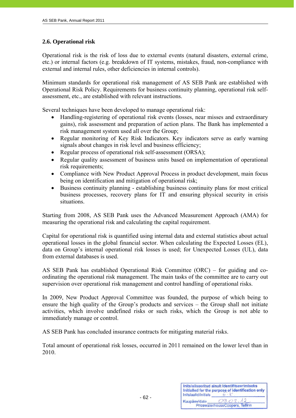# **2.6. Operational risk**

j

Operational risk is the risk of loss due to external events (natural disasters, external crime, etc.) or internal factors (e.g. breakdown of IT systems, mistakes, fraud, non-compliance with external and internal rules, other deficiencies in internal controls).

Minimum standards for operational risk management of AS SEB Pank are established with Operational Risk Policy. Requirements for business continuity planning, operational risk selfassessment, etc., are established with relevant instructions.

Several techniques have been developed to manage operational risk:

- Handling-registering of operational risk events (losses, near misses and extraordinary gains), risk assessment and preparation of action plans. The Bank has implemented a risk management system used all over the Group;
- Regular monitoring of Key Risk Indicators. Key indicators serve as early warning signals about changes in risk level and business efficiency;
- Regular process of operational risk self-assessment (ORSA);
- Regular quality assessment of business units based on implementation of operational risk requirements;
- Compliance with New Product Approval Process in product development, main focus being on identification and mitigation of operational risk;
- Business continuity planning establishing business continuity plans for most critical business processes, recovery plans for IT and ensuring physical security in crisis situations.

Starting from 2008, AS SEB Pank uses the Advanced Measurement Approach (AMA) for measuring the operational risk and calculating the capital requirement.

Capital for operational risk is quantified using internal data and external statistics about actual operational losses in the global financial sector. When calculating the Expected Losses (EL), data on Group's internal operational risk losses is used; for Unexpected Losses (UL), data from external databases is used.

AS SEB Pank has established Operational Risk Committee (ORC) – for guiding and coordinating the operational risk management. The main tasks of the committee are to carry out supervision over operational risk management and control handling of operational risks.

In 2009, New Product Approval Committee was founded, the purpose of which being to ensure the high quality of the Group's products and services – the Group shall not initiate activities, which involve undefined risks or such risks, which the Group is not able to immediately manage or control.

AS SEB Pank has concluded insurance contracts for mitigating material risks.

Total amount of operational risk losses, occurred in 2011 remained on the lower level than in 2010.

Initsialiseeritud ainult identifitseerimiseks Initialled for the purpose of identification only Initsiaalid/initials  $09.03.12$ Kuupäev/date PricewaterhouseCoopers, Tallinn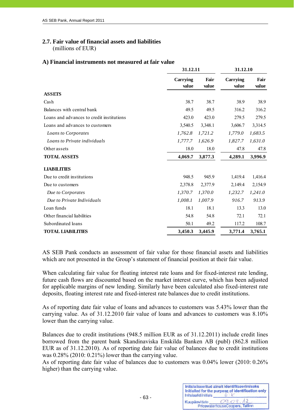# **2.7. Fair value of financial assets and liabilities**

(millions of EUR)

## **A) Financial instruments not measured at fair value**

|                                           | 31.12.11          |               | 31.12.10          |               |  |
|-------------------------------------------|-------------------|---------------|-------------------|---------------|--|
|                                           | Carrying<br>value | Fair<br>value | Carrying<br>value | Fair<br>value |  |
| <b>ASSETS</b>                             |                   |               |                   |               |  |
| Cash                                      | 38.7              | 38.7          | 38.9              | 38.9          |  |
| Balances with central bank                | 49.5              | 49.5          | 316.2             | 316.2         |  |
| Loans and advances to credit institutions | 423.0             | 423.0         | 279.5             | 279.5         |  |
| Loans and advances to customers           | 3,540.5           | 3,348.1       | 3,606.7           | 3,314.5       |  |
| Loans to Corporates                       | 1,762.8           | 1,721.2       | 1,779.0           | 1,683.5       |  |
| Loans to Private individuals              | 1,777.7           | 1,626.9       | 1,827.7           | 1,631.0       |  |
| Other assets                              | 18.0              | 18.0          | 47.8              | 47.8          |  |
| <b>TOTAL ASSETS</b>                       | 4,069.7           | 3,877.3       | 4,289.1           | 3,996.9       |  |
| <b>LIABILITIES</b>                        |                   |               |                   |               |  |
| Due to credit institutions                | 948.5             | 945.9         | 1,419.4           | 1,416.4       |  |
| Due to customers                          | 2,378.8           | 2,377.9       | 2,149.4           | 2,154.9       |  |
| Due to Corporates                         | 1,370.7           | 1,370.0       | 1,232.7           | 1,241.0       |  |
| Due to Private Individuals                | 1,008.1           | 1,007.9       | 916.7             | 913.9         |  |
| Loan funds                                | 18.1              | 18.1          | 13.3              | 13.0          |  |
| Other financial liabilities               | 54.8              | 54.8          | 72.1              | 72.1          |  |
| Subordinated loans                        | 50.1              | 49.2          | 117.2             | 108.7         |  |
| <b>TOTAL LIABILITIES</b>                  | 3,450.3           | 3.445.9       | 3,771.4           | 3,765.1       |  |

AS SEB Pank conducts an assessment of fair value for those financial assets and liabilities which are not presented in the Group's statement of financial position at their fair value.

When calculating fair value for floating interest rate loans and for fixed-interest rate lending, future cash flows are discounted based on the market interest curve, which has been adjusted for applicable margins of new lending. Similarly have been calculated also fixed-interest rate deposits, floating interest rate and fixed-interest rate balances due to credit institutions.

As of reporting date fair value of loans and advances to customers was 5.43% lower than the carrying value. As of 31.12.2010 fair value of loans and advances to customers was 8.10% lower than the carrying value.

Balances due to credit institutions (948.5 million EUR as of 31.12.2011) include credit lines borrowed from the parent bank Skandinaviska Enskilda Banken AB (publ) (862.8 million EUR as of 31.12.2010). As of reporting date fair value of balances due to credit institutions was 0.28% (2010: 0.21%) lower than the carrying value.

As of reporting date fair value of balances due to customers was 0.04% lower (2010: 0.26% higher) than the carrying value.

Initsialiseeritud ainult identifitseerimiseks Initialled for the purpose of identification only Initsiaalid/initials  $09.03$ Kuunäev/date PricewaterhouseCoopers, Tallinn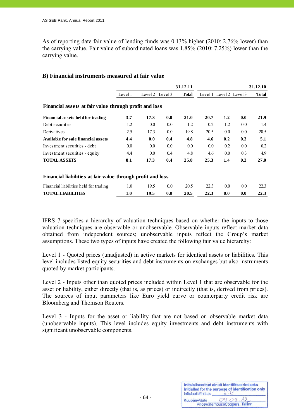As of reporting date fair value of lending funds was 0.13% higher (2010: 2.76% lower) than the carrying value. Fair value of subordinated loans was 1.85% (2010: 7.25%) lower than the carrying value.

## **B) Financial instruments measured at fair value**

|                                                             |         |                 |     | 31.12.11     |                         |     |     | 31.12.10     |
|-------------------------------------------------------------|---------|-----------------|-----|--------------|-------------------------|-----|-----|--------------|
|                                                             | Level 1 | Level 2 Level 3 |     | <b>Total</b> | Level 1 Level 2 Level 3 |     |     | <b>Total</b> |
| Financial assets at fair value through profit and loss      |         |                 |     |              |                         |     |     |              |
| Financial assets held for trading                           | 3.7     | 17.3            | 0.0 | 21.0         | 20.7                    | 1.2 | 0.0 | 21.9         |
| Debt securities                                             | 1.2     | 0.0             | 0.0 | 1.2          | 0.2                     | 1.2 | 0.0 | 1.4          |
| Derivatives                                                 | 2.5     | 17.3            | 0.0 | 19.8         | 20.5                    | 0.0 | 0.0 | 20.5         |
| Available for sale financial assets                         | 4.4     | 0.0             | 0.4 | 4.8          | 4.6                     | 0.2 | 0.3 | 5.1          |
| Investment securities - debt                                | 0.0     | $0.0\,$         | 0.0 | 0.0          | $0.0\,$                 | 0.2 | 0.0 | 0.2          |
| Investment securities - equity                              | 4.4     | $0.0\,$         | 0.4 | 4.8          | 4.6                     | 0.0 | 0.3 | 4.9          |
| <b>TOTAL ASSETS</b>                                         | 8.1     | 17.3            | 0.4 | 25.8         | 25.3                    | 1.4 | 0.3 | 27.0         |
| Financial liabilities at fair value through profit and loss |         |                 |     |              |                         |     |     |              |
| Financial liabilities held for trading                      | 1.0     | 19.5            | 0.0 | 20.5         | 22.3                    | 0.0 | 0.0 | 22.3         |

**TOTAL LIABILITIES 1.0 19.5 0.0 20.5 22.3 0.0 0.0 22.3**

IFRS 7 specifies a hierarchy of valuation techniques based on whether the inputs to those valuation techniques are observable or unobservable. Observable inputs reflect market data obtained from independent sources; unobservable inputs reflect the Group's market assumptions. These two types of inputs have created the following fair value hierarchy:

Level 1 - Quoted prices (unadjusted) in active markets for identical assets or liabilities. This level includes listed equity securities and debt instruments on exchanges but also instruments quoted by market participants.

Level 2 - Inputs other than quoted prices included within Level 1 that are observable for the asset or liability, either directly (that is, as prices) or indirectly (that is, derived from prices). The sources of input parameters like Euro yield curve or counterparty credit risk are Bloomberg and Thomson Reuters.

Level 3 - Inputs for the asset or liability that are not based on observable market data (unobservable inputs). This level includes equity investments and debt instruments with significant unobservable components.

| Initsiaalid/initials | Initsialiseeritud ainult identifitseerimiseks<br>Initialled for the purpose of identification only |
|----------------------|----------------------------------------------------------------------------------------------------|
| Kuupäev/date         | 09.03<br>PricewaterhouseCoopers, Tallinn                                                           |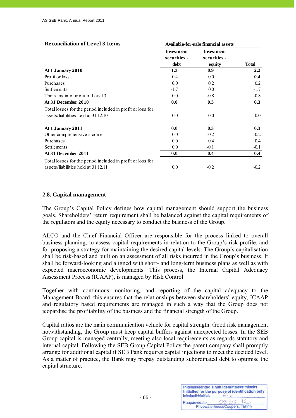| <b>Reconciliation of Level 3 Items</b>                     |                                           | Available-for-sale financial assets         |              |
|------------------------------------------------------------|-------------------------------------------|---------------------------------------------|--------------|
|                                                            | <b>Investment</b><br>securities -<br>debt | <b>Investment</b><br>securities -<br>equity | <b>Total</b> |
| At 1 January 2010                                          | 1.3                                       | 0.9                                         | $2.2\,$      |
| Profit or loss                                             | 0.4                                       | 0.0                                         | 0.4          |
| Purchases                                                  | 0.0                                       | 0.2                                         | 0.2          |
| Settlements                                                | $-1.7$                                    | 0.0                                         | $-1.7$       |
| Transfers into or out of Level 3                           | 0.0                                       | $-0.8$                                      | $-0.8$       |
| At 31 December 2010                                        | 0.0                                       | 0.3                                         | 0.3          |
| Total losses for the period included in profit or loss for |                                           |                                             |              |
| assets/liabilities held at 31.12.10.                       | 0.0                                       | 0.0                                         | $0.0\,$      |
| At 1 January 2011                                          | 0.0                                       | 0.3                                         | 0.3          |
| Other comprehensive income                                 | 0.0                                       | $-0.2$                                      | $-0.2$       |
| Purchases                                                  | 0.0                                       | 0.4                                         | 0.4          |
| Settlements                                                | 0.0                                       | $-0.1$                                      | $-0.1$       |
| At 31 December 2011                                        | 0.0                                       | 0.4                                         | 0.4          |
| Total losses for the period included in profit or loss for |                                           |                                             |              |
| assets/liabilities held at 31.12.11.                       | 0.0                                       | $-0.2$                                      | $-0.2$       |

## **2.8. Capital management**

The Group's Capital Policy defines how capital management should support the business goals. Shareholders' return requirement shall be balanced against the capital requirements of the regulators and the equity necessary to conduct the business of the Group.

ALCO and the Chief Financial Officer are responsible for the process linked to overall business planning, to assess capital requirements in relation to the Group's risk profile, and for proposing a strategy for maintaining the desired capital levels. The Group's capitalisation shall be risk-based and built on an assessment of all risks incurred in the Group's business. It shall be forward-looking and aligned with short- and long-term business plans as well as with expected macroeconomic developments. This process, the Internal Capital Adequacy Assessment Process (ICAAP), is managed by Risk Control.

Together with continuous monitoring, and reporting of the capital adequacy to the Management Board, this ensures that the relationships between shareholders' equity, ICAAP and regulatory based requirements are managed in such a way that the Group does not jeopardise the profitability of the business and the financial strength of the Group.

Capital ratios are the main communication vehicle for capital strength. Good risk management notwithstanding, the Group must keep capital buffers against unexpected losses. In the SEB Group capital is managed centrally, meeting also local requirements as regards statutory and internal capital. Following the SEB Group Capital Policy the parent company shall promptly arrange for additional capital if SEB Pank requires capital injections to meet the decided level. As a matter of practice, the Bank may prepay outstanding subordinated debt to optimise the capital structure.

| Initsiaalid/initials | Initsialiseeritud ainult identifitseerimiseks<br>Initialled for the purpose of identification only |
|----------------------|----------------------------------------------------------------------------------------------------|
| Kuupäev/date         | 09.03<br>PricewaterhouseCoopers, Tallinn                                                           |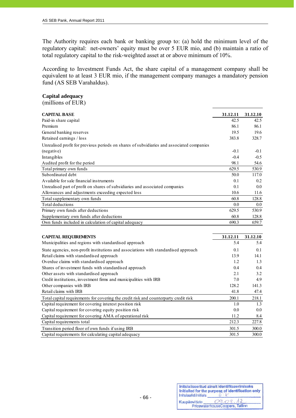The Authority requires each bank or banking group to: (a) hold the minimum level of the regulatory capital: net-owners' equity must be over 5 EUR mio, and (b) maintain a ratio of total regulatory capital to the risk-weighted asset at or above minimum of 10%.

According to Investment Funds Act, the share capital of a management company shall be equivalent to at least 3 EUR mio, if the management company manages a mandatory pension fund (AS SEB Varahaldus).

# **Capital adequacy**

(millions of EUR)

| <b>CAPITAL BASE</b>                                                                       | 31.12.11 | 31.12.10 |
|-------------------------------------------------------------------------------------------|----------|----------|
| Paid-in share capital                                                                     | 42.5     | 42.5     |
| Premium                                                                                   | 86.1     | 86.1     |
| General banking reserves                                                                  | 19.5     | 19.6     |
| Retained earnings / loss                                                                  | 383.8    | 328.7    |
| Unrealised profit for previous periods on shares of subsidiaries and associated companies |          |          |
| (negative)                                                                                | $-0.1$   | $-0.1$   |
| Intangibles                                                                               | $-0.4$   | $-0.5$   |
| Audited profit for the period                                                             | 98.1     | 54.6     |
| Total primary own funds                                                                   | 629.5    | 530.9    |
| Subordinated debt                                                                         | 50.0     | 117.0    |
| Available for sale financial instruments                                                  | 0.1      | 0.2      |
| Unrealised part of profit on shares of subsidiaries and associated companies              | 0.1      | $0.0\,$  |
| Allowances and adjustments exceeding expected loss                                        | 10.6     | 11.6     |
| Total supplementary own funds                                                             | 60.8     | 128.8    |
| Total deductions                                                                          | 0.0      | $0.0\,$  |
| Primary own funds after deductions                                                        | 629.5    | 530.9    |
| Supplementary own funds after deductions                                                  | 60.8     | 128.8    |
| Own funds included in calculation of capital adequacy                                     | 690.3    | 659.7    |

| <b>CAPITAL REQUIREMENTS</b>                                                          | 31.12.11 | 31.12.10 |
|--------------------------------------------------------------------------------------|----------|----------|
| Municipalities and regions with standardised approach                                | 5.4      | 5.4      |
| State agencies, non-profit institutions and associations with standardised approach  | 0.1      | 0.1      |
| Retail claims with standardised approach                                             | 13.9     | 14.1     |
| Overdue claims with standardised approach                                            | 1.2      | 1.3      |
| Shares of investment funds with standardised approach                                | 0.4      | 0.4      |
| Other assets with standardised approach                                              | 2.1      | 3.2      |
| Credit institutions, investment firms and municipalities with IRB                    | 7.0      | 4.9      |
| Other companies with IRB                                                             | 128.2    | 141.3    |
| Retail claims with IRB                                                               | 41.8     | 47.4     |
| Total capital requirements for covering the credit risk and counterparty credit risk | 200.1    | 218.1    |
| Capital requirement for covering interest position risk                              | 1.0      | 1.3      |
| Capital requirement for covering equity position risk                                | 0.0      | 0.0      |
| Capital requirement for covering AMA of operational risk                             | 11.2     | 8.4      |
| Capital requirements total                                                           | 212.3    | 227.8    |
| Transition period floor of own funds if using IRB                                    | 301.5    | 300.0    |
| Capital requirements for calculating capital adequacy                                | 301.5    | 300.0    |

| Initsiaalid/initials | Initsialiseeritud ainult identifitseerimiseks<br>Initialled for the purpose of identification only |
|----------------------|----------------------------------------------------------------------------------------------------|
| Kuupäev/date         | 09.03<br>PricewaterhouseCoopers, Tallinn                                                           |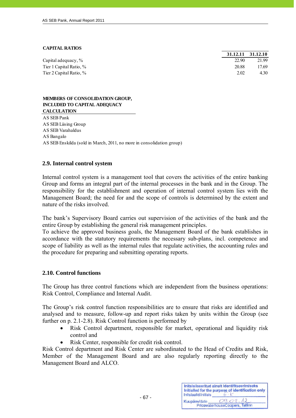#### **CAPITAL RATIOS**

j

|                            |       | 31.12.11 31.12.10 |
|----------------------------|-------|-------------------|
| Capital adequacy, $\%$     | 22.90 | 21.99             |
| Tier 1 Capital Ratio, %    | 20.88 | 17.69             |
| Tier 2 Capital Ratio, $\%$ | 2.02  | 4.30              |

#### **MEMBERS OF CONSOLIDATION GROUP, INCLUDED TO CAPITAL ADEQUACY CALCULATION**

AS SEB Pank AS SEB Liising Group AS SEB Varahaldus AS Bangalo AS SEB Enskilda (sold in March, 2011, no more in consolidation group)

## **2.9. Internal control system**

Internal control system is a management tool that covers the activities of the entire banking Group and forms an integral part of the internal processes in the bank and in the Group. The responsibility for the establishment and operation of internal control system lies with the Management Board; the need for and the scope of controls is determined by the extent and nature of the risks involved.

The bank's Supervisory Board carries out supervision of the activities of the bank and the entire Group by establishing the general risk management principles.

To achieve the approved business goals, the Management Board of the bank establishes in accordance with the statutory requirements the necessary sub-plans, incl. competence and scope of liability as well as the internal rules that regulate activities, the accounting rules and the procedure for preparing and submitting operating reports.

## **2.10. Control functions**

The Group has three control functions which are independent from the business operations: Risk Control, Compliance and Internal Audit.

The Group's risk control function responsibilities are to ensure that risks are identified and analysed and to measure, follow-up and report risks taken by units within the Group (see further on p. 2.1-2.8). Risk Control function is performed by

- Risk Control department, responsible for market, operational and liquidity risk control and
- Risk Center, responsible for credit risk control.

Risk Control department and Risk Center are subordinated to the Head of Credits and Risk, Member of the Management Board and are also regularly reporting directly to the Management Board and ALCO.

Initsialiseeritud ainult identifitseerimiseks Initialled for the purpose of identification only Initsiaalid/initials  $09.03$  $\Lambda$ Kuupäev/date PricewaterhouseCoopers, Tallinn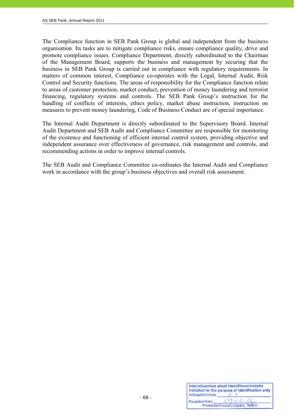The Compliance function in SEB Pank Group is global and independent from the business organisation. Its tasks are to mitigate compliance risks, ensure compliance quality, drive and promote compliance issues. Compliance Department, directly subordinated to the Chairman of the Management Board, supports the business and management by securing that the business in SEB Pank Group is carried out in compliance with regulatory requirements. In matters of common interest, Compliance co-operates with the Legal, Internal Audit, Risk Control and Security functions. The areas of responsibility for the Compliance function relate to areas of customer protection, market conduct, prevention of money laundering and terrorist financing, regulatory systems and controls. The SEB Pank Group's instruction for the handling of conflicts of interests, ethics policy, market abuse instruction, instruction on measures to prevent money laundering, Code of Business Conduct are of special importance.

The Internal Audit Department is directly subordinated to the Supervisory Board. Internal Audit Department and SEB Audit and Compliance Committee are responsible for monitoring of the existence and functioning of efficient internal control system, providing objective and independent assurance over effectiveness of governance, risk management and controls, and recommending actions in order to improve internal controls.

The SEB Audit and Compliance Committee co-ordinates the Internal Audit and Compliance work in accordance with the group's business objectives and overall risk assessment.

| Initsiaalid/initials | Initsialiseeritud ainult identifitseerimiseks<br>Initialled for the purpose of identification only |
|----------------------|----------------------------------------------------------------------------------------------------|
| Kuupäev/date         | 09.03                                                                                              |
|                      | PricewaterhouseCoopers, Tallinn                                                                    |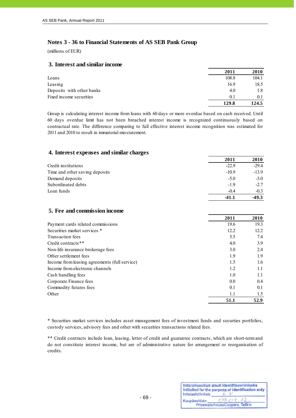## **Notes 3 - 36 to Financial Statements of AS SEB Pank Group**

(millions of EUR)

j

## **3. Interest and similar income**

|                           | 2011  | 2010  |
|---------------------------|-------|-------|
| Loans                     | 108.8 | 104.1 |
| Leasing                   | 16.9  | 18.5  |
| Deposits with other banks | 4.0   | 1.8   |
| Fixed income securities   | 0.1   | 0.1   |
|                           | 129.8 | 124.5 |

Group is calculating interest income from loans with 60 days or more overdue based on cash received. Until 60 days overdue limit has not been breached interest income is recognized continuously based on contractual rate. The difference comparing to full effective interest income recognition was estimated for 2011 and 2010 to result in immaterial misstatement.

## **4. Interest expenses and similar charges**

|                                | 2011    | 2010    |
|--------------------------------|---------|---------|
| Credit institutions            | $-22.9$ | $-29.4$ |
| Time and other saving deposits | $-10.9$ | $-13.9$ |
| Demand deposits                | $-5.0$  | $-3.0$  |
| Subordinated debts             | $-1.9$  | $-2.7$  |
| Loan funds                     | $-0.4$  | $-0.3$  |
|                                | -41.1   | $-49.3$ |

## **5. Fee and commission income**

|                                               | 2011 | 2010 |
|-----------------------------------------------|------|------|
| Payment cards related commissions             | 19.6 | 19.3 |
| Securities market services *                  | 12.2 | 12.2 |
| Transaction fees                              | 5.5  | 7.4  |
| Credit contracts**                            | 4.0  | 3.9  |
| Non-life insurance brokerage fees             | 3.0  | 2.4  |
| Other settlement fees                         | 1.9  | 1.9  |
| Income from leasing agreements (full service) | 1.5  | 1.6  |
| Income from electronic channels               | 1.2  | 1.1  |
| Cash handling fees                            | 1.0  | 1.1  |
| Corporate Finance fees                        | 0.0  | 0.4  |
| Commodity futures fees                        | 0.1  | 0.1  |
| Other                                         | 1.1  | 1.5  |
|                                               | 51.1 | 52.9 |

\* Securities market services includes asset management fees of investment funds and securties portfolios, custody services, advisory fees and other with securities transactions related fees.

\*\* Credit contracts include loan, leasing, letter of credit and guarantee contracts, which are short-term and do not constitute interest income, but are of administrative nature for arrangement or reorganisation of credits.

| Initsialiseeritud ainult identifitseerimiseks<br>Initialled for the purpose of identification only<br>Initsiaalid/initials |                                          |  |
|----------------------------------------------------------------------------------------------------------------------------|------------------------------------------|--|
| Kuupäev/date                                                                                                               | 09.03<br>PricewaterhouseCoopers, Tallinn |  |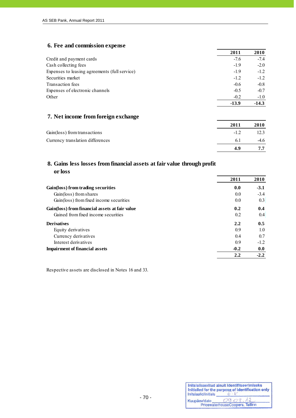## **6. Fee and commission expense**

|                                               | 2011    | 2010    |
|-----------------------------------------------|---------|---------|
| Credit and payment cards                      | $-7.6$  | $-7.4$  |
| Cash collecting fees                          | $-1.9$  | $-2.0$  |
| Expenses to leasing agreements (full service) | $-1.9$  | $-1.2$  |
| Securities market                             | $-1.2$  | $-1.2$  |
| Transaction fees                              | $-0.6$  | $-0.8$  |
| Expenses of electronic channels               | $-0.5$  | $-0.7$  |
| Other                                         | $-0.2$  | $-1.0$  |
|                                               | $-13.9$ | $-14.3$ |

## **7. Net income from foreign exchange**

|                                  | 2011   | 2010   |
|----------------------------------|--------|--------|
| Gain(loss) from transactions     | $-1.2$ | 12.3   |
| Currency translation differences | 6.1    | $-4.6$ |
|                                  | 4 Q    | 77     |

## **8. Gains less losses from financial assets at fair value through profit or loss**

|                                                | 2011   | 2010   |
|------------------------------------------------|--------|--------|
| Gain(loss) from trading securities             | 0.0    | $-3.1$ |
| Gain(loss) from shares                         | 0.0    | $-3.4$ |
| Gain(loss) from fixed income securities        | 0.0    | 0.3    |
| Gain(loss) from financial assets at fair value | 0.2    | 0.4    |
| Gained from fixed income securities            | 0.2    | 0.4    |
| <b>Derivatives</b>                             | 2.2    | 0.5    |
| Equity derivatives                             | 0.9    | 1.0    |
| Currency derivatives                           | 0.4    | 0.7    |
| Interest derivatives                           | 0.9    | $-1.2$ |
| <b>Impairment of financial assets</b>          | $-0.2$ | 0.0    |
|                                                | 2.2    | $-2.2$ |

Respective assets are disclosed in Notes 16 and 33.

| Initsiaalid/initials | Initsialiseeritud ainult identifitseerimiseks<br>Initialled for the purpose of identification only |
|----------------------|----------------------------------------------------------------------------------------------------|
| Kuupäev/date         | 09.03<br>PricewaterhouseCoopers, Tallinn                                                           |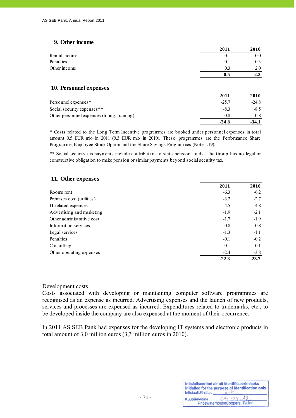## **9. Other income**

|                                             | 2011    | 2010    |
|---------------------------------------------|---------|---------|
| Rental income                               | 0.1     | 0.0     |
| Penalties                                   | 0.1     | 0.3     |
| Other income                                | 0.3     | 2.0     |
|                                             | 0.5     | 2.3     |
| 10. Personnel expenses                      |         |         |
|                                             | 2011    | 2010    |
| Personnel expenses*                         | $-25.7$ | $-24.8$ |
| Social security expenses**                  | $-8.3$  | $-8.5$  |
| Other personnel expenses (hiring, training) | $-0.8$  | $-0.8$  |
|                                             | $-34.8$ | $-34.1$ |

\* Costs related to the Long Term Incentive programmes are booked under personnel expenses in total amount 0.5 EUR mio in 2011 (0.3 EUR mio in 2010). These programmes are the Performance Share Programme, Employee Stock Option and the Share Savings Programmes (Note 1.19).

\*\* Social security tax payments include contribution to state pension funds. The Group has no legal or constructive obligation to make pension or similar payments beyond social security tax.

|                           | 2011    | 2010    |
|---------------------------|---------|---------|
| Rooms rent                | $-6.3$  | $-6.2$  |
| Premises cost (utilities) | $-3.2$  | $-2.7$  |
| IT related expenses       | $-4.5$  | $-4.8$  |
| Advertising and marketing | $-1.9$  | $-2.1$  |
| Other administrative cost | $-1.7$  | $-1.9$  |
| Information services      | $-0.8$  | $-0.8$  |
| Legal services            | $-1.3$  | $-1.1$  |
| Penalties                 | $-0.1$  | $-0.2$  |
| Consulting                | $-0.1$  | $-0.1$  |
| Other operating expenses  | $-2.4$  | $-3.8$  |
|                           | $-22.3$ | $-23.7$ |

## Development costs

Costs associated with developing or maintaining computer software programmes are recognised as an expense as incurred. Advertising expenses and the launch of new products, services and processes are expensed as incurred. Expenditures related to trademarks, etc., to be developed inside the company are also expensed at the moment of their occurrence.

In 2011 AS SEB Pank had expenses for the developing IT systems and electronic products in total amount of 3,0 million euros (3,3 million euros in 2010).

| Initsiaalid/initials | Initsialiseeritud ainult identifitseerimiseks<br>Initialled for the purpose of identification only |
|----------------------|----------------------------------------------------------------------------------------------------|
| Kuupäev/date         | 09.03<br>PricewaterhouseCoopers, Tallinn                                                           |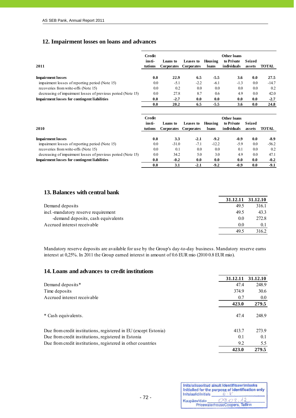# **12. Impairment losses on loans and advances**

| 2011                                                         | Credit<br>insti-<br>tutions | Loans to<br><b>Corporates</b> | Leases to<br><b>Corporates</b> | Housing<br>loans | Other loans<br>to Private<br>individuals | Seized<br>assets | <b>TOTAL</b> |
|--------------------------------------------------------------|-----------------------------|-------------------------------|--------------------------------|------------------|------------------------------------------|------------------|--------------|
| <b>Impairment losses</b>                                     | 0.0                         | 22.9                          | 6.5                            | $-5.5$           | 3.6                                      | 0.0              | 27.5         |
| impairment losses of reporting period (Note 15)              | 0.0                         | $-5.1$                        | $-2.2$                         | $-6.1$           | $-1.3$                                   | 0.0              | $-14.7$      |
| recoveries from write-offs (Note 15)                         | 0.0                         | 0.2                           | 0.0                            | 0.0              | 0.0                                      | $0.0\,$          | 0.2          |
| decreasing of impairment losses of previous period (Note 15) | 0.0                         | 27.8                          | 8.7                            | 0.6              | 4.9                                      | 0.0              | 42.0         |
| <b>Impairment losses for contingent liabilities</b>          | 0.0                         | $-2.7$                        | 0.0                            | 0.0              | 0.0                                      | 0.0              | $-2.7$       |
|                                                              | 0.0                         | 20.2                          | 6.5                            | $-5.5$           | 3.6                                      | 0.0              | 24.8         |

|                                                              | Credit  |            |                   |         | Other loans |        |              |
|--------------------------------------------------------------|---------|------------|-------------------|---------|-------------|--------|--------------|
|                                                              | insti-  | Loans to   | Leases to         | Housing | to Private  | Seized |              |
| 2010                                                         | tutions | Corporates | <b>Corporates</b> | loans   | individuals | assets | <b>TOTAL</b> |
|                                                              |         |            |                   |         |             |        |              |
| <b>Impairment losses</b>                                     | 0.0     | 3.3        | $-2.1$            | $-9.2$  | $-0.9$      | 0.0    | $-8.9$       |
| impairment losses of reporting period (Note 15)              | 0.0     | $-31.0$    | $-7.1$            | $-12.2$ | $-5.9$      | 0.0    | $-56.2$      |
| recoveries from write-offs (Note 15)                         | 0.0     | 0.1        | 0.0               | 0.0     | 0.1         | 0.0    | 0.2          |
| decreasing of impairment losses of previous period (Note 15) | 0.0     | 34.2       | 5.0               | 3.0     | 4.9         | 0.0    | 47.1         |
| <b>Impairment losses for contingent liabilities</b>          | 0.0     | $-0.2$     | 0.0               | 0.0     | 0.0         | 0.0    | $-0.2$       |
|                                                              | 0.0     | 3.1        | $-2.1$            | $-9.2$  | -0.9        | 0.0    | $-9.1$       |

## **13. Balances with central bank**

|                                     |      | 31.12.11 31.12.10 |
|-------------------------------------|------|-------------------|
| Demand deposits                     | 49.5 | 316.1             |
| incl -mandatory reserve requirement | 49.5 | 43.3              |
| -demand deposits, cash equivalents  | 0.0  | 272.8             |
| Accrued interest receivable         | 0.0  | 0.1               |
|                                     | 49.5 | 316.2             |

Mandatory reserve deposits are available for use by the Group's day-to-day business. Mandatory reserve earns interest at 0,25%. In 2011 the Group earned interest in amount of 0.6 EUR mio (2010 0.8 EUR mio).

## **14. Loans and advances to credit institutions**

|                                                                 | 31.12.11 | 31.12.10 |
|-----------------------------------------------------------------|----------|----------|
| Demand deposits*                                                | 47.4     | 248.9    |
| Time deposits                                                   | 374.9    | 30.6     |
| Accrued interest receivable                                     | 0.7      | 0.0      |
|                                                                 | 423.0    | 279.5    |
| * Cash equivalents.                                             | 47.4     | 248.9    |
| Due from credit institutions, registered in EU (except Estonia) | 413.7    | 273.9    |
| Due from credit institutions, registered in Estonia             | 0.1      | 0.1      |
| Due from credit institutions, registered in other countries     | 9.2      | 5.5      |
|                                                                 | 423.0    | 279.5    |

| Initsiaalid/initials | Initsialiseeritud ainult identifitseerimiseks<br>Initialled for the purpose of identification only |
|----------------------|----------------------------------------------------------------------------------------------------|
| Kuupäev/date         | 09.03<br>PricewaterhouseCoopers, Tallinn                                                           |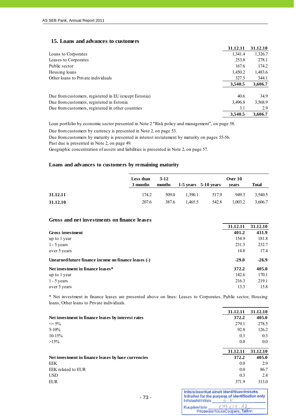### **15. Loans and advances to customers**

|                                                       | 31.12.11 | 31.12.10 |
|-------------------------------------------------------|----------|----------|
| Loans to Corporates                                   | 1,341.4  | 1,326.7  |
| Leases to Corporates                                  | 253.8    | 278.1    |
| Public sector                                         | 167.6    | 174.2    |
| Housing loans                                         | 1,450.2  | 1,483.6  |
| Other loans to Private individuals                    | 327.5    | 344.1    |
|                                                       | 3,540.5  | 3,606.7  |
| Due from customers, registered in EU (except Estonia) | 40.6     | 34.9     |
| Due from customers, registered in Estonia             | 3,496.8  | 3,568.9  |
| Due from customers, registered in other countries     | 3.1      | 2.9      |
|                                                       | 3.540.5  | 3,606.7  |

Loan portfolio by economic sector presented in Note 2 "Risk policy and management", on page 58.

Due from customers by currency is presented in Note 2, on page 53.

Due from customers by maturity is presented in interest restatement by maturity on pages 55-56.

Past due is presented in Note 2, on page 49.

Geographic concentration of assets and liabilities is presented in Note 2, on page 57.

#### **Loans and advances to customers by remaining maturity**

|          | Less than | $3-12$ |         |                                 | Over 10 |              |
|----------|-----------|--------|---------|---------------------------------|---------|--------------|
|          | 3 months  |        |         | months $1-5$ vears $5-10$ vears | vears   | <b>Total</b> |
| 31.12.11 | 174.2     | 509.0  | 1.390.1 | 517.9                           | 949.3   | 3.540.5      |
| 31.12.10 | 207.6     | 387.6  | 1.465.5 | 542.8                           | 1.003.2 | 3,606.7      |

#### **Gross and net investments on finance leases**

|                                                      | 31.12.11 | 31.12.10 |
|------------------------------------------------------|----------|----------|
| Gross investment                                     | 401.2    | 431.9    |
| up to 1 year                                         | 154.9    | 181.8    |
| $1 - 5$ years                                        | 231.5    | 232.7    |
| over 5 years                                         | 14.8     | 17.4     |
| Unearned future finance income on finance leases (-) | $-29.0$  | $-26.9$  |
| Net investment in finance leases*                    | 372.2    | 405.0    |
| up to 1 year                                         | 142.6    | 170.1    |
| $1 - 5$ years                                        | 216.3    | 219.1    |
| over 5 years                                         | 13.3     | 15.8     |

\* Net investment in finance leases are presented above on lines: Leases to Corporates, Public sector, Housing loans, Other loans to Private individuals.

|                                                     | 31.12.11 | 31.12.10 |
|-----------------------------------------------------|----------|----------|
| Net investment in finance leases by interest rates  | 372.2    | 405.0    |
| $\leq$ 5%                                           | 279.1    | 278.5    |
| $5 - 10\%$                                          | 92.8     | 126.2    |
| $10-15%$                                            | 0.3      | 0.3      |
| $>15\%$                                             | 0.0      | 0.0      |
|                                                     | 31.12.11 | 31.12.10 |
| Net investment in finance leases by base currencies | 372.2    | 405.0    |
| EEK                                                 | 0.0      | 2.9      |
| EEK related to EUR                                  | 0.0      | 86.7     |
| <b>USD</b>                                          | 0.3      | 2.4      |
| <b>EUR</b>                                          | 371.9    | 313.0    |
|                                                     |          |          |

| Initsiaalid/initials | Initsialiseeritud ainult identifitseerimiseks<br>Initialled for the purpose of identification only |
|----------------------|----------------------------------------------------------------------------------------------------|
| Kuupäev/date         | 09.03.<br>PricewaterhouseCoopers, Tallinn                                                          |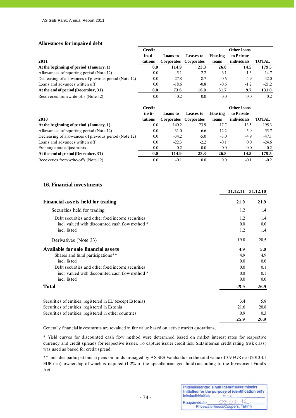#### **Allowances for impaired debt**

j

|                                                       | Credit  |                   |                   |         | <b>Other loans</b> |         |
|-------------------------------------------------------|---------|-------------------|-------------------|---------|--------------------|---------|
|                                                       | insti-  | Loans to          | Leases to         | Housing | to Private         |         |
| 2011                                                  | tutions | <b>Corporates</b> | <b>Corporates</b> | loans   | individuals        | TOTAL   |
| At the beginning of period (January, 1)               | 0.0     | 114.9             | 23.3              | 26.8    | 14.5               | 179.5   |
| Allowances of reporting period (Note 12)              | 0.0     | 5.1               | 2.2               | 6.1     | 1.3                | 14.7    |
| Decreasing of allowances of previous period (Note 12) | 0.0     | $-27.8$           | $-8.7$            | $-0.6$  | $-4.9$             | $-42.0$ |
| Loans and advances written off                        | 0.0     | $-18.6$           | $-0.8$            | $-0.6$  | $-1.2$             | $-21.2$ |
| At the end of period (December, 31)                   | 0.0     | 73.6              | 16.0              | 31.7    | 9.7                | 131.0   |
| Recoveries from write-offs (Note 12)                  | 0.0     | $-0.2$            | 0.0               | 0.0     | $0.0\,$            | $-0.2$  |

|                                                       | <b>Credit</b> |                   |                   |         | <b>Other loans</b> |              |
|-------------------------------------------------------|---------------|-------------------|-------------------|---------|--------------------|--------------|
|                                                       | insti-        | Loans to          | Leases to         | Housing | to Private         |              |
| 2010                                                  | tutions       | <b>Corporates</b> | <b>Corporates</b> | loans   | individuals        | <b>TOTAL</b> |
| At the beginning of period $(January, 1)$             | 0.0           | 140.2             | 23.9              | 17.7    | 13.5               | 195.3        |
| Allowances of reporting period (Note 12)              | 0.0           | 31.0              | 6.6               | 12.2    | 5.9                | 55.7         |
| Decreasing of allowances of previous period (Note 12) | 0.0           | $-34.2$           | $-5.0$            | $-3.0$  | $-4.9$             | $-47.1$      |
| Loans and advances written off                        | 0.0           | $-22.3$           | $-2.2$            | $-0.1$  | 0.0                | $-24.6$      |
| Exchange rate adjustments                             | 0.0           | 0.2               | 0.0               | 0.0     | 0.0                | 0.2          |
| At the end of period (December, 31)                   | 0.0           | 114.9             | 23.3              | 26.8    | 14.5               | 179.5        |
| Recoveries from write-offs (Note 12)                  | 0.0           | $-0.1$            | 0.0               | 0.0     | $-0.1$             | $-0.2$       |

### **16. Financial investments**

|                                                           | 31.12.11 | 31.12.10 |
|-----------------------------------------------------------|----------|----------|
| <b>Financial assets held for trading</b>                  | 21.0     | 21.9     |
| Securities held for trading                               | 1.2      | 1.4      |
| Debt securities and other fixed income securities         | 1.2      | 1.4      |
| incl. valued with discounted cash flow method *           | 0.0      | 0.0      |
| incl. listed                                              | 1.2      | 1.4      |
| Derivatives (Note 33)                                     | 19.8     | 20.5     |
| Available for sale financial assets                       | 4.9      | 5.0      |
| Shares and fund participations**                          | 4.9      | 4.9      |
| incl. listed                                              | 0.0      | 0.0      |
| Debt securities and other fixed income securities         | 0.0      | 0.1      |
| incl. valued with discounted cash flow method *           | 0.0      | 0.1      |
| incl. listed                                              | 0.0      | $0.0\,$  |
| <b>Total</b>                                              | 25.9     | 26.9     |
| Securities of entities, registered in EU (except Estonia) | 3.4      | 5.8      |
| Securities of entities, registered in Estonia             | 21.6     | 20.8     |
| Securities of entities, registered in other countries     | 0.9      | 0.3      |
|                                                           | 25.9     | 26.9     |

Generally financial investments are revalued in fair value based on active market quotations.

\* Yield curves for discounted cash flow method were determined based on market interest rates for respective currency and credit spreads for respective issuer. To capture issuer credit risk, SEB internal credit rating (risk class) was used as based for credit spread.

\*\* Includes participations in pension funds managed by AS SEB Varahaldus in the total value of 3.9 EUR mio (2010 4.1) EUR mio), ownership of which is required (1-2% of the specific managed fund) according to the Investment Fund's Act.

| Initsiaalid/initials | Initsialiseeritud ainult identifitseerimiseks<br>Initialled for the purpose of identification only |
|----------------------|----------------------------------------------------------------------------------------------------|
| Kuupäev/date         | 09.03<br>PricewaterhouseCoopers, Tallinn                                                           |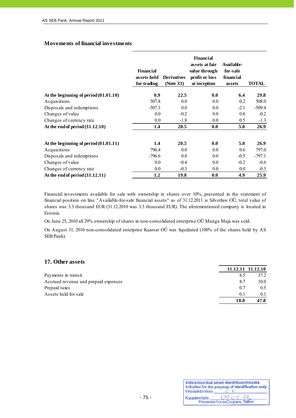### **Movements of financial investments**

|                                         | <b>Financial</b><br>assets held<br>for trading | <b>Derivatives</b><br>(Note 33) | <b>Financial</b><br>assets at fair<br>value through<br>profit or loss<br>at inception | Available-<br>for-sale<br>financial<br>assets | <b>TOTAL</b> |
|-----------------------------------------|------------------------------------------------|---------------------------------|---------------------------------------------------------------------------------------|-----------------------------------------------|--------------|
| At the beginning of period $(01.01.10)$ | 0.9                                            | 22.5                            | 0.0                                                                                   | 6.4                                           | 29.8         |
| Acquisitions                            | 507.8                                          | 0.0                             | 0.0                                                                                   | 0.2                                           | 508.0        |
| Disposals and redemptions               | $-507.3$                                       | 0.0                             | 0.0                                                                                   | $-2.1$                                        | $-509.4$     |
| Changes of value                        | 0.0                                            | $-0.2$                          | 0.0                                                                                   | 0.0                                           | $-0.2$       |
| Changes of currency rate                | 0.0                                            | $-1.8$                          | 0.0                                                                                   | 0.5                                           | $-1.3$       |
| At the end of period $(31.12.10)$       | 1.4                                            | 20.5                            | 0.0                                                                                   | 5.0                                           | 26.9         |
| At the beginning of period $(01.01.11)$ | 1.4                                            | 20.5                            | 0.0                                                                                   | 5.0                                           | 26.9         |
| Acquisitions                            | 796.4                                          | 0.0                             | 0.0                                                                                   | 0.6                                           | 797.0        |
| Disposals and redemptions               | $-796.6$                                       | 0.0                             | 0.0                                                                                   | $-0.5$                                        | $-797.1$     |
| Changes of value                        | 0.0                                            | $-0.4$                          | 0.0                                                                                   | $-0.2$                                        | $-0.6$       |
| Changes of currency rate                | 0.0                                            | $-0.3$                          | 0.0                                                                                   | $0.0\,$                                       | $-0.3$       |
| At the end of period $(31.12.11)$       | 1.2                                            | 19.8                            | 0.0                                                                                   | 4.9                                           | 25.9         |

Financial investments available for sale with ownership in shares over 10%, presented in the statement of financial position on line "Available-for-sale financial assets" as of 31.12.2011 is Silverlaw OÜ, total value of shares was 3.3 thousand EUR (31.12.2010 was 3.3 thousand EUR). The aforementioned company is located in Estonia.

On June 25, 2010 all 29% ownership of shares in non-consolidated enterprise OÜ Munga Maja was sold.

On August 31, 2010 non-consolidated enterprise Kaarsar OÜ was liquidated (100% of the shares held by AS SEB Pank).

### **17. Other assets**

|                                      |      | 31.12.11 31.12.10 |
|--------------------------------------|------|-------------------|
| Payments in transit                  | 8.5  | 37.2              |
| Accrued revenue and prepaid expenses | 8.7  | 10.0              |
| Prepaid taxes                        | 0.7  | 0.5               |
| Assets held for sale                 | 0.1  |                   |
|                                      | 18.0 | 47.8              |

| Initsiaalid/initials | Initsialiseeritud ainult identifitseerimiseks<br>Initialled for the purpose of identification only |
|----------------------|----------------------------------------------------------------------------------------------------|
| Kuupäev/date         | 09.03.<br>PricewaterhouseCoopers, Tallinn                                                          |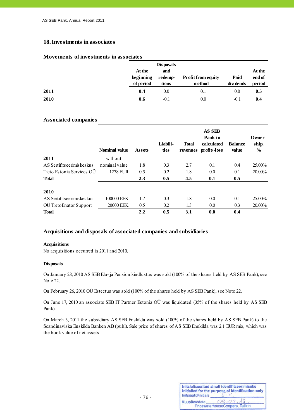## **18.Investments in associates**

### **Movements of investments in associates**

|      |           | <b>Disposals</b> |                           |           |        |
|------|-----------|------------------|---------------------------|-----------|--------|
|      | At the    | and              |                           |           | At the |
|      | beginning | redemp-          | <b>Profit from equity</b> | Paid      | end of |
|      | of period | tions            | method                    | dividends | period |
| 2011 | 0.4       | 0.0              | 0.1                       | 0.0       | 0.5    |
| 2010 | 0.6       | $-0.1$           | 0.0                       | $-0.1$    | 0.4    |

#### **Associated companies**

|                              | <b>Nominal value</b> | <b>Assets</b> | Liabili-<br>ties | <b>Total</b><br>revenues | <b>AS SEB</b><br>Pank in<br>calculated<br>profit/-loss | <b>Balance</b><br>value | Owner-<br>ship,<br>$\%$ |
|------------------------------|----------------------|---------------|------------------|--------------------------|--------------------------------------------------------|-------------------------|-------------------------|
| 2011                         | without              |               |                  |                          |                                                        |                         |                         |
| AS Sertifits eerimis kes kus | nominal value        | 1.8           | 0.3              | 2.7                      | 0.1                                                    | 0.4                     | 25.00%                  |
| Tieto Estonia Services OÜ    | 1278 EUR             | 0.5           | 0.2              | 1.8                      | 0.0                                                    | 0.1                     | 20.00%                  |
| <b>Total</b>                 |                      | 2.3           | 0.5              | 4.5                      | 0.1                                                    | 0.5                     |                         |
| 2010                         |                      |               |                  |                          |                                                        |                         |                         |
| AS Sertifits eerimis kes kus | 100000 EEK           | 1.7           | 0.3              | 1.8                      | 0.0                                                    | 0.1                     | 25.00%                  |
| OÜ TietoEnator Support       | 20000 EEK            | 0.5           | 0.2              | 1.3                      | 0.0                                                    | 0.3                     | 20.00%                  |
| <b>Total</b>                 |                      | 2.2           | 0.5              | 3.1                      | 0.0                                                    | 0.4                     |                         |

### **Acquisitions and disposals of associated companies and subsidiaries**

### **Acquisitions**

No acquisitions occurred in 2011 and 2010.

#### **Disposals**

On January 28, 2010 AS SEB Elu- ja Pensionikindlustus was sold (100% of the shares held by AS SEB Pank), see Note 22.

On February 26, 2010 OÜ Estectus was sold (100% of the shares held by AS SEB Pank), see Note 22.

On June 17, 2010 an associate SEB IT Partner Estonia OÜ was liquidated (35% of the shares held by AS SEB Pank).

On March 3, 2011 the subsidiary AS SEB Enskilda was sold (100% of the shares held by AS SEB Pank) to the Scandinaviska Enskilda Banken AB (publ). Sale price of shares of AS SEB Enskilda was 2.1 EUR mio, which was the book value of net assets.

| Initsiaalid/initials | Initsialiseeritud ainult identifitseerimiseks<br>Initialled for the purpose of identification only |
|----------------------|----------------------------------------------------------------------------------------------------|
| Kuupäev/date         | 09.02<br>PricewaterhouseCoopers, Tallinn                                                           |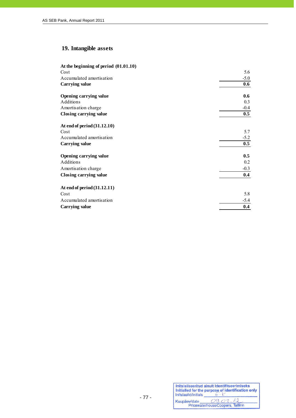# **19. Intangible assets**

| At the beginning of period (01.01.10) |        |
|---------------------------------------|--------|
| Cost                                  | 5.6    |
| Accumulated amortisation              | $-5.0$ |
| <b>Carrying value</b>                 | 0.6    |
| <b>Opening carrying value</b>         | 0.6    |
| Additions                             | 0.3    |
| Amortisation charge                   | $-0.4$ |
| Closing carrying value                | 0.5    |
| At end of period (31.12.10)           |        |
| Cost                                  | 5.7    |
| Accumulated amortisation              | $-5.2$ |
| <b>Carrying value</b>                 | 0.5    |
| Opening carrying value                | 0.5    |
| Additions                             | 0.2    |
| Amortisation charge                   | $-0.3$ |
| Closing carrying value                | 0.4    |
| At end of period (31.12.11)           |        |
| Cost                                  | 5.8    |
| Accumulated amortisation              | $-5.4$ |
| Carrying value                        | 0.4    |
|                                       |        |

| Initsiaalid/initials | Initsialiseeritud ainult identifitseerimiseks<br>Initialled for the purpose of identification only |
|----------------------|----------------------------------------------------------------------------------------------------|
| Kuupäev/date         | 09.03<br>PricewaterhouseCoopers, Tallinn                                                           |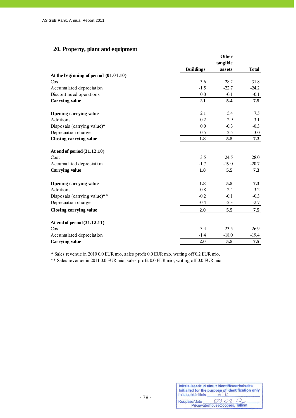# **20. Property, plant and equipment**

|                                         |                  | <b>Other</b><br>tangible |              |
|-----------------------------------------|------------------|--------------------------|--------------|
|                                         | <b>Buildings</b> | assets                   | <b>Total</b> |
| At the beginning of period $(01.01.10)$ |                  |                          |              |
| Cost                                    | 3.6              | 28.2                     | 31.8         |
| Accumulated depreciation                | $-1.5$           | $-22.7$                  | $-24.2$      |
| Discontinued operations                 | 0.0              | $-0.1$                   | $-0.1$       |
| <b>Carrying value</b>                   | 2.1              | 5.4                      | 7.5          |
| Opening carrying value                  | 2.1              | 5.4                      | 7.5          |
| Additions                               | 0.2              | 2.9                      | 3.1          |
| Disposals (carrying value)*             | 0.0              | $-0.3$                   | $-0.3$       |
| Depreciation charge                     | $-0.5$           | $-2.5$                   | $-3.0$       |
| Closing carrying value                  | 1.8              | 5.5                      | 7.3          |
| At end of period (31.12.10)             |                  |                          |              |
| Cost                                    | 3.5              | 24.5                     | 28.0         |
| Accumulated depreciation                | $-1.7$           | $-19.0$                  | $-20.7$      |
| <b>Carrying value</b>                   | 1.8              | 5.5                      | 7.3          |
| Opening carrying value                  | 1.8              | 5.5                      | 7.3          |
| <b>Additions</b>                        | 0.8              | 2.4                      | 3.2          |
| Disposals (carrying value)**            | $-0.2$           | $-0.1$                   | $-0.3$       |
| Depreciation charge                     | $-0.4$           | $-2.3$                   | $-2.7$       |
| Closing carrying value                  | 2.0              | 5.5                      | 7.5          |
| At end of period (31.12.11)             |                  |                          |              |
| Cost                                    | 3.4              | 23.5                     | 26.9         |
| Accumulated depreciation                | $-1.4$           | $-18.0$                  | $-19.4$      |
| <b>Carrying value</b>                   | 2.0              | 5.5                      | 7.5          |

\* Sales revenue in 2010 0.0 EUR mio, sales profit 0.0 EUR mio, writing off 0.2 EUR mio.

\*\* Sales revenue in 2011 0.0 EUR mio, sales profit 0.0 EUR mio, writing off 0.0 EUR mio.

| Initsiaalid/initials | Initsialiseeritud ainult identifitseerimiseks<br>Initialled for the purpose of identification only |
|----------------------|----------------------------------------------------------------------------------------------------|
| Kuupäev/date         | 09.03.12<br>PricewaterhouseCoopers, Tallinn                                                        |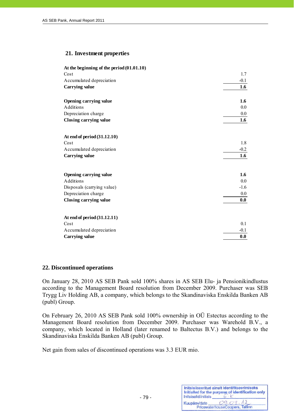## **21. Investment properties**

| At the beginning of the period $(01.01.10)$ |         |
|---------------------------------------------|---------|
| Cost                                        | 1.7     |
| Accumulated depreciation                    | $-0.1$  |
| <b>Carrying value</b>                       | 1.6     |
|                                             |         |
| Opening carrying value                      | 1.6     |
| Additions                                   | $0.0\,$ |
| Depreciation charge                         | 0.0     |
| Closing carrying value                      | 1.6     |
|                                             |         |
| At end of period (31.12.10)                 |         |
| Cost                                        | 1.8     |
| Accumulated depreciation                    | $-0.2$  |
| Carrying value                              | 1.6     |
|                                             |         |
|                                             |         |
| Opening carrying value                      | 1.6     |
| Additions                                   | 0.0     |
| Disposals (carrying value)                  | $-1.6$  |
| Depreciation charge                         | $0.0\,$ |
| Closing carrying value                      | 0.0     |
|                                             |         |
| At end of period (31.12.11)                 |         |
| Cost                                        | 0.1     |
| Accumulated depreciation                    | $-0.1$  |
| <b>Carrying value</b>                       | 0.0     |

## **22. Discontinued operations**

On January 28, 2010 AS SEB Pank sold 100% shares in AS SEB Elu- ja Pensionikindlustus according to the Management Board resolution from December 2009. Purchaser was SEB Trygg Liv Holding AB, a company, which belongs to the Skandinaviska Enskilda Banken AB (publ) Group.

On February 26, 2010 AS SEB Pank sold 100% ownership in OÜ Estectus according to the Management Board resolution from December 2009. Purchaser was Warehold B.V., a company, which located in Holland (later renamed to Baltectus B.V.) and belongs to the Skandinaviska Enskilda Banken AB (publ) Group.

Net gain from sales of discontinued operations was 3.3 EUR mio.

| Initsiaalid/initials | Initsialiseeritud ainult identifitseerimiseks<br>Initialled for the purpose of identification only |
|----------------------|----------------------------------------------------------------------------------------------------|
| Kuupäev/date         | 09.03                                                                                              |
|                      | PricewaterhouseCoopers, Tallinn                                                                    |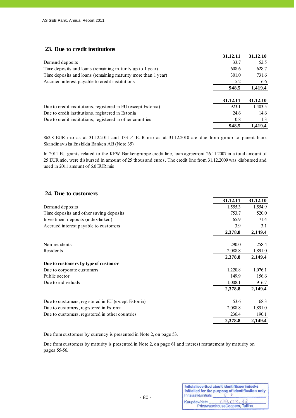## **23. Due to credit institutions**

|                                                               | 31.12.11 | 31.12.10 |
|---------------------------------------------------------------|----------|----------|
| Demand deposits                                               | 33.7     | 52.5     |
| Time deposits and loans (remaining maturity up to 1 year)     | 608.6    | 628.7    |
| Time deposits and loans (remaining maturity more than 1 year) | 301.0    | 731.6    |
| Accrued interest payable to credit institutions               | 5.2      | 6.6      |
|                                                               | 948.5    | 1,419.4  |
|                                                               |          |          |
|                                                               | 31.12.11 | 31.12.10 |
| Due to credit institutions, registered in EU (except Estonia) | 923.1    | 1,403.5  |
| Due to credit institutions, registered in Estonia             | 24.6     | 14.6     |
| Due to credit institutions, registered in other countries     | 0.8      | 1.3      |
|                                                               | 948.5    | 1.419.4  |

862.8 EUR mio as at 31.12.2011 and 1331.4 EUR mio as at 31.12.2010 are due from group to parent bank Skandinaviska Enskilda Banken AB (Note 35).

In 2011 EU grants related to the KFW Bankengruppe credit line, loan agreement 26.11.2007 in a total amount of 25 EUR mio, were disbursed in amount of 25 thousand euros. The credit line from 31.12.2009 was disbursed and used in 2011 amount of 6.0 EUR mio.

| 24. Due to customers                                |          |          |
|-----------------------------------------------------|----------|----------|
|                                                     | 31.12.11 | 31.12.10 |
| Demand deposits                                     | 1,555.3  | 1,554.9  |
| Time deposits and other saving deposits             | 753.7    | 520.0    |
| Investment deposits (index-linked)                  | 65.9     | 71.4     |
| Accrued interest payable to customers               | 3.9      | 3.1      |
|                                                     | 2,378.8  | 2,149.4  |
| Non-residents                                       | 290.0    | 258.4    |
| Residents                                           | 2,088.8  | 1,891.0  |
|                                                     | 2,378.8  | 2,149.4  |
| Due to customers by type of customer                |          |          |
| Due to corporate customers                          | 1,220.8  | 1,076.1  |
| Public sector                                       | 149.9    | 156.6    |
| Due to individuals                                  | 1,008.1  | 916.7    |
|                                                     | 2,378.8  | 2,149.4  |
| Due to customers, registered in EU (except Estonia) | 53.6     | 68.3     |
| Due to customers, registered in Estonia             | 2,088.8  | 1,891.0  |
| Due to customers, registered in other countries     | 236.4    | 190.1    |
|                                                     | 2,378.8  | 2,149.4  |

Due from customers by currency is presented in Note 2, on page 53.

Due from customers by maturity is presented in Note 2, on page 61 and interest restatement by maturity on pages 55-56.

| Initsiaalid/initials | Initsialiseeritud ainult identifitseerimiseks<br>Initialled for the purpose of identification only |
|----------------------|----------------------------------------------------------------------------------------------------|
| Kuupäev/date         | 09.03<br>PricewaterhouseCoopers, Tallinn                                                           |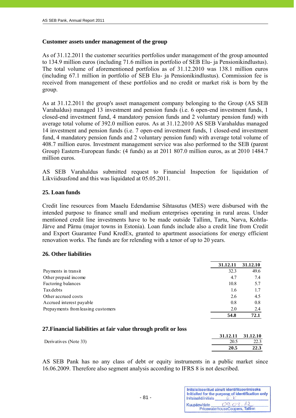## **Customer assets under management of the group**

As of 31.12.2011 the customer securities portfolios under management of the group amounted to 134.9 million euros (including 71.6 million in portfolio of SEB Elu- ja Pensionikindlustus). The total volume of aforementioned portfolios as of 31.12.2010 was 138.1 million euros (including 67.1 million in portfolio of SEB Elu- ja Pensionikindlustus). Commission fee is received from management of these portfolios and no credit or market risk is born by the group.

As at 31.12.2011 the group's asset management company belonging to the Group (AS SEB Varahaldus) managed 13 investment and pension funds (i.e. 6 open-end investment funds, 1 closed-end investment fund, 4 mandatory pension funds and 2 voluntary pension fund) with average total volume of 392.0 million euros. As at 31.12.2010 AS SEB Varahaldus managed 14 investment and pension funds (i.e. 7 open-end investment funds, 1 closed-end investment fund, 4 mandatory pension funds and 2 voluntary pension fund) with average total volume of 408.7 million euros. Investment management service was also performed to the SEB (parent Group) Eastern-European funds: (4 funds) as at 2011 807.0 million euros, as at 2010 1484.7 million euros.

AS SEB Varahaldus submitted request to Financial Inspection for liquidation of Likviidsusfond and this was liquidated at 05.05.2011.

# **25. Loan funds**

Credit line resources from Maaelu Edendamise Sihtasutus (MES) were disbursed with the intended purpose to finance small and medium enterprises operating in rural areas. Under mentioned credit line investments have to be made outside Tallinn, Tartu, Narva, Kohtla-Järve and Pärnu (major towns in Estonia). Loan funds include also a credit line from Credit and Export Guarantee Fund KredEx, granted to apartment associations for energy efficient renovation works. The funds are for relending with a tenor of up to 20 years.

## **26. Other liabilities**

|                                    | 31.12.11 | 31.12.10 |
|------------------------------------|----------|----------|
| Payments in transit                | 32.3     | 49.6     |
| Other prepaid income               | 4.7      | 7.4      |
| Factoring balances                 | 10.8     | 5.7      |
| Tax debts                          | 1.6      | 1.7      |
| Other accrued costs                | 2.6      | 4.5      |
| Accrued interest payable           | 0.8      | 0.8      |
| Prepayments from leasing customers | 2.0      | 2.4      |
|                                    | 54.8     | 72.1     |

# **27.Financial liabilities at fair value through profit or loss**

|                       | 31.12.11 31.12.10 |      |
|-----------------------|-------------------|------|
| Derivatives (Note 33) | 20.5              | 22.3 |
|                       | 20.5              | 22.3 |

AS SEB Pank has no any class of debt or equity instruments in a public market since 16.06.2009. Therefore also segment analysis according to IFRS 8 is not described.

| Initsiaalid/initials | Initsialiseeritud ainult identifitseerimiseks<br>Initialled for the purpose of identification only |
|----------------------|----------------------------------------------------------------------------------------------------|
| Kuupäev/date         | 09.02<br>PricewaterhouseCoopers, Tallinn                                                           |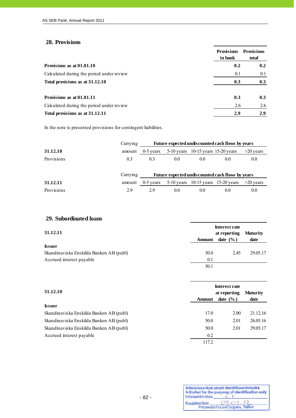# **28. Provisions**

j

|                                           | <b>Provisions</b><br>in bank | <b>Provisions</b><br>total |
|-------------------------------------------|------------------------------|----------------------------|
| Provisions as at 01.01.10                 | 0.2                          | 0.2                        |
| Calculated during the period under review | 0.1                          | 0.1                        |
| Total provisions as at 31.12.10           | 0.3                          | 0.3                        |
| Provisions as at 01.01.11                 | 0.3                          | 0.3                        |
| Calculated during the period under review | 2.6                          | 2.6                        |
| Total provisions as at 31.12.11           | 2.9                          | 2.9                        |

In the note is presented provisions for contingent liabilities.

|            | Carrying | Future expected undiscounted cash flows by years |              |                                      |     |             |
|------------|----------|--------------------------------------------------|--------------|--------------------------------------|-----|-------------|
| 31.12.10   | amount   | $0-5$ years                                      |              | $5-10$ years 10-15 years 15-20 years |     | $>20$ years |
| Provisions | 0.3      | 0.3                                              | 0.0          | 0.0                                  | 0.0 | 0.0         |
|            | Carrying | Future expected undiscounted cash flows by years |              |                                      |     |             |
| 31.12.11   | amount   | $0-5$ years                                      | $5-10$ years | 10-15 years 15-20 years              |     | $>20$ years |
| Provisions | 2.9      | 2.9                                              | 0.0          | 0.0                                  | 0.0 | 0.0         |

# **29. Subordinated loans**

|                                         |        | Interest rate |          |  |
|-----------------------------------------|--------|---------------|----------|--|
| 31.12.11                                |        | at reporting  |          |  |
|                                         | Amount | date $(\% )$  | date     |  |
| <b>Issuer</b>                           |        |               |          |  |
| Skandinaviska Enskilda Banken AB (publ) | 50.0   | 2.45          | 29.05.17 |  |
| Accrued interest payable                | 0.1    |               |          |  |
|                                         | 50.1   |               |          |  |

| 31.12.10                                | <b>Amount</b> | <b>Interest rate</b><br>at reporting<br>date $(\% )$ | <b>Maturity</b><br>date |
|-----------------------------------------|---------------|------------------------------------------------------|-------------------------|
| <b>Issuer</b>                           |               |                                                      |                         |
| Skandinaviska Enskilda Banken AB (publ) | 17.0          | 2.00                                                 | 21.12.16                |
| Skandinaviska Enskilda Banken AB (publ) | 50.0          | 2.01                                                 | 26.05.16                |
| Skandinaviska Enskilda Banken AB (publ) | 50.0          | 2.01                                                 | 29.05.17                |
| Accrued interest payable                | 0.2           |                                                      |                         |
|                                         | 117.2         |                                                      |                         |

| Initsiaalid/initials | Initsialiseeritud ainult identifitseerimiseks<br>Initialled for the purpose of identification only |
|----------------------|----------------------------------------------------------------------------------------------------|
| Kuupäev/date         | 09.03<br>PricewaterhouseCoopers, Tallinn                                                           |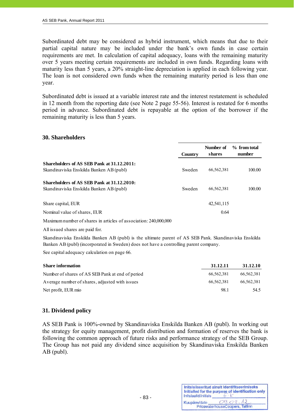Subordinated debt may be considered as hybrid instrument, which means that due to their partial capital nature may be included under the bank's own funds in case certain requirements are met. In calculation of capital adequacy, loans with the remaining maturity over 5 years meeting certain requirements are included in own funds. Regarding loans with maturity less than 5 years, a 20% straight-line depreciation is applied in each following year. The loan is not considered own funds when the remaining maturity period is less than one year.

Subordinated debt is issued at a variable interest rate and the interest restatement is scheduled in 12 month from the reporting date (see Note 2 page 55-56). Interest is restated for 6 months period in advance. Subordinated debt is repayable at the option of the borrower if the remaining maturity is less than 5 years.

### **30. Shareholders**

|                                            | Country | Number of<br>shares | $%$ from total<br>number |
|--------------------------------------------|---------|---------------------|--------------------------|
| Shareholders of AS SEB Pank at 31.12.2011: |         |                     |                          |
| Skandinaviska Enskilda Banken AB (publ)    | Sweden  | 66,562,381          | 100.00                   |
| Shareholders of AS SEB Pank at 31.12.2010: |         |                     |                          |
| Skandinaviska Enskilda Banken AB (publ)    | Sweden  | 66,562,381          | 100.00                   |
| Share capital, EUR                         |         | 42,541,115          |                          |
| Nominal value of shares, EUR               |         | 0.64                |                          |

Maximum number of shares in articles of association: 240,000,000

All issued shares are paid for.

Skandinaviska Enskilda Banken AB (publ) is the ultimate parent of AS SEB Pank. Skandinaviska Enskilda Banken AB (publ) (incorporated in Sweden) does not have a controlling parent company.

See capital adequacy calculation on page 66.

| <b>Share information</b>                         | 31.12.11   | 31.12.10   |
|--------------------------------------------------|------------|------------|
| Number of shares of AS SEB Pank at end of period | 66.562.381 | 66.562.381 |
| Average number of shares, adjusted with issues   | 66.562.381 | 66.562.381 |
| Net profit, EUR mio                              | 98.1       | 54.5       |

# **31. Dividend policy**

AS SEB Pank is 100%-owned by Skandinaviska Enskilda Banken AB (publ). In working out the strategy for equity management, profit distribution and formation of reserves the bank is following the common approach of future risks and performance strategy of the SEB Group. The Group has not paid any dividend since acquisition by Skandinaviska Enskilda Banken AB (publ).

| Initsiaalid/initials | Initsialiseeritud ainult identifitseerimiseks<br>Initialled for the purpose of identification only |
|----------------------|----------------------------------------------------------------------------------------------------|
| Kuupäev/date         | 09.03<br>PricewaterhouseCoopers, Tallinn                                                           |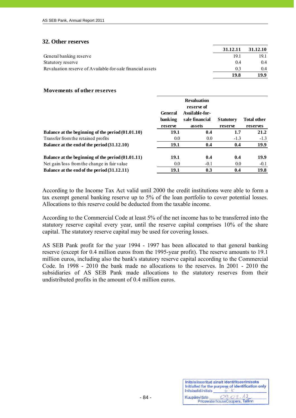### **32. Other reserves**

j

|                                                            | 31.12.11       | 31.12.10 |
|------------------------------------------------------------|----------------|----------|
| General banking reserve                                    | 191            | 191      |
| Statutory reserve                                          | 04             | 04       |
| Revaluation reserve of Available-for-sale financial assets | 0 <sup>3</sup> | 04       |
|                                                            | 19.8           | 19.9     |

### **Movements of other reserves**

| <b>General</b><br>banking<br>reserve | <b>Revaluation</b><br>reserve of<br>Available-for-<br>sale financial<br>assets | <b>Statutory</b><br>reserve | <b>Total other</b><br>reserves |
|--------------------------------------|--------------------------------------------------------------------------------|-----------------------------|--------------------------------|
| 19.1                                 | 0.4                                                                            | 1.7                         | 21.2                           |
| 0.0                                  | 0.0                                                                            | $-1.3$                      | $-1.3$                         |
| 19.1                                 | 0.4                                                                            | 0.4                         | 19.9                           |
| 19.1                                 | 0.4                                                                            | 0.4                         | 19.9                           |
| 0.0                                  | $-0.1$                                                                         | 0.0                         | $-0.1$                         |
| 19.1                                 | 0.3                                                                            | 0.4                         | 19.8                           |
|                                      |                                                                                |                             |                                |

According to the Income Tax Act valid until 2000 the credit institutions were able to form a tax exempt general banking reserve up to 5% of the loan portfolio to cover potential losses. Allocations to this reserve could be deducted from the taxable income.

According to the Commercial Code at least 5% of the net income has to be transferred into the statutory reserve capital every year, until the reserve capital comprises 10% of the share capital. The statutory reserve capital may be used for covering losses.

AS SEB Pank profit for the year 1994 - 1997 has been allocated to that general banking reserve (except for 0.4 million euros from the 1995-year profit). The reserve amounts to 19.1 million euros, including also the bank's statutory reserve capital according to the Commercial Code. In 1998 - 2010 the bank made no allocations to the reserves. In 2001 - 2010 the subsidiaries of AS SEB Pank made allocations to the statutory reserves from their undistributed profits in the amount of 0.4 million euros.

| Initsiaalid/initials | Initsialiseeritud ainult identifitseerimiseks<br>Initialled for the purpose of identification only |
|----------------------|----------------------------------------------------------------------------------------------------|
| Kuupäev/date         | 09.03<br>PricewaterhouseCoopers, Tallinn                                                           |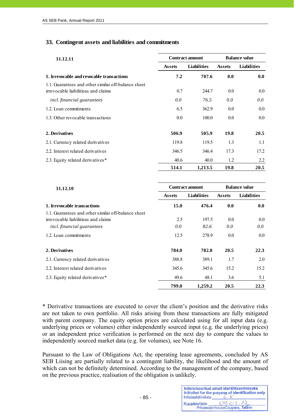## **33. Contingent assets and liabilities and commitments**

| 31.12.11                                                                                   |               | <b>Contract amount</b> | <b>Balance value</b> |                    |
|--------------------------------------------------------------------------------------------|---------------|------------------------|----------------------|--------------------|
|                                                                                            | <b>Assets</b> | <b>Liabilities</b>     | <b>Assets</b>        | <b>Liabilities</b> |
| 1. Irrevocable and revocable transactions                                                  | 7.2           | 707.6                  | 0.0                  | 0.0                |
| 1.1. Guarantees and other similar off-balance sheet<br>irrovocable liabilitieas and claims | 0.7           | 244.7                  | 0.0                  | 0.0                |
| incl. financial guarantees                                                                 | 0.0           | 76.5                   | 0.0 <sub>1</sub>     | 0.0                |
| 1.2. Loan commitments                                                                      | 6.5           | 362.9                  | 0.0                  | 0.0                |
| 1.3. Other revocable transactions                                                          | 0.0           | 100.0                  | 0.0                  | 0.0                |
| 2. Derivatives                                                                             | 506.9         | 505.9                  | 19.8                 | 20.5               |
| 2.1. Currency related derivatives                                                          | 119.8         | 119.5                  | 1.3                  | 1.1                |
| 2.2. Interest related derivatives                                                          | 346.5         | 346.4                  | 17.3                 | 17.2               |
| 2.3. Equity related derivatives*                                                           | 40.6          | 40.0                   | 1.2                  | 2.2                |
|                                                                                            | 514.1         | 1,213.5                | 19.8                 | 20.5               |

| 31.12.10                                            | <b>Contract amount</b> |                    | <b>Balance value</b> |                    |
|-----------------------------------------------------|------------------------|--------------------|----------------------|--------------------|
|                                                     | <b>Assets</b>          | <b>Liabilities</b> | <b>Assets</b>        | <b>Liabilities</b> |
| 1. Irrevocable transactions                         | 15.0                   | 476.4              | 0.0                  | 0.0                |
| 1.1. Guarantees and other similar off-balance sheet |                        |                    |                      |                    |
| irrovocable liabilitieas and claims                 | 2.5                    | 197.5              | 0.0                  | 0.0                |
| incl. financial guarantees                          | 0.0                    | 82.6               | 0.0                  | 0.0                |
| 1.2. Loan commitments                               | 12.5                   | 278.9              | 0.0                  | 0.0                |
| 2. Derivatives                                      | 784.0                  | 782.8              | 20.5                 | 22.3               |
| 2.1. Currency related derivatives                   | 388.8                  | 389.1              | 1.7                  | 2.0                |
| 2.2. Interest related derivatives                   | 345.6                  | 345.6              | 15.2                 | 15.2               |
| 2.3. Equity related derivatives*                    | 49.6                   | 48.1               | 3.6                  | 5.1                |
|                                                     | 799.0                  | 1,259.2            | 20.5                 | 22.3               |

\* Derivative transactions are executed to cover the client's position and the derivative risks are not taken to own portfolio. All risks arising from these transactions are fully mitigated with parent company. The equity option prices are calculated using for all input data (e.g. underlying prices or volumes) either independently sourced input (e.g. the underlying prices) or an independent price verification is performed on the next day to compare the values to independently sourced market data (e.g. for volumes), see Note 16.

Pursuant to the Law of Obligations Act, the operating lease agreements, concluded by AS SEB Liising are partially related to a contingent liability, the likelihood and the amount of which can not be definitely determined. According to the management of the company, based on the previous practice, realisation of the obligation is unlikely.

| Initsiaalid/initials | Initsialiseeritud ainult identifitseerimiseks<br>Initialled for the purpose of identification only |
|----------------------|----------------------------------------------------------------------------------------------------|
| Kuupäev/date         | 09.03<br>PricewaterhouseCoopers, Tallinn                                                           |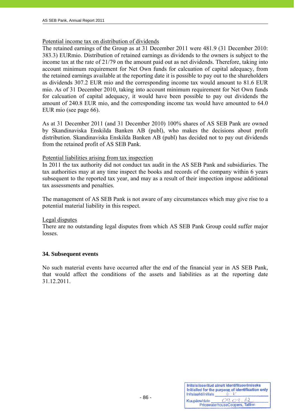## Potential income tax on distribution of dividends

The retained earnings of the Group as at 31 December 2011 were 481.9 (31 December 2010: 383.3) EURmio. Distribution of retained earnings as dividends to the owners is subject to the income tax at the rate of 21/79 on the amount paid out as net dividends. Therefore, taking into account minimum requirement for Net Own funds for calcuation of capital adequacy, from the retained earnings available at the reporting date it is possible to pay out to the shareholders as dividends 307.2 EUR mio and the corresponding income tax would amount to 81.6 EUR mio. As of 31 December 2010, taking into account minimum requirement for Net Own funds for calcuation of capital adequacy, it would have been possible to pay out dividends the amount of 240.8 EUR mio, and the corresponding income tax would have amounted to 64.0 EUR mio (see page 66).

As at 31 December 2011 (and 31 December 2010) 100% shares of AS SEB Pank are owned by Skandinaviska Enskilda Banken AB (publ), who makes the decisions about profit distribution. Skandinaviska Enskilda Banken AB (publ) has decided not to pay out dividends from the retained profit of AS SEB Pank.

## Potential liabilities arising from tax inspection

In 2011 the tax authority did not conduct tax audit in the AS SEB Pank and subsidiaries. The tax authorities may at any time inspect the books and records of the company within 6 years subsequent to the reported tax year, and may as a result of their inspection impose additional tax assessments and penalties.

The management of AS SEB Pank is not aware of any circumstances which may give rise to a potential material liability in this respect.

## Legal disputes

There are no outstanding legal disputes from which AS SEB Pank Group could suffer major losses.

## **34. Subsequent events**

No such material events have occurred after the end of the financial year in AS SEB Pank, that would affect the conditions of the assets and liabilities as at the reporting date 31.12.2011.

| Initsiaalid/initials | Initsialiseeritud ainult identifitseerimiseks<br>Initialled for the purpose of identification only |
|----------------------|----------------------------------------------------------------------------------------------------|
| Kuupäev/date         | 09.03.<br>PricewaterhouseCoopers, Tallinn                                                          |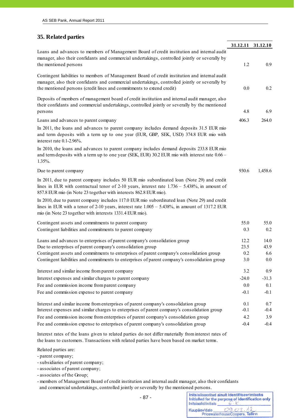# **35. Related parties**

j

|                                                                                                                                                                                                                                                                           | 31.12.11 | 31.12.10 |
|---------------------------------------------------------------------------------------------------------------------------------------------------------------------------------------------------------------------------------------------------------------------------|----------|----------|
| Loans and advances to members of Management Board of credit institution and internal audit<br>manager, also their confidants and commercial undertakings, controlled jointly or severally by<br>the mentioned persons                                                     | 1.2      | 0.9      |
| Contingent liabilities to members of Management Board of credit institution and internal audit<br>manager, also their confidants and commercial undertakings, controlled jointly or severally by<br>the mentioned persons (credit lines and commitments to extend credit) | 0.0      | 0.2      |
| Deposits of members of management board of credit institution and internal audit manager, also<br>their confidants and commercial undertakings, controlled jointly or severally by the mentioned<br>persons                                                               | 4.8      | 6.9      |
|                                                                                                                                                                                                                                                                           |          |          |
| Loans and advances to parent company<br>In 2011, the loans and advances to parent company includes demand deposits 31.5 EUR mio<br>and term deposits with a term up to one year (EUR, GBP, SEK, USD) 374.8 EUR mio with<br>interest rate 0.1-2.96%.                       | 406.3    | 264.0    |
| In 2010, the loans and advances to parent company includes demand deposits 233.8 EUR mio<br>and term deposits with a term up to one year (SEK, EUR) 30.2 EUR mio with interest rate 0.66 -<br>$1.35%$ .                                                                   |          |          |
| Due to parent company                                                                                                                                                                                                                                                     | 930.6    | 1,458.6  |
| In 2011, due to parent company includes 50 EUR mio subordinated loan (Note 29) and credit<br>lines in EUR with contractual tenor of 2-10 years, interest rate $1.736 - 5.438\%$ , in amount of<br>857.8 EUR mio (in Note 23 together with interests 862.8 EUR mio).       |          |          |
| In 2010, due to parent company includes 117.0 EUR mio subordinated loan (Note 29) and credit<br>lines in EUR with a tenor of 2-10 years, interest rate $1.005 - 5.438\%$ , in amount of 1317.2 EUR<br>mio (in Note 23 together with interests 1331.4 EUR mio).            |          |          |
| Contingent assets and commitments to parent company                                                                                                                                                                                                                       | 55.0     | 55.0     |
| Contingent liabilities and commitments to parent company                                                                                                                                                                                                                  | 0.3      | 0.2      |
| Loans and advances to enterprises of parent company's consolidation group                                                                                                                                                                                                 | 12.2     | 14.0     |
| Due to enterprises of parent company's consolidation group                                                                                                                                                                                                                | 23.5     | 43.9     |
| Contingent assets and commitments to enterprises of parent company's consolidation group                                                                                                                                                                                  | 0.2      | 6.6      |
| Contingent liabilities and commitments to enterprises of parent company's consolidation group                                                                                                                                                                             | 3.0      | 0.0      |
| Interest and similar income from parent company                                                                                                                                                                                                                           | 3.2      | 0.9      |
| Interest expenses and similar charges to parent company                                                                                                                                                                                                                   | $-24.0$  | $-31.3$  |
| Fee and commission income from parent company                                                                                                                                                                                                                             | 0.0      | 0.1      |
| Fee and commission expense to parent company                                                                                                                                                                                                                              | $-0.1$   | $-0.1$   |
| Interest and similar income from enterprises of parent company's consolidation group                                                                                                                                                                                      | 0.1      | 0.7      |
| Interest expenses and similar charges to enterprises of parent company's consolidation group                                                                                                                                                                              | $-0.1$   | $-0.4$   |
| Fee and commission income from enterprises of parent company's consolidation group                                                                                                                                                                                        | 4.2      | 3.9      |
| Fee and commission expense to enterprises of parent company's consolidation group                                                                                                                                                                                         | $-0.4$   | $-0.4$   |

Interest rates of the loans given to related parties do not differ materially from interest rates of the loans to customers. Transactions with related parties have been based on market terms.

Related parties are:

- parent company;

- subsidiaries of parent company;

- associates of parent company;
- associates of the Group;

- members of Management Board of credit institution and internal audit manager, also their confidants and commercial undertakings, controlled jointly or severally by the mentioned persons.

| Initsiaalid/initials | Initsialiseeritud ainult identifitseerimiseks<br>Initialled for the purpose of identification only |
|----------------------|----------------------------------------------------------------------------------------------------|
| Kuupäev/date         | 09.03<br>PricewaterhouseCoopers, Tallinn                                                           |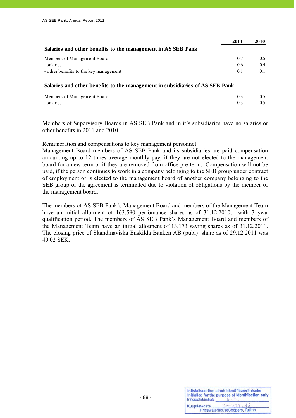|                                                                              | 2011 | 2010 |
|------------------------------------------------------------------------------|------|------|
| Salaries and other benefits to the management in AS SEB Pank                 |      |      |
| Members of Management Board                                                  | 0.7  | 0.5  |
| - salaries                                                                   | 0.6  | 0.4  |
| - other benefits to the key management                                       | 0.1  | 0.1  |
| Salaries and other benefits to the management in subsidiaries of AS SEB Pank |      |      |
| Members of Management Board                                                  | 0.3  | 0.5  |
| - salaries                                                                   | 0.3  | 0.5  |

Members of Supervisory Boards in AS SEB Pank and in it's subsidiaries have no salaries or other benefits in 2011 and 2010.

#### Remuneration and compensations to key management personnel

Management Board members of AS SEB Pank and its subsidiaries are paid compensation amounting up to 12 times average monthly pay, if they are not elected to the management board for a new term or if they are removed from office pre-term. Compensation will not be paid, if the person continues to work in a company belonging to the SEB group under contract of employment or is elected to the management board of another company belonging to the SEB group or the agreement is terminated due to violation of obligations by the member of the management board.

The members of AS SEB Pank's Management Board and members of the Management Team have an initial allotment of 163,590 perfomance shares as of 31.12.2010, with 3 year qualification period. The members of AS SEB Pank's Management Board and members of the Management Team have an initial allotment of 13,173 saving shares as of 31.12.2011. The closing price of Skandinaviska Enskilda Banken AB (publ) share as of 29.12.2011 was 40.02 SEK.

| Initsiaalid/initials | Initsialiseeritud ainult identifitseerimiseks<br>Initialled for the purpose of identification only |
|----------------------|----------------------------------------------------------------------------------------------------|
| Kuupäev/date         | 09.03<br>PricewaterhouseCoopers, Tallinn                                                           |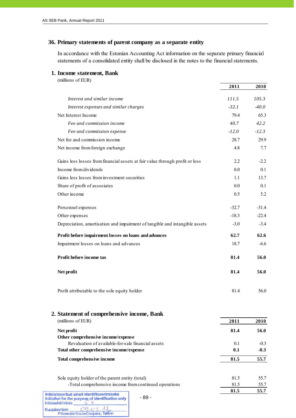## **36. Primary statements of parent company as a separate entity**

In accordance with the Estonian Accounting Act information on the separate primary financial statements of a consolidated entity shall be disclosed in the notes to the financial statements.

### **1. Income statement, Bank**

| (millions of EUR)                                                                                        |              |              |
|----------------------------------------------------------------------------------------------------------|--------------|--------------|
|                                                                                                          | 2011         | <b>2010</b>  |
| Interest and similar income                                                                              | 111.5        | 105.3        |
| Interest expenses and similar charges                                                                    | $-32.1$      | $-40.0$      |
| Net Interest Income                                                                                      | 79.4         | 65.3         |
| Fee and commission income                                                                                | 40.7         | 42.2         |
| Fee and commission expense                                                                               | $-12.0$      | $-12.3$      |
| Net fee and commission income                                                                            | 28.7         | 29.9         |
| Net income from foreign exchange                                                                         | 4.8          | 7.7          |
| Gains less losses from financial assets at fair value through profit or loss                             | 2.2          | $-2.2$       |
| Income from dividends                                                                                    | 0.0          | 0.1          |
| Gains less losses from investment securities                                                             | 1.1          | 13.7         |
| Share of profit of associates                                                                            | 0.0          | 0.1          |
| Other income                                                                                             | 0.5          | 5.2          |
| Personnel expenses                                                                                       | $-32.7$      | $-31.4$      |
| Other expenses                                                                                           | $-18.3$      | $-22.4$      |
| Depreciation, amortisation and impairment of tangible and intangible assets                              | $-3.0$       | $-3.4$       |
| Profit before impairment losses on loans and advances                                                    | 62.7         | 62.6         |
| Impairment losses on loans and advances                                                                  | 18.7         | $-6.6$       |
| Profit before income tax                                                                                 | 81.4         | 56.0         |
| Net profit                                                                                               | 81.4         | 56.0         |
| Profit attributable to the sole equity holder                                                            | 81.4         | 56.0         |
| 2. Statement of comprehensive income, Bank                                                               |              |              |
| (millions of EUR)                                                                                        | 2011         | 2010         |
| Net profit<br>Other comprehensive income/expense                                                         | 81.4         | 56.0         |
| Revaluation of available-for-sale financial assets                                                       | 0.1          | $-0.3$       |
| Total other comprehensive income/expense                                                                 | 0.1          | $-0.3$       |
| Total comprehensive income                                                                               | 81.5         | 55.7         |
|                                                                                                          |              |              |
| Sole equity holder of the parent entity (total)<br>-Total comprehensive income from continued operations | 81.5<br>81.5 | 55.7<br>55.7 |
|                                                                                                          | 81.5         | 55.7         |

Initialiseeritud ainult identifitseerimiseks<br>
Initialled for the purpose of identification only<br>
Initializabid/initials<br>  $\begin{bmatrix} C & C \end{bmatrix}$  $09.03.12$ Kuupäev/date PricewaterhouseCoopers, Tallinn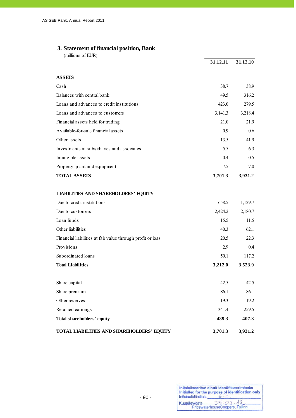# **3. Statement of financial position, Bank**

(millions of EUR)

|                                                            | 31.12.11 | 31.12.10 |
|------------------------------------------------------------|----------|----------|
|                                                            |          |          |
| <b>ASSETS</b>                                              |          |          |
| Cash                                                       | 38.7     | 38.9     |
| Balances with central bank                                 | 49.5     | 316.2    |
| Loans and advances to credit institutions                  | 423.0    | 279.5    |
| Loans and advances to customers                            | 3,141.3  | 3,218.4  |
| Financial assets held for trading                          | 21.0     | 21.9     |
| Available-for-sale financial assets                        | 0.9      | 0.6      |
| Other assets                                               | 13.5     | 41.9     |
| Investments in subsidiaries and associates                 | 5.5      | 6.3      |
| Intangible assets                                          | 0.4      | 0.5      |
| Property, plant and equipment                              | 7.5      | 7.0      |
| <b>TOTAL ASSETS</b>                                        | 3,701.3  | 3,931.2  |
|                                                            |          |          |
| <b>LIABILITIES AND SHAREHOLDERS' EQUITY</b>                |          |          |
| Due to credit institutions                                 | 658.5    | 1,129.7  |
| Due to customers                                           | 2,424.2  | 2,180.7  |
| Loan funds                                                 | 15.5     | 11.5     |
| Other liabilities                                          | 40.3     | 62.1     |
| Financial liabilities at fair value through profit or loss | 20.5     | 22.3     |
| Provisions                                                 | 2.9      | 0.4      |
| Subordinated loans                                         | 50.1     | 117.2    |
| <b>Total Liabilities</b>                                   | 3,212.0  | 3,523.9  |
|                                                            |          |          |
| Share capital                                              | 42.5     | 42.5     |
| Share premium                                              | 86.1     | 86.1     |
| Other reserves                                             | 19.3     | 19.2     |
| Retained earnings                                          | 341.4    | 259.5    |
| Total shareholders' equity                                 | 489.3    | 407.3    |

| <b>TOTAL LIABILITIES AND SHAREHOLDERS' EQUITY</b> | 3,701.3 | 3,931.2 |
|---------------------------------------------------|---------|---------|
|                                                   |         |         |

| Initsiaalid/initials | Initsialiseeritud ainult identifitseerimiseks<br>Initialled for the purpose of identification only<br>ı |
|----------------------|---------------------------------------------------------------------------------------------------------|
| Kuupäev/date         | 09.02<br>PricewaterhouseCoopers, Tallinn                                                                |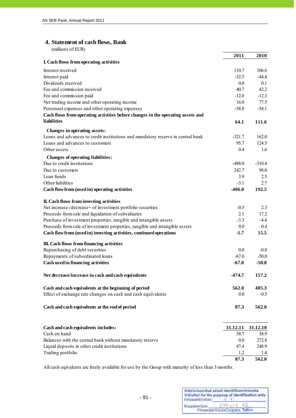# **4. Statement of cash flows, Bank**

| (millions of EUR) |  |
|-------------------|--|

|                                                                                 | 2011     | 2010     |
|---------------------------------------------------------------------------------|----------|----------|
| I. Cash flows from operating activities                                         |          |          |
| Interest received                                                               | 110.7    | 106.6    |
| Interest paid                                                                   | $-32.5$  | $-44.4$  |
| Dividends received                                                              | 0.0      | 0.1      |
| Fee and commission received                                                     | 40.7     | 42.2     |
| Fee and commission paid                                                         | $-12.0$  | $-12.3$  |
| Net trading income and other operating income                                   | 16.0     | 77.5     |
| Personnel expenses and other operating expenses                                 | $-58.8$  | $-58.1$  |
| Cash flows from operating activities before changes in the operating assets and |          |          |
| liabilities                                                                     | 64.1     | 111.6    |
| <b>Changes in operating assets:</b>                                             |          |          |
| Loans and advances to credit institutions and mandatory reserve in central bank | $-321.7$ | 162.0    |
| Loans and advances to customers                                                 | 95.7     | 124.5    |
| Other assets                                                                    | 0.4      | 1.6      |
| <b>Changes of operating liabilities:</b>                                        |          |          |
| Due to credit institutions                                                      | $-488.0$ | $-310.4$ |
| Due to customers                                                                | 242.7    | 98.0     |
| Loan funds                                                                      | 3.9      | 2.5      |
| Other liabilities                                                               | $-3.1$   | 2.7      |
| Cash flow from (used in) operating activities                                   | $-406.0$ | 192.5    |
| II. Cash flows from investing activities                                        |          |          |
| Net increase-/decrease+ of investment portfolio securities                      | $-0.5$   | 2.3      |
| Proceeds from sale and liquidation of subsidiaries                              | 2.1      | 17.2     |
| Purchase of investment properties, tangible and intangible assets               | $-3.3$   | $-4.4$   |
| Proceeds from sale of investment properties, tangible and intangible assets     | 0.0      | 0.4      |
| Cash flow from (used in) investing activities, continued operations             | $-1.7$   | 15.5     |
| III. Cash flows from financing activities                                       |          |          |
| Repurchasing of debt securities                                                 | 0.0      | $-0.8$   |
| Repayments of subordinated loans                                                | $-67.0$  | $-50.0$  |
| Cash used in financing activities                                               | $-67.0$  | $-50.8$  |
| Net decrease/increase in cash and cash equivalents                              | $-474.7$ | 157.2    |
| Cash and cash equivalents at the beginning of period                            | 562.0    | 405.3    |
| Effect of exchange rate changes on cash and cash equivalents                    | 0.0      | $-0.5$   |
|                                                                                 |          |          |
| Cash and cash equivalents at the end of period                                  | 87.3     | 562.0    |
| Cash and cash equivalents includes:                                             | 31.12.11 | 31.12.10 |
| Cash on hand                                                                    | 38.7     | 38.9     |
| Balances with the central bank without mandatory reserve                        | 0.0      | 272.8    |
| Liquid deposits in other credit institutions                                    | 47.4     | 248.9    |
| Trading portfolio                                                               | 1.2      | 1.4      |
|                                                                                 | 87.3     | 562.0    |

All cash eqivalents are freely available for use by the Group with maturity of less than 3 months.

| Initsiaalid/initials | Initsialiseeritud ainult identifitseerimiseks<br>Initialled for the purpose of identification only |
|----------------------|----------------------------------------------------------------------------------------------------|
| Kuupäev/date         | 09.03<br>PricewaterhouseCoopers, Tallinn                                                           |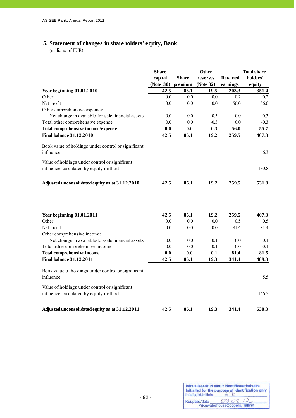# **5. Statement of changes in shareholders' equity, Bank**

(millions of EUR)

j

| Year beginning 01.01.2010<br>Other<br>Net profit<br>Other comprehensive expense:<br>Net change in available-for-sale financial assets<br>Total other comprehensive expense<br>Total comprehensive income/expense<br><b>Final balance 31.12.2010</b> | <b>Share</b><br>capital<br>(Note 30)<br>42.5<br>0.0<br>0.0<br>0.0<br>0.0<br>0.0<br>42.5 | <b>Share</b><br>premium<br>86.1<br>0.0<br>0.0<br>0.0<br>0.0<br>0.0<br>86.1 | Other<br>reserves<br>(Note 32)<br>19.5<br>0.0<br>0.0<br>$-0.3$<br>$-0.3$<br>$-0.3$<br>19.2 | <b>Retained</b><br>earnings<br>203.3<br>0.2<br>56.0<br>0.0<br>0.0<br>56.0<br>259.5 | <b>Total share-</b><br>holders'<br>equity<br>351.4<br>0.2<br>56.0<br>$-0.3$<br>$-0.3$<br>55.7<br>407.3 |
|-----------------------------------------------------------------------------------------------------------------------------------------------------------------------------------------------------------------------------------------------------|-----------------------------------------------------------------------------------------|----------------------------------------------------------------------------|--------------------------------------------------------------------------------------------|------------------------------------------------------------------------------------|--------------------------------------------------------------------------------------------------------|
| Book value of holdings under control or significant<br>influence                                                                                                                                                                                    |                                                                                         |                                                                            |                                                                                            |                                                                                    | 6.3                                                                                                    |
| Value of holdings under control or significant<br>influence, calculated by equity method                                                                                                                                                            |                                                                                         |                                                                            |                                                                                            |                                                                                    | 130.8                                                                                                  |
| Adjusted unconsolidated equity as at 31.12.2010                                                                                                                                                                                                     | 42.5                                                                                    | 86.1                                                                       | 19.2                                                                                       | 259.5                                                                              | 531.8                                                                                                  |
| Year beginning 01.01.2011                                                                                                                                                                                                                           | 42.5                                                                                    | 86.1                                                                       | 19.2                                                                                       | 259.5                                                                              | 407.3                                                                                                  |
| Other                                                                                                                                                                                                                                               | 0.0                                                                                     | 0.0                                                                        | 0.0                                                                                        | 0.5                                                                                | 0.5                                                                                                    |
| Net profit                                                                                                                                                                                                                                          | 0.0                                                                                     | 0.0                                                                        | 0.0                                                                                        | 81.4                                                                               | 81.4                                                                                                   |
| Other comprehensive income:                                                                                                                                                                                                                         |                                                                                         |                                                                            |                                                                                            |                                                                                    |                                                                                                        |
| Net change in available-for-sale financial assets                                                                                                                                                                                                   | 0.0                                                                                     | 0.0                                                                        | 0.1                                                                                        | 0.0                                                                                | 0.1                                                                                                    |
| Total other comprehensive income                                                                                                                                                                                                                    | 0.0                                                                                     | 0.0                                                                        | 0.1                                                                                        | 0.0                                                                                | 0.1                                                                                                    |
| <b>Total comprehensive income</b>                                                                                                                                                                                                                   | 0.0                                                                                     | 0.0                                                                        | 0.1                                                                                        | 81.4                                                                               | 81.5                                                                                                   |
| <b>Final balance 31.12.2011</b>                                                                                                                                                                                                                     | 42.5                                                                                    | 86.1                                                                       | 19.3                                                                                       | 341.4                                                                              | 489.3                                                                                                  |
| Book value of holdings under control or significant<br>influence                                                                                                                                                                                    |                                                                                         |                                                                            |                                                                                            |                                                                                    | 5.5                                                                                                    |
| Value of holdings under control or significant<br>influence, calculated by equity method                                                                                                                                                            |                                                                                         |                                                                            |                                                                                            |                                                                                    | 146.5                                                                                                  |
| Adjusted unconsolidated equity as at 31.12.2011                                                                                                                                                                                                     | 42.5                                                                                    | 86.1                                                                       | 19.3                                                                                       | 341.4                                                                              | 630.3                                                                                                  |

| Initsiaalid/initials | Initsialiseeritud ainult identifitseerimiseks<br>Initialled for the purpose of identification only |
|----------------------|----------------------------------------------------------------------------------------------------|
| Kuupäev/date         | 09.03.12<br>PricewaterhouseCoopers, Tallinn                                                        |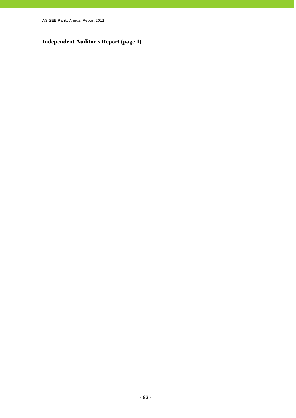**Independent Auditor's Report (page 1)**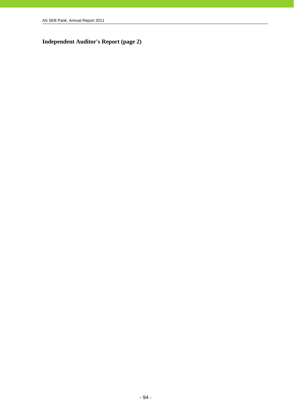**Independent Auditor's Report (page 2)**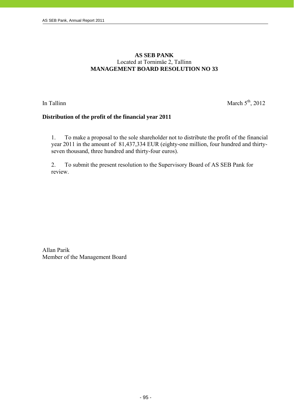# **AS SEB PANK**  Located at Tornimäe 2, Tallinn **MANAGEMENT BOARD RESOLUTION NO 33**

j

In Tallinn March  $5<sup>th</sup>$ , 2012

## **Distribution of the profit of the financial year 2011**

1. To make a proposal to the sole shareholder not to distribute the profit of the financial year 2011 in the amount of 81,437,334 EUR (eighty-one million, four hundred and thirtyseven thousand, three hundred and thirty-four euros).

2. To submit the present resolution to the Supervisory Board of AS SEB Pank for review.

Allan Parik Member of the Management Board